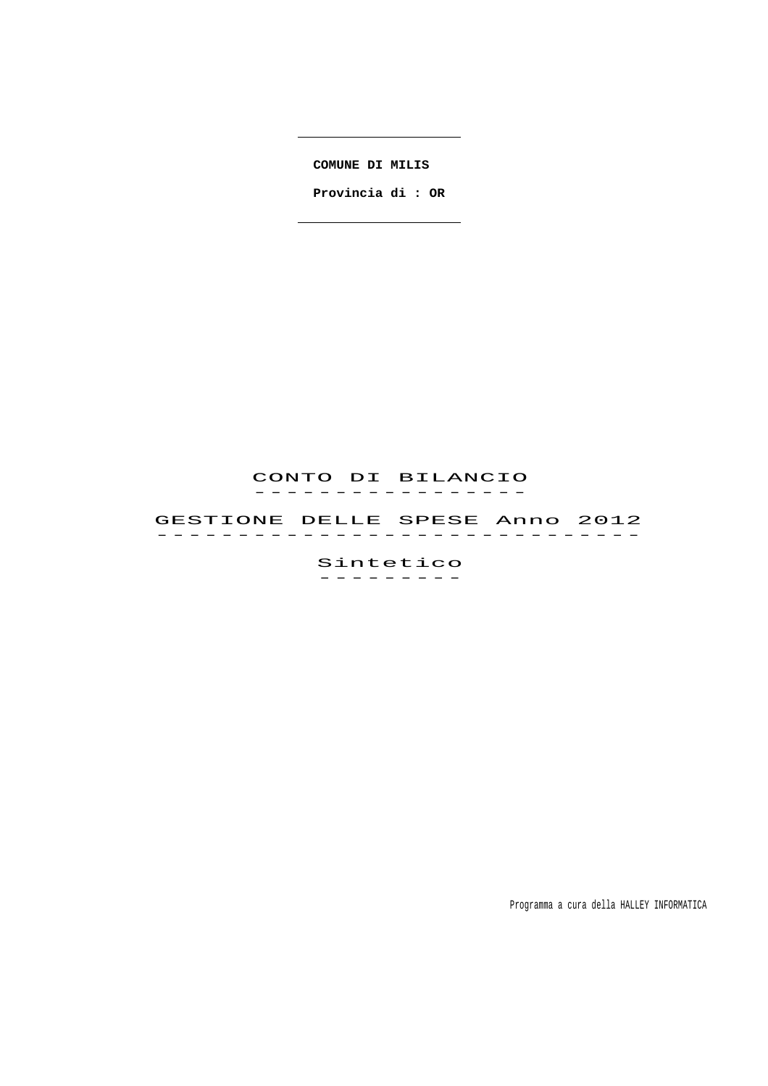**COMUNE DI MILIS** 

 **Provincia di : OR**

## CONTO DI BILANCIO -----------------<br>----------------

 GESTIONE DELLE SPESE Anno 2012 GESTIONE DELLE SPESE ANNO 2012<br>-----------------------------

> Sintetico ---------

> > Programma a cura della HALLEY INFORMATICA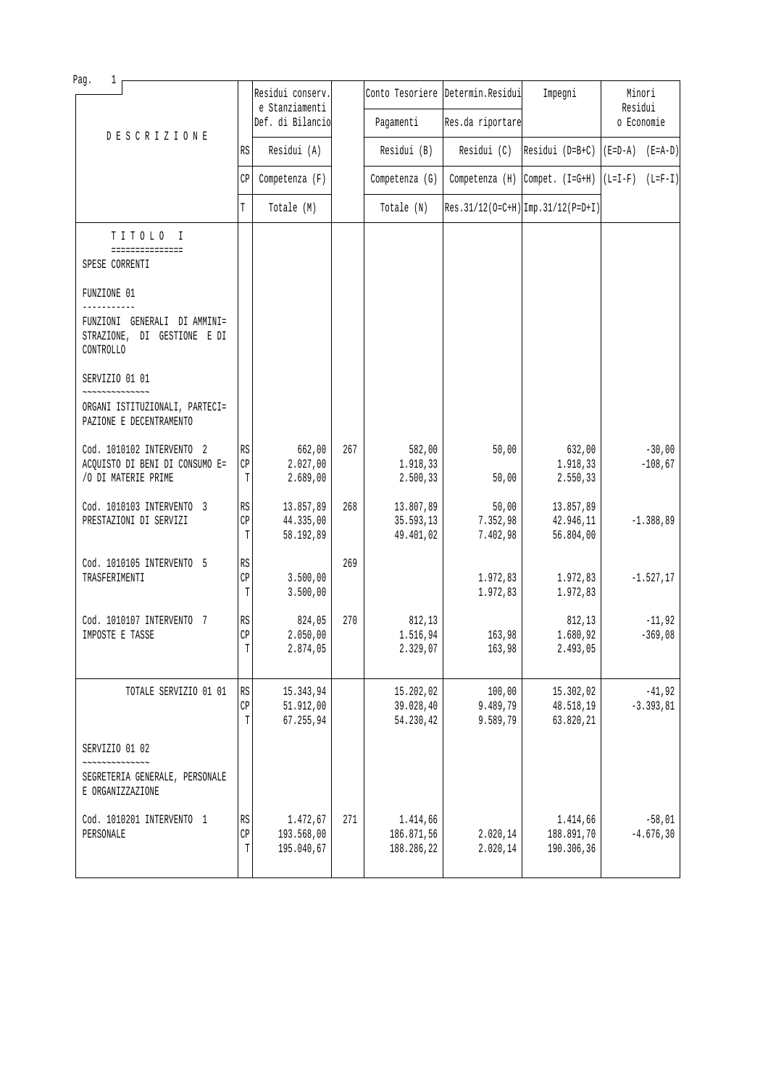| Pag.<br>1                                                                          |                                   | Residui conserv.                     |     |                                      | Conto Tesoriere Determin. Residui | Impegni                              | Minori                                             |
|------------------------------------------------------------------------------------|-----------------------------------|--------------------------------------|-----|--------------------------------------|-----------------------------------|--------------------------------------|----------------------------------------------------|
|                                                                                    |                                   | e Stanziamenti<br>Def. di Bilancio   |     | Pagamenti                            | Res.da riportare                  |                                      | Residui<br>o Economie                              |
| <b>DESCRIZIONE</b>                                                                 | RS                                | Residui (A)                          |     | Residui (B)                          | Residui (C)                       |                                      | Residui (D=B+C) $ (E=D-A)$ (E=A-D)                 |
|                                                                                    | CP                                | Competenza (F)                       |     | Competenza (G)                       |                                   |                                      | Competenza (H) Compet. $(I=G+H)   (L=I-F) (L=F-I)$ |
|                                                                                    | T                                 | Totale (M)                           |     | Totale (N)                           |                                   | $Res.31/12(O=C+H)$ Imp. 31/12(P=D+I) |                                                    |
| TITOLO I<br>===============<br>SPESE CORRENTI                                      |                                   |                                      |     |                                      |                                   |                                      |                                                    |
| FUNZIONE 01                                                                        |                                   |                                      |     |                                      |                                   |                                      |                                                    |
| FUNZIONI GENERALI DI AMMINI=<br>STRAZIONE, DI GESTIONE E DI<br>CONTROLLO           |                                   |                                      |     |                                      |                                   |                                      |                                                    |
| SERVIZIO 01 01                                                                     |                                   |                                      |     |                                      |                                   |                                      |                                                    |
| ORGANI ISTITUZIONALI, PARTECI=<br>PAZIONE E DECENTRAMENTO                          |                                   |                                      |     |                                      |                                   |                                      |                                                    |
| Cod. 1010102 INTERVENTO 2<br>ACQUISTO DI BENI DI CONSUMO E=<br>/O DI MATERIE PRIME | $\mathbb{R}\mathbb{S}$<br>CP<br>T | 662,00<br>2.027,00<br>2.689,00       | 267 | 582,00<br>1.918,33<br>2.500,33       | 50,00<br>50,00                    | 632,00<br>1.918,33<br>2.550,33       | $-30,00$<br>$-108,67$                              |
| Cod. 1010103 INTERVENTO 3<br>PRESTAZIONI DI SERVIZI                                | $\mathbb{R}\mathbb{S}$<br>CP<br>T | 13.857,89<br>44.335,00<br>58.192,89  | 268 | 13.807,89<br>35.593,13<br>49.401,02  | 50,00<br>7.352,98<br>7.402,98     | 13.857,89<br>42.946,11<br>56.804,00  | $-1.388, 89$                                       |
| Cod. 1010105 INTERVENTO 5<br>TRASFERIMENTI                                         | RS<br>CP<br>T                     | 3.500,00<br>3.500,00                 | 269 |                                      | 1.972,83<br>1.972,83              | 1.972,83<br>1.972,83                 | $-1.527, 17$                                       |
| Cod. 1010107 INTERVENTO 7<br>IMPOSTE E TASSE                                       | RS<br>CP<br>$\mathbb T$           | 824,05<br>2.050,00<br>2.874,05       | 270 | 812,13<br>1.516,94<br>2.329,07       | 163,98<br>163,98                  | 812,13<br>1.680,92<br>2.493,05       | $-11,92$<br>$-369,08$                              |
| TOTALE SERVIZIO 01 01                                                              | RS<br>$\mathbb{CP}$<br>T          | 15.343,94<br>51.912,00<br>67.255,94  |     | 15.202,02<br>39.028,40<br>54.230,42  | 100,00<br>9.489,79<br>9.589,79    | 15.302,02<br>48.518,19<br>63.820,21  | $-41,92$<br>$-3.393, 81$                           |
| SERVIZIO 01 02                                                                     |                                   |                                      |     |                                      |                                   |                                      |                                                    |
| SEGRETERIA GENERALE, PERSONALE<br>E ORGANIZZAZIONE                                 |                                   |                                      |     |                                      |                                   |                                      |                                                    |
| Cod. 1010201 INTERVENTO 1<br>PERSONALE                                             | RS<br>CP<br>T                     | 1.472,67<br>193.568,00<br>195.040,67 | 271 | 1.414,66<br>186.871,56<br>188.286,22 | 2.020,14<br>2.020,14              | 1.414,66<br>188.891,70<br>190.306,36 | $-58,01$<br>$-4.676, 30$                           |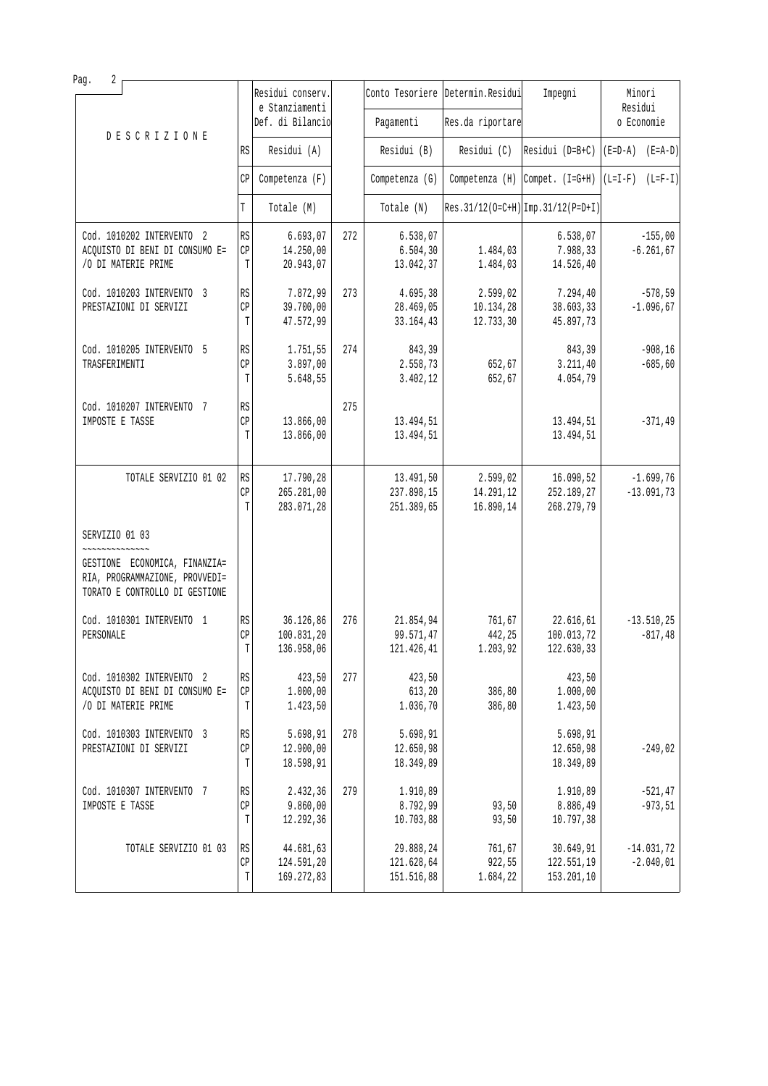| Pag.<br>2                                                                                         |                             |                                    |     |                          |                                   |                                      |                     |
|---------------------------------------------------------------------------------------------------|-----------------------------|------------------------------------|-----|--------------------------|-----------------------------------|--------------------------------------|---------------------|
|                                                                                                   |                             | Residui conserv.<br>e Stanziamenti |     |                          | Conto Tesoriere Determin. Residui | Impegni                              | Minori<br>Residui   |
|                                                                                                   |                             | Def. di Bilancio                   |     | Pagamenti                | Res.da riportare                  |                                      | o Economie          |
| <b>DESCRIZIONE</b>                                                                                | RS                          | Residui (A)                        |     | Residui (B)              | Residui (C)                       | Residui (D=B+C)                      | $(E=D-A)$ $(E=A-D)$ |
|                                                                                                   | CP                          | Competenza (F)                     |     | Competenza (G)           | Competenza (H)                    | Compet. (I=G+H)                      | $(L=I-F)$ $(L=F-I)$ |
|                                                                                                   | T                           | Totale (M)                         |     | Totale (N)               |                                   | $Res.31/12(O=C+H)$ Imp. 31/12(P=D+I) |                     |
| Cod. 1010202 INTERVENTO 2                                                                         | RS                          | 6.693,07                           | 272 | 6.538,07                 |                                   | 6.538,07                             | $-155,00$           |
| ACQUISTO DI BENI DI CONSUMO E=<br>/O DI MATERIE PRIME                                             | $\mathbb{CP}$<br>T          | 14.250,00<br>20.943,07             |     | 6.504,30<br>13.042,37    | 1.484,03<br>1.484,03              | 7.988,33<br>14.526,40                | $-6.261, 67$        |
| Cod. 1010203 INTERVENTO 3                                                                         | RS                          | 7.872,99                           | 273 | 4.695,38                 | 2.599,02                          | 7.294,40                             | $-578,59$           |
| PRESTAZIONI DI SERVIZI                                                                            | CP<br>T                     | 39.700,00<br>47.572,99             |     | 28.469,05<br>33.164,43   | 10.134,28<br>12.733,30            | 38.603,33<br>45.897,73               | $-1.096, 67$        |
| Cod. 1010205 INTERVENTO 5                                                                         | RS                          | 1.751,55                           | 274 | 843,39                   |                                   | 843,39                               | $-908, 16$          |
| TRASFERIMENTI                                                                                     | CP                          | 3.897,00                           |     | 2.558,73                 | 652,67                            | 3.211, 40                            | $-685, 60$          |
|                                                                                                   | T                           | 5.648,55                           |     | 3.402,12                 | 652,67                            | 4.054,79                             |                     |
| Cod. 1010207 INTERVENTO 7                                                                         | RS                          |                                    | 275 |                          |                                   |                                      |                     |
| IMPOSTE E TASSE                                                                                   | CP<br>T                     | 13.866,00<br>13.866,00             |     | 13.494,51<br>13.494,51   |                                   | 13.494,51<br>13.494,51               | $-371,49$           |
|                                                                                                   |                             |                                    |     |                          |                                   |                                      |                     |
| TOTALE SERVIZIO 01 02                                                                             | RS                          | 17.790,28                          |     | 13.491,50                | 2.599,02                          | 16.090,52                            | $-1.699,76$         |
|                                                                                                   | CP                          | 265.281,00                         |     | 237.898,15               | 14.291,12                         | 252.189,27                           | $-13.091,73$        |
|                                                                                                   | T                           | 283.071,28                         |     | 251.389,65               | 16.890,14                         | 268.279,79                           |                     |
| SERVIZIO 01 03                                                                                    |                             |                                    |     |                          |                                   |                                      |                     |
| GESTIONE ECONOMICA, FINANZIA=<br>RIA, PROGRAMMAZIONE, PROVVEDI=<br>TORATO E CONTROLLO DI GESTIONE |                             |                                    |     |                          |                                   |                                      |                     |
| Cod. 1010301 INTERVENTO 1                                                                         | RS                          | 36.126,86                          | 276 | 21.854,94                | 761,67                            | 22.616,61                            | $-13.510, 25$       |
| PERSONALE                                                                                         | CP<br>$\mathbb T$           | 100.831,20                         |     | 99.571,47                | 442,25                            | 100.013,72                           | $-817,48$           |
|                                                                                                   |                             | 136.958,06                         |     | 121.426,41               | 1.203,92                          | 122.630,33                           |                     |
| Cod. 1010302 INTERVENTO 2                                                                         | RS                          | 423,50                             | 277 | 423,50                   |                                   | 423,50                               |                     |
| ACQUISTO DI BENI DI CONSUMO E=<br>/O DI MATERIE PRIME                                             | $\mathbb{C}\mathbb{P}$<br>T | 1.000,00<br>1.423,50               |     | 613,20<br>1.036,70       | 386,80<br>386,80                  | 1.000,00<br>1.423,50                 |                     |
|                                                                                                   |                             |                                    |     |                          |                                   |                                      |                     |
| Cod. 1010303 INTERVENTO 3<br>PRESTAZIONI DI SERVIZI                                               | RS<br>CP                    | 5.698,91<br>12.900,00              | 278 | 5.698,91<br>12.650,98    |                                   | 5.698,91<br>12.650,98                | $-249,02$           |
|                                                                                                   | T                           | 18.598,91                          |     | 18.349,89                |                                   | 18.349,89                            |                     |
| Cod. 1010307 INTERVENTO 7                                                                         | $\mathbb{R}\mathbb{S}$      | 2.432,36                           | 279 | 1.910,89                 |                                   | 1.910,89                             | $-521, 47$          |
| IMPOSTE E TASSE                                                                                   | CP                          | 9.860,00                           |     | 8.792,99                 | 93,50                             | 8.886,49                             | $-973,51$           |
|                                                                                                   | T                           | 12.292,36                          |     | 10.703,88                | 93,50                             | 10.797,38                            |                     |
| TOTALE SERVIZIO 01 03                                                                             | RS                          | 44.681,63                          |     | 29.888,24                | 761,67                            | 30.649,91                            | $-14.031,72$        |
|                                                                                                   | $\mathbb{CP}$<br>T          | 124.591,20<br>169.272,83           |     | 121.628,64<br>151.516,88 | 922,55<br>1.684,22                | 122.551,19<br>153.201,10             | $-2.040,01$         |
|                                                                                                   |                             |                                    |     |                          |                                   |                                      |                     |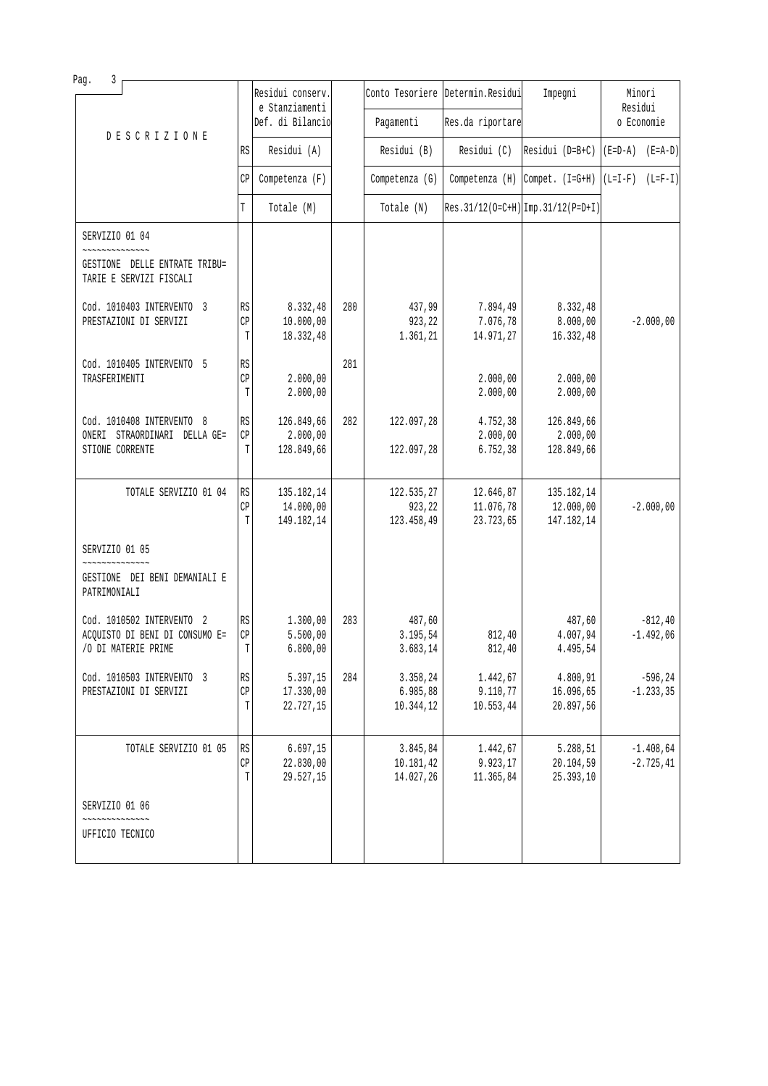| Pag.<br>3                                                                          |                                   |                                       |     |                                    |                                     |                                                                  |                             |
|------------------------------------------------------------------------------------|-----------------------------------|---------------------------------------|-----|------------------------------------|-------------------------------------|------------------------------------------------------------------|-----------------------------|
|                                                                                    |                                   | Residui conserv.<br>e Stanziamenti    |     |                                    | Conto Tesoriere Determin. Residui   | Impegni                                                          | Minori<br>Residui           |
| <b>DESCRIZIONE</b>                                                                 |                                   | Def. di Bilancio                      |     | Pagamenti                          | Res.da riportare                    |                                                                  | o Economie                  |
|                                                                                    | RS                                | Residui (A)                           |     | Residui (B)                        | Residui (C)                         | Residui (D=B+C)                                                  | $(E=D-A)$ $(E=A-D)$         |
|                                                                                    | СP                                | Competenza (F)                        |     | Competenza (G)                     |                                     | Competenza (H) $\lceil$ Compet. (I=G+H) $\lceil$ (L=I-F) (L=F-I) |                             |
|                                                                                    | T                                 | Totale (M)                            |     | Totale (N)                         |                                     | Res. 31/12(0=C+H) Imp. 31/12(P=D+I)                              |                             |
| SERVIZIO 01 04                                                                     |                                   |                                       |     |                                    |                                     |                                                                  |                             |
| GESTIONE DELLE ENTRATE TRIBU=<br>TARIE E SERVIZI FISCALI                           |                                   |                                       |     |                                    |                                     |                                                                  |                             |
| Cod. 1010403 INTERVENTO 3<br>PRESTAZIONI DI SERVIZI                                | RS<br>CP<br>T                     | 8.332,48<br>10.000,00<br>18.332,48    | 280 | 437,99<br>923,22<br>1.361,21       | 7.894,49<br>7.076,78<br>14.971,27   | 8.332,48<br>8.000,00<br>16.332,48                                | $-2.000,00$                 |
| Cod. 1010405 INTERVENTO 5<br>TRASFERIMENTI                                         | RS<br>CP<br>T                     | 2.000,00<br>2.000,00                  | 281 |                                    | 2.000,00<br>2.000,00                | 2.000,00<br>2.000,00                                             |                             |
| Cod. 1010408 INTERVENTO 8<br>ONERI STRAORDINARI DELLA GE=<br>STIONE CORRENTE       | RS<br>CP<br>T                     | 126.849,66<br>2.000,00<br>128.849,66  | 282 | 122.097,28<br>122.097,28           | 4.752,38<br>2.000,00<br>6.752, 38   | 126.849,66<br>2.000,00<br>128.849,66                             |                             |
| TOTALE SERVIZIO 01 04                                                              | RS<br>CP<br>T                     | 135.182,14<br>14.000,00<br>149.182,14 |     | 122.535,27<br>923,22<br>123.458,49 | 12.646,87<br>11.076,78<br>23.723,65 | 135.182,14<br>12.000,00<br>147.182,14                            | $-2.000,00$                 |
| SERVIZIO 01 05                                                                     |                                   |                                       |     |                                    |                                     |                                                                  |                             |
| GESTIONE DEI BENI DEMANIALI E<br>PATRIMONIALI                                      |                                   |                                       |     |                                    |                                     |                                                                  |                             |
| Cod. 1010502 INTERVENTO 2<br>ACQUISTO DI BENI DI CONSUMO E=<br>/O DI MATERIE PRIME | RS<br>CP<br>T                     | 1.300,00<br>5.500,00<br>6.800,00      | 283 | 487,60<br>3.195,54<br>3.683, 14    | 812,40<br>812,40                    | 487,60<br>4.007,94<br>4.495,54                                   | $-812, 40$<br>$-1.492,06$   |
| Cod. 1010503 INTERVENTO 3<br>PRESTAZIONI DI SERVIZI                                | RS<br>$\mathbb{C}\mathbb{P}$<br>T | 5.397,15<br>17.330,00<br>22.727,15    | 284 | 3.358,24<br>6.985,88<br>10.344,12  | 1.442,67<br>9.110,77<br>10.553,44   | 4.800,91<br>16.096,65<br>20.897,56                               | $-596, 24$<br>$-1.233, 35$  |
| TOTALE SERVIZIO 01 05                                                              | RS<br>CP<br>T                     | 6.697, 15<br>22.830,00<br>29.527,15   |     | 3.845,84<br>10.181,42<br>14.027,26 | 1.442,67<br>9.923,17<br>11.365,84   | 5.288,51<br>20.104,59<br>25.393,10                               | $-1.408,64$<br>$-2.725, 41$ |
| SERVIZIO 01 06                                                                     |                                   |                                       |     |                                    |                                     |                                                                  |                             |
| UFFICIO TECNICO                                                                    |                                   |                                       |     |                                    |                                     |                                                                  |                             |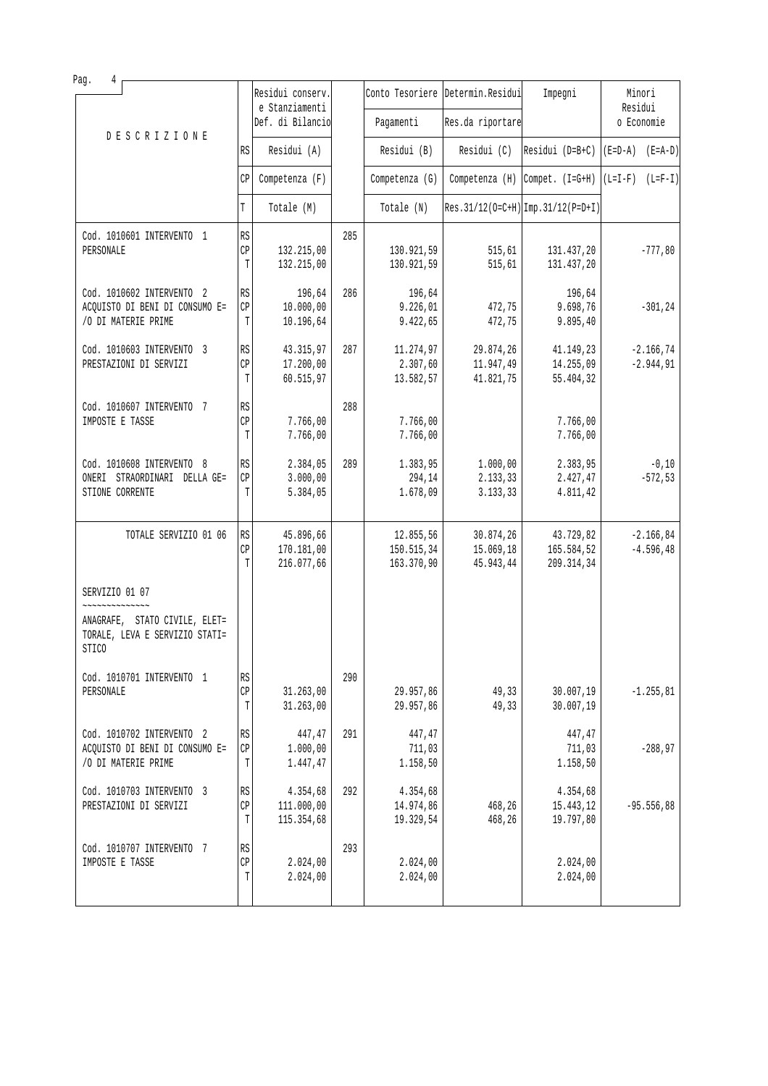| Pag.<br>4                                                                                        |                                   | Residui conserv.                      |     |                                       | Conto Tesoriere Determin. Residui   | Impegni                               | Minori                       |
|--------------------------------------------------------------------------------------------------|-----------------------------------|---------------------------------------|-----|---------------------------------------|-------------------------------------|---------------------------------------|------------------------------|
|                                                                                                  |                                   | e Stanziamenti<br>Def. di Bilancio    |     | Pagamenti                             | Res.da riportare                    |                                       | Residui<br>o Economie        |
| <b>DESCRIZIONE</b>                                                                               | RS                                | Residui (A)                           |     | Residui (B)                           | Residui (C)                         | $[Residui (D=B+C) [(E=D-A) (E=A-D)]$  |                              |
|                                                                                                  | СP                                | Competenza (F)                        |     | Competenza (G)                        |                                     | Competenza $(H)$ Compet. $(I=G+H)$    | $(L=I-F)$ $(L=F-I)$          |
|                                                                                                  | T                                 | Totale (M)                            |     | Totale (N)                            |                                     | $Res.31/12(O=C+H)$ Imp. 31/12(P=D+I)  |                              |
| Cod. 1010601 INTERVENTO 1<br>PERSONALE                                                           | RS<br>CP<br>T                     | 132.215,00<br>132.215,00              | 285 | 130.921,59<br>130.921,59              | 515, 61<br>515,61                   | 131.437,20<br>131.437,20              | $-777,80$                    |
| Cod. 1010602 INTERVENTO 2<br>ACQUISTO DI BENI DI CONSUMO E=<br>/O DI MATERIE PRIME               | RS<br>CP<br>T                     | 196,64<br>10.000,00<br>10.196,64      | 286 | 196,64<br>9.226,01<br>9.422,65        | 472,75<br>472,75                    | 196,64<br>9.698,76<br>9.895,40        | $-301, 24$                   |
| Cod. 1010603 INTERVENTO 3<br>PRESTAZIONI DI SERVIZI                                              | $\mathbb{R}\mathbb{S}$<br>CP<br>T | 43.315,97<br>17.200,00<br>60.515,97   | 287 | 11.274,97<br>2.307,60<br>13.582,57    | 29.874,26<br>11.947,49<br>41.821,75 | 41.149,23<br>14.255,09<br>55.404,32   | $-2.166, 74$<br>$-2.944, 91$ |
| Cod. 1010607 INTERVENTO 7<br>IMPOSTE E TASSE                                                     | RS<br>CP<br>T                     | 7.766,00<br>7.766,00                  | 288 | 7.766,00<br>7.766,00                  |                                     | 7.766,00<br>7.766,00                  |                              |
| Cod. 1010608 INTERVENTO 8<br>ONERI STRAORDINARI DELLA GE=<br>STIONE CORRENTE                     | RS<br>CP<br>T                     | 2.384,05<br>3.000,00<br>5.384,05      | 289 | 1.383,95<br>294,14<br>1.678,09        | 1.000,00<br>2.133,33<br>3.133,33    | 2.383,95<br>2.427,47<br>4.811,42      | $-0,10$<br>$-572,53$         |
| TOTALE SERVIZIO 01 06                                                                            | RS<br>CP<br>T                     | 45.896,66<br>170.181,00<br>216.077,66 |     | 12.855,56<br>150.515,34<br>163.370,90 | 30.874,26<br>15.069,18<br>45.943,44 | 43.729,82<br>165.584,52<br>209.314,34 | $-2.166, 84$<br>$-4.596, 48$ |
| SERVIZIO 01 07                                                                                   |                                   |                                       |     |                                       |                                     |                                       |                              |
| ANAGRAFE, STATO CIVILE, ELET=<br>TORALE, LEVA E SERVIZIO STATI=<br>$\ensuremath{\mathsf{STICO}}$ |                                   |                                       |     |                                       |                                     |                                       |                              |
| Cod. 1010701 INTERVENTO 1<br>PERSONALE                                                           | RS<br>$\mathbb{C}\mathbb{P}$<br>T | 31.263,00<br>31.263,00                | 290 | 29.957,86<br>29.957,86                | 49,33<br>49,33                      | 30.007, 19<br>30.007,19               | $-1.255, 81$                 |
| Cod. 1010702 INTERVENTO 2<br>ACQUISTO DI BENI DI CONSUMO E=<br>/O DI MATERIE PRIME               | RS<br>СP<br>T                     | 447,47<br>1.000,00<br>1.447,47        | 291 | 447,47<br>711,03<br>1.158,50          |                                     | 447,47<br>711,03<br>1.158,50          | $-288,97$                    |
| Cod. 1010703 INTERVENTO 3<br>PRESTAZIONI DI SERVIZI                                              | RS<br>CP<br>T                     | 4.354,68<br>111.000,00<br>115.354,68  | 292 | 4.354,68<br>14.974,86<br>19.329,54    | 468,26<br>468,26                    | 4.354,68<br>15.443,12<br>19.797,80    | $-95.556,88$                 |
| Cod. 1010707 INTERVENTO 7<br>IMPOSTE E TASSE                                                     | RS<br>$\mathbb{C}\mathbb{P}$<br>T | 2.024,00<br>2.024,00                  | 293 | 2.024,00<br>2.024,00                  |                                     | 2.024,00<br>2.024,00                  |                              |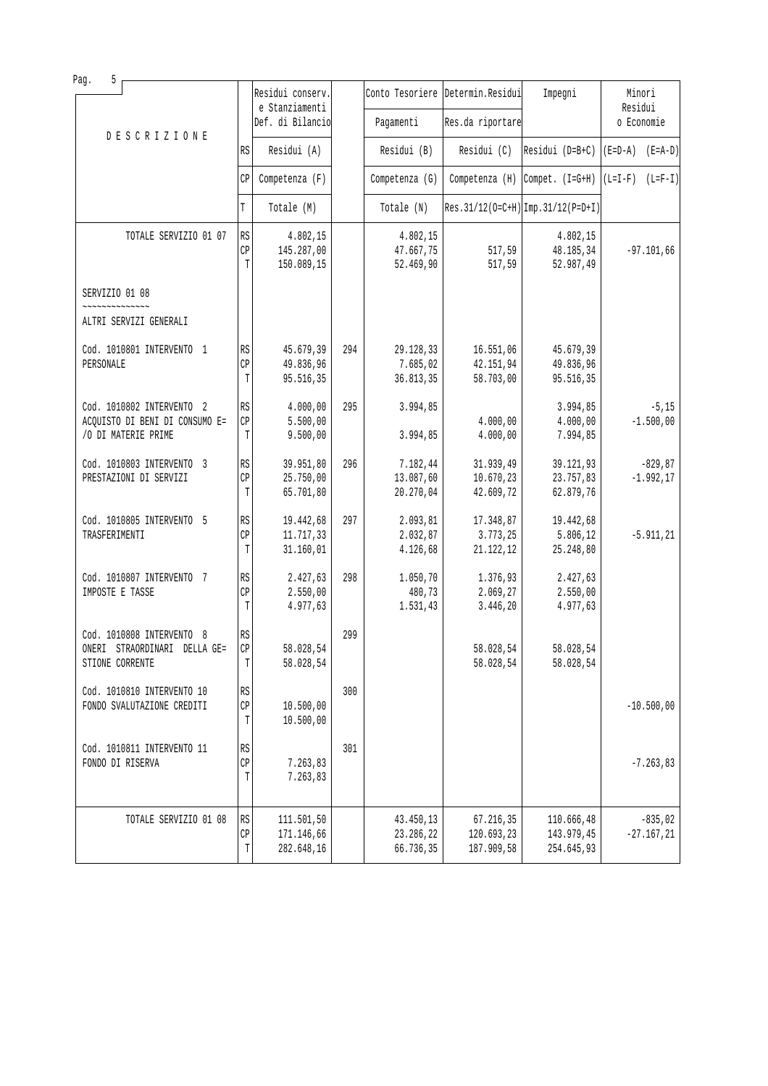| 5<br>Pag.                                                                          |                                   |                                        |     |                                     |                                       |                                              |                                    |
|------------------------------------------------------------------------------------|-----------------------------------|----------------------------------------|-----|-------------------------------------|---------------------------------------|----------------------------------------------|------------------------------------|
|                                                                                    |                                   | Residui conserv.<br>e Stanziamenti     |     |                                     | Conto Tesoriere Determin. Residui     | Impegni                                      | Minori<br>Residui                  |
| <b>DESCRIZIONE</b>                                                                 |                                   | Def. di Bilancio                       |     | Pagamenti                           | Res.da riportare                      |                                              | o Economie                         |
|                                                                                    | RS                                | Residui (A)                            |     | Residui (B)                         | Residui (C)                           |                                              | Residui (D=B+C) $ (E=D-A)$ (E=A-D) |
|                                                                                    | CP                                | Competenza (F)                         |     | Competenza (G)                      | $Competenza$ (H)                      | $\text{Compet.} \left( \text{I=G+H} \right)$ | $(L=I-F)$ $(L=F-I)$                |
|                                                                                    | T                                 | Totale (M)                             |     | Totale (N)                          |                                       | $Res.31/12(O=C+H)$ Imp. 31/12(P=D+I)         |                                    |
| TOTALE SERVIZIO 01 07                                                              | RS<br>CP<br>T                     | 4.802,15<br>145.287,00<br>150.089,15   |     | 4.802,15<br>47.667,75<br>52.469,90  | 517,59<br>517,59                      | 4.802,15<br>48.185,34<br>52.987,49           | $-97.101,66$                       |
| SERVIZIO 01 08                                                                     |                                   |                                        |     |                                     |                                       |                                              |                                    |
| ALTRI SERVIZI GENERALI                                                             |                                   |                                        |     |                                     |                                       |                                              |                                    |
| Cod. 1010801 INTERVENTO 1<br>PERSONALE                                             | RS<br>CP<br>T                     | 45.679,39<br>49.836,96<br>95.516,35    | 294 | 29.128,33<br>7.685,02<br>36.813,35  | 16.551,06<br>42.151,94<br>58.703,00   | 45.679,39<br>49.836,96<br>95.516,35          |                                    |
| Cod. 1010802 INTERVENTO 2<br>ACQUISTO DI BENI DI CONSUMO E=<br>/O DI MATERIE PRIME | RS<br>$\mathbb{CP}$<br>T          | 4.000,00<br>5.500,00<br>9.500,00       | 295 | 3.994,85<br>3.994,85                | 4.000,00<br>4.000,00                  | 3.994,85<br>4.000,00<br>7.994,85             | $-5,15$<br>$-1.500,00$             |
| Cod. 1010803 INTERVENTO 3<br>PRESTAZIONI DI SERVIZI                                | RS<br>CP<br>T                     | 39.951,80<br>25.750,00<br>65.701,80    | 296 | 7.182,44<br>13.087,60<br>20.270,04  | 31.939,49<br>10.670, 23<br>42.609,72  | 39.121,93<br>23.757,83<br>62.879,76          | $-829, 87$<br>$-1.992, 17$         |
| Cod. 1010805 INTERVENTO 5<br>TRASFERIMENTI                                         | RS<br>CP<br>T                     | 19.442,68<br>11.717,33<br>31.160,01    | 297 | 2.093,81<br>2.032,87<br>4.126,68    | 17.348,87<br>3.773,25<br>21.122,12    | 19.442,68<br>5.806,12<br>25.248,80           | $-5.911, 21$                       |
| Cod. 1010807 INTERVENTO 7<br>IMPOSTE E TASSE                                       | RS<br>CP<br>T                     | 2.427,63<br>2.550,00<br>4.977,63       | 298 | 1.050,70<br>480,73<br>1.531,43      | 1.376,93<br>2.069,27<br>3.446,20      | 2.427,63<br>2.550,00<br>4.977,63             |                                    |
| Cod. 1010808 INTERVENTO 8<br>ONERI STRAORDINARI DELLA GE=<br>STIONE CORRENTE       | RS<br>$\mathbb{C}\mathbb{P}$<br>T | 58.028,54<br>58.028,54                 | 299 |                                     | 58.028,54<br>58.028,54                | 58.028,54<br>58.028,54                       |                                    |
| Cod. 1010810 INTERVENTO 10<br>FONDO SVALUTAZIONE CREDITI                           | RS<br>$\mathbb{C}\mathbb{P}$<br>T | 10.500,00<br>10.500,00                 | 300 |                                     |                                       |                                              | $-10.500,00$                       |
| Cod. 1010811 INTERVENTO 11<br>FONDO DI RISERVA                                     | RS<br>CP<br>T                     | 7.263,83<br>7.263,83                   | 301 |                                     |                                       |                                              | $-7.263,83$                        |
| TOTALE SERVIZIO 01 08                                                              | $\mathbb{R}\mathbb{S}$<br>CP<br>T | 111.501,50<br>171.146,66<br>282.648,16 |     | 43.450,13<br>23.286,22<br>66.736,35 | 67.216,35<br>120.693,23<br>187.909,58 | 110.666,48<br>143.979,45<br>254.645,93       | $-835,02$<br>$-27.167, 21$         |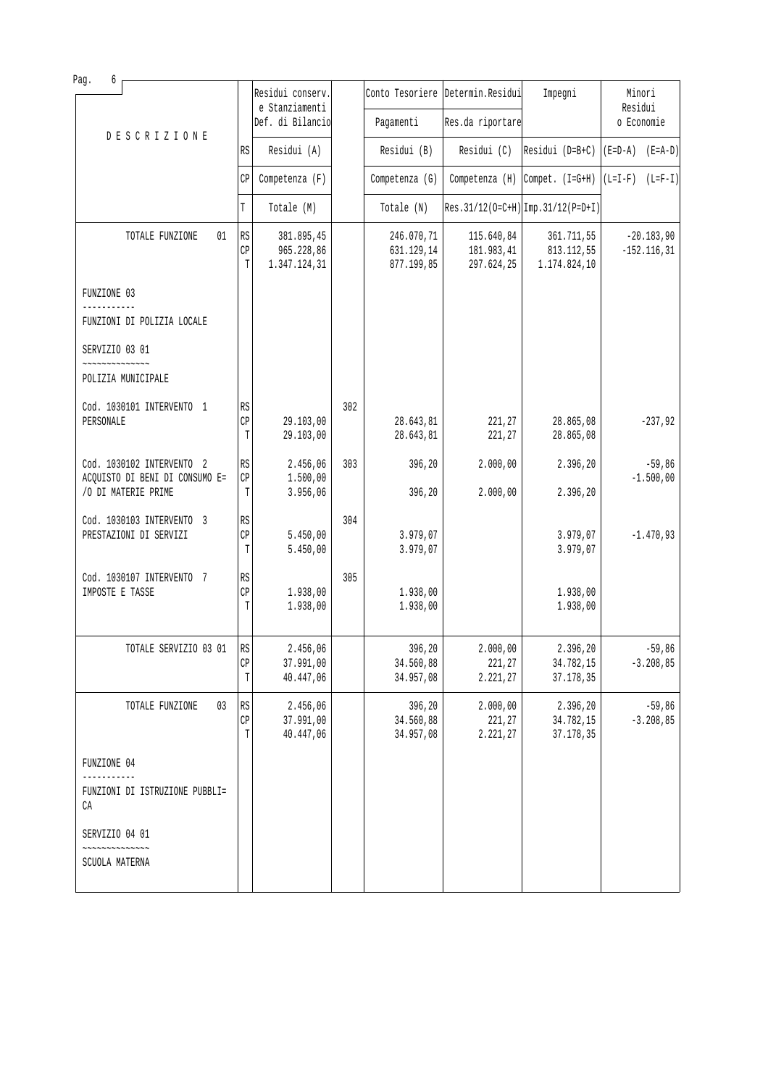|                          | Residui conserv.<br>e Stanziamenti                         |                                                                         |                                        |                                                             | Impegni                                  | Minori<br>Residui                                                                                                                                                                                                                         |
|--------------------------|------------------------------------------------------------|-------------------------------------------------------------------------|----------------------------------------|-------------------------------------------------------------|------------------------------------------|-------------------------------------------------------------------------------------------------------------------------------------------------------------------------------------------------------------------------------------------|
|                          | Def. di Bilancio                                           |                                                                         | Pagamenti                              |                                                             |                                          | o Economie                                                                                                                                                                                                                                |
| RS                       | Residui (A)                                                |                                                                         | Residui (B)                            | Residui (C)                                                 |                                          | $(E=D-A)$ $(E=A-D)$                                                                                                                                                                                                                       |
| CP                       | Competenza (F)                                             |                                                                         | Competenza (G)                         |                                                             |                                          |                                                                                                                                                                                                                                           |
| T                        | Totale (M)                                                 |                                                                         | Totale (N)                             |                                                             |                                          |                                                                                                                                                                                                                                           |
| RS<br>$\mathbb{CP}$<br>T | 381.895,45<br>965.228,86<br>1.347.124,31                   |                                                                         | 246.070,71<br>631.129,14<br>877.199,85 | 115.640,84<br>181.983,41<br>297.624,25                      | 361.711,55<br>813.112,55<br>1.174.824,10 | $-20.183,90$<br>$-152.116, 31$                                                                                                                                                                                                            |
|                          |                                                            |                                                                         |                                        |                                                             |                                          |                                                                                                                                                                                                                                           |
|                          |                                                            |                                                                         |                                        |                                                             |                                          |                                                                                                                                                                                                                                           |
|                          |                                                            |                                                                         |                                        |                                                             |                                          |                                                                                                                                                                                                                                           |
|                          |                                                            |                                                                         |                                        |                                                             |                                          |                                                                                                                                                                                                                                           |
| RS                       |                                                            | 302                                                                     |                                        |                                                             |                                          |                                                                                                                                                                                                                                           |
| T                        | 29.103,00                                                  |                                                                         | 28.643,81                              | 221,27                                                      | 28.865,08                                | $-237,92$                                                                                                                                                                                                                                 |
| RS                       | 2.456,06                                                   | 303                                                                     | 396,20                                 | 2.000,00                                                    | 2.396,20                                 | $-59,86$<br>$-1.500,00$                                                                                                                                                                                                                   |
| T                        | 3.956,06                                                   |                                                                         | 396,20                                 | 2.000,00                                                    | 2.396,20                                 |                                                                                                                                                                                                                                           |
| RS                       |                                                            | 304                                                                     |                                        |                                                             |                                          | $-1.470,93$                                                                                                                                                                                                                               |
| T                        | 5.450,00                                                   |                                                                         | 3.979,07                               |                                                             | 3.979,07                                 |                                                                                                                                                                                                                                           |
| RS                       |                                                            | 305                                                                     |                                        |                                                             |                                          |                                                                                                                                                                                                                                           |
| T                        | 1.938,00                                                   |                                                                         | 1.938,00                               |                                                             | 1.938,00                                 |                                                                                                                                                                                                                                           |
|                          | 2.456,06                                                   |                                                                         | 396,20                                 | 2.000,00                                                    | 2.396,20                                 | $-59,86$                                                                                                                                                                                                                                  |
| T                        | 40.447,06                                                  |                                                                         | 34.957,08                              | 2.221,27                                                    | 37.178,35                                | $-3.208, 85$                                                                                                                                                                                                                              |
| $\mathbb{R}\mathbb{S}$   | 2.456,06                                                   |                                                                         | 396,20                                 | 2.000,00                                                    | 2.396,20                                 | $-59,86$<br>$-3.208, 85$                                                                                                                                                                                                                  |
| T                        | 40.447,06                                                  |                                                                         | 34.957,08                              | 2.221,27                                                    | 37.178,35                                |                                                                                                                                                                                                                                           |
|                          |                                                            |                                                                         |                                        |                                                             |                                          |                                                                                                                                                                                                                                           |
|                          |                                                            |                                                                         |                                        |                                                             |                                          |                                                                                                                                                                                                                                           |
|                          |                                                            |                                                                         |                                        |                                                             |                                          |                                                                                                                                                                                                                                           |
|                          |                                                            |                                                                         |                                        |                                                             |                                          |                                                                                                                                                                                                                                           |
|                          | CP<br>CP<br>CP<br>CP<br>RS<br>CP<br>$\mathbb{C}\mathbb{P}$ | 29.103,00<br>1.500,00<br>5.450,00<br>1.938,00<br>37.991,00<br>37.991,00 |                                        | 28.643,81<br>3.979,07<br>1.938,00<br>34.560,88<br>34.560,88 | 221,27<br>221,27<br>221,27               | Conto Tesoriere Determin. Residui<br>Res.da riportare<br>$Residui (D=B+C)$<br>Competenza (H) Compet. $(I=G+H)$ $(L=I-F)$ $(L=F-I)$<br>$Res.31/12(O=C+H)$ Imp. 31/12(P=D+I)<br>28.865,08<br>3.979,07<br>1.938,00<br>34.782,15<br>34.782,15 |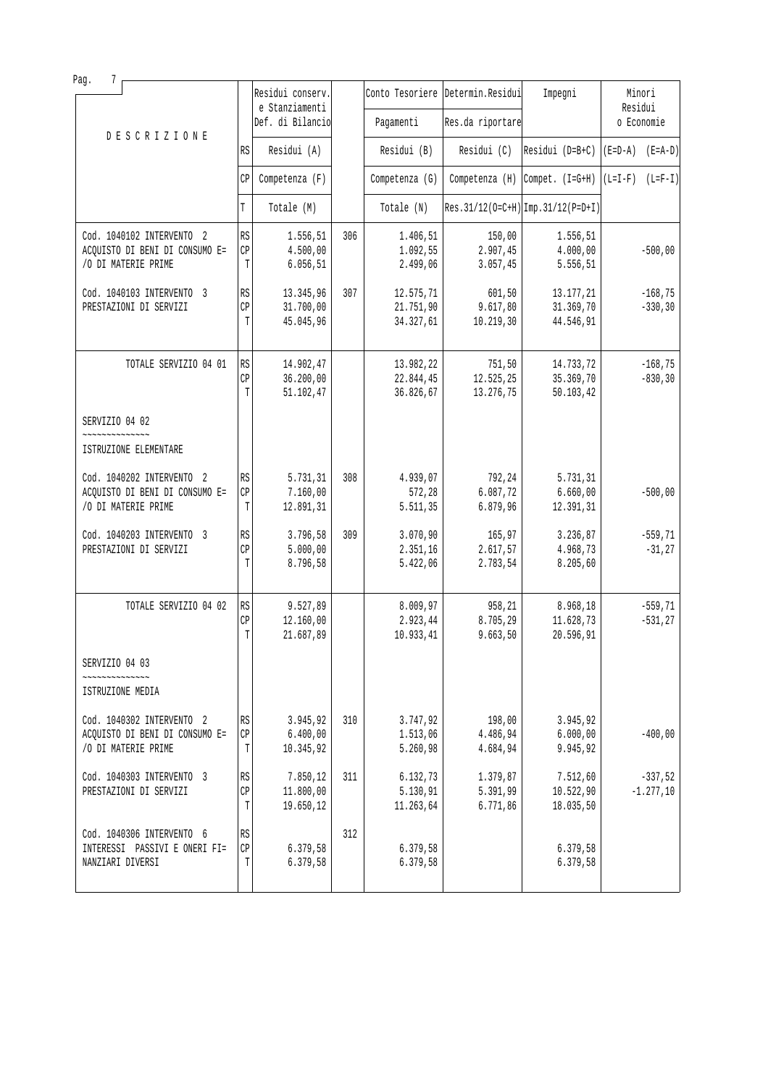| Pag.<br>7                                                                          |               |                                     |     |                                     |                                   |                                      |                          |
|------------------------------------------------------------------------------------|---------------|-------------------------------------|-----|-------------------------------------|-----------------------------------|--------------------------------------|--------------------------|
|                                                                                    |               | Residui conserv.<br>e Stanziamenti  |     |                                     | Conto Tesoriere Determin. Residui | Impegni                              | Minori<br>Residui        |
|                                                                                    |               | Def. di Bilancio                    |     | Pagamenti                           | Res.da riportare                  |                                      | o Economie               |
| <b>DESCRIZIONE</b>                                                                 | RS            | Residui (A)                         |     | Residui (B)                         | Residui (C)                       | Residui ( $D=B+C$ )                  | $(E=D-A)$ $(E=A-D)$      |
|                                                                                    | CP            | Competenza (F)                      |     | Competenza (G)                      | Competenza (H)                    | Compet. (I=G+H)                      | $(L=I-F)$ $(L=F-I)$      |
|                                                                                    | T             | Totale (M)                          |     | Totale (N)                          |                                   | $Res.31/12(O=C+H)$ Imp. 31/12(P=D+I) |                          |
| Cod. 1040102 INTERVENTO 2<br>ACQUISTO DI BENI DI CONSUMO E=<br>/O DI MATERIE PRIME | RS<br>CP<br>T | 1.556,51<br>4.500,00<br>6.056, 51   | 306 | 1.406,51<br>1.092,55<br>2.499,06    | 150,00<br>2.907,45<br>3.057,45    | 1.556,51<br>4.000,00<br>5.556,51     | $-500,00$                |
| Cod. 1040103 INTERVENTO 3<br>PRESTAZIONI DI SERVIZI                                | RS<br>CP<br>T | 13.345,96<br>31.700,00<br>45.045,96 | 307 | 12.575,71<br>21.751,90<br>34.327,61 | 601,50<br>9.617,80<br>10.219, 30  | 13.177,21<br>31.369,70<br>44.546,91  | $-168,75$<br>$-330, 30$  |
| TOTALE SERVIZIO 04 01                                                              | RS<br>CP<br>T | 14.902,47<br>36.200,00<br>51.102,47 |     | 13.982,22<br>22.844,45<br>36.826,67 | 751,50<br>12.525,25<br>13.276,75  | 14.733,72<br>35.369,70<br>50.103, 42 | $-168,75$<br>$-830, 30$  |
| SERVIZIO 04 02                                                                     |               |                                     |     |                                     |                                   |                                      |                          |
| ISTRUZIONE ELEMENTARE                                                              |               |                                     |     |                                     |                                   |                                      |                          |
| Cod. 1040202 INTERVENTO 2                                                          | RS            | 5.731,31                            | 308 | 4.939,07                            | 792,24                            | 5.731,31                             |                          |
| ACQUISTO DI BENI DI CONSUMO E=<br>/O DI MATERIE PRIME                              | CP<br>T       | 7.160,00<br>12.891,31               |     | 572,28<br>5.511,35                  | 6.087,72<br>6.879,96              | 6.660,00<br>12.391,31                | $-500,00$                |
| Cod. 1040203 INTERVENTO 3<br>PRESTAZIONI DI SERVIZI                                | RS<br>CP<br>T | 3.796,58<br>5.000,00<br>8.796,58    | 309 | 3.070, 90<br>2.351,16<br>5.422,06   | 165,97<br>2.617,57<br>2.783,54    | 3.236,87<br>4.968,73<br>8.205,60     | $-559,71$<br>$-31, 27$   |
| TOTALE SERVIZIO 04 02                                                              | RS<br>CP<br>T | 9.527,89<br>12.160,00<br>21.687,89  |     | 8.009,97<br>2.923,44<br>10.933,41   | 958,21<br>8.705,29<br>9.663,50    | 8.968,18<br>11.628,73<br>20.596,91   | $-559, 71$<br>$-531, 27$ |
| SERVIZIO 04 03                                                                     |               |                                     |     |                                     |                                   |                                      |                          |
| ISTRUZIONE MEDIA                                                                   |               |                                     |     |                                     |                                   |                                      |                          |
| Cod. 1040302 INTERVENTO 2<br>ACQUISTO DI BENI DI CONSUMO E=<br>/O DI MATERIE PRIME | RS<br>CP<br>T | 3.945,92<br>6.400,00<br>10.345,92   | 310 | 3.747,92<br>1.513,06<br>5.260,98    | 198,00<br>4.486,94<br>4.684,94    | 3.945,92<br>6.000,00<br>9.945,92     | $-400,00$                |
| Cod. 1040303 INTERVENTO 3<br>PRESTAZIONI DI SERVIZI                                | RS<br>CP<br>T | 7.850,12<br>11.800,00<br>19.650,12  | 311 | 6.132,73<br>5.130,91<br>11.263,64   | 1.379,87<br>5.391,99<br>6.771,86  | 7.512,60<br>10.522,90<br>18.035,50   | $-337,52$<br>$-1.277,10$ |
| Cod. 1040306 INTERVENTO 6<br>INTERESSI PASSIVI E ONERI FI=<br>NANZIARI DIVERSI     | RS<br>СP<br>T | 6.379,58<br>6.379,58                | 312 | 6.379,58<br>6.379,58                |                                   | 6.379,58<br>6.379,58                 |                          |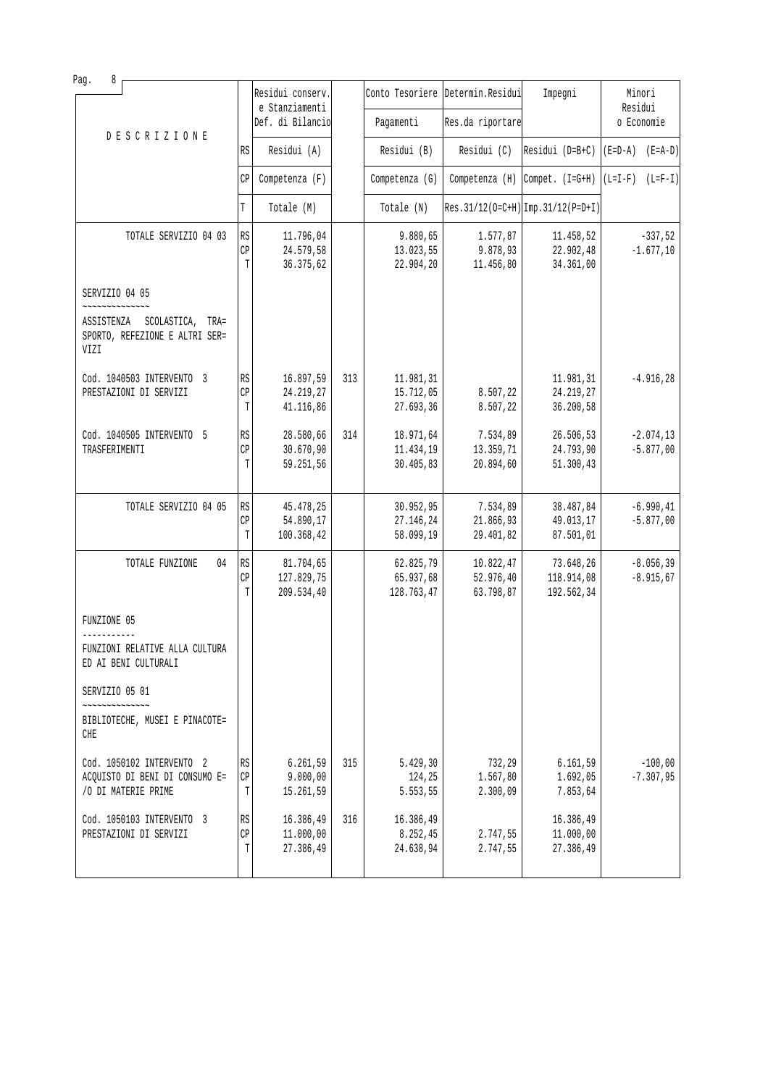| 8<br>Pag.                                                                |                        |                                    |     |                         |                                   |                                      |                     |
|--------------------------------------------------------------------------|------------------------|------------------------------------|-----|-------------------------|-----------------------------------|--------------------------------------|---------------------|
|                                                                          |                        | Residui conserv.<br>e Stanziamenti |     |                         | Conto Tesoriere Determin. Residui | Impegni                              | Minori<br>Residui   |
|                                                                          |                        | Def. di Bilancio                   |     | Pagamenti               | Res.da riportare                  |                                      | o Economie          |
| <b>DESCRIZIONE</b>                                                       | RS                     | Residui (A)                        |     | Residui (B)             | Residui (C)                       | $ Residui (D=B+C)   (E=D-A) (E=A-D)$ |                     |
|                                                                          | СP                     | $Competenza$ $(F)$                 |     | Competenza (G)          | Competenza (H)                    | $Compet. (I=G+H)$                    | $(L=I-F)$ $(L=F-I)$ |
|                                                                          | T                      | Totale (M)                         |     | Totale (N)              |                                   | $Res.31/12(O=C+H)$ Imp. 31/12(P=D+I) |                     |
| TOTALE SERVIZIO 04 03                                                    | <b>RS</b>              | 11.796,04                          |     | 9.880,65                | 1.577,87                          | 11.458,52                            | $-337,52$           |
|                                                                          | CP                     | 24.579,58                          |     | 13.023,55               | 9.878,93                          | 22.902,48                            | $-1.677, 10$        |
|                                                                          | T                      | 36.375,62                          |     | 22.904,20               | 11.456,80                         | 34.361,00                            |                     |
| SERVIZIO 04 05                                                           |                        |                                    |     |                         |                                   |                                      |                     |
| ASSISTENZA<br>SCOLASTICA, TRA=<br>SPORTO, REFEZIONE E ALTRI SER=<br>VIZI |                        |                                    |     |                         |                                   |                                      |                     |
| Cod. 1040503 INTERVENTO 3                                                | RS                     | 16.897,59                          | 313 | 11.981,31               |                                   | 11.981,31                            | $-4.916, 28$        |
| PRESTAZIONI DI SERVIZI                                                   | CP                     | 24.219,27                          |     | 15.712,05               | 8.507,22                          | 24.219,27                            |                     |
|                                                                          | T                      | 41.116,86                          |     | 27.693,36               | 8.507,22                          | 36.200,58                            |                     |
| Cod. 1040505 INTERVENTO 5                                                | $\mathbb{R}\mathbb{S}$ | 28.580,66                          | 314 | 18.971,64               | 7.534,89                          | 26.506,53                            | $-2.074, 13$        |
| TRASFERIMENTI                                                            | CP                     | 30.670, 90                         |     | 11.434,19               | 13.359,71                         | 24.793,90                            | $-5.877,00$         |
|                                                                          | T                      | 59.251,56                          |     | 30.405,83               | 20.894,60                         | 51.300,43                            |                     |
|                                                                          |                        |                                    |     |                         |                                   |                                      |                     |
| TOTALE SERVIZIO 04 05                                                    | RS                     | 45.478,25                          |     | 30.952,95               | 7.534,89                          | 38.487,84                            | $-6.990, 41$        |
|                                                                          | CP                     | 54.890,17                          |     | 27.146,24               | 21.866,93                         | 49.013,17                            | $-5.877,00$         |
|                                                                          | T                      | 100.368,42                         |     | 58.099,19               | 29.401,82                         | 87.501,01                            |                     |
|                                                                          |                        |                                    |     |                         |                                   |                                      |                     |
| TOTALE FUNZIONE<br>04                                                    | RS                     | 81.704,65                          |     | 62.825,79               | 10.822,47                         | 73.648,26                            | $-8.056, 39$        |
|                                                                          | CP<br>T                | 127.829,75<br>209.534,40           |     | 65.937,68<br>128.763,47 | 52.976,40<br>63.798,87            | 118.914,08<br>192.562,34             | $-8.915, 67$        |
|                                                                          |                        |                                    |     |                         |                                   |                                      |                     |
| FUNZIONE 05                                                              |                        |                                    |     |                         |                                   |                                      |                     |
| FUNZIONI RELATIVE ALLA CULTURA<br>ED AI BENI CULTURALI                   |                        |                                    |     |                         |                                   |                                      |                     |
| SERVIZIO 05 01                                                           |                        |                                    |     |                         |                                   |                                      |                     |
| ,,,,,,,,,,,                                                              |                        |                                    |     |                         |                                   |                                      |                     |
| BIBLIOTECHE, MUSEI E PINACOTE=<br>CHE                                    |                        |                                    |     |                         |                                   |                                      |                     |
| Cod. 1050102 INTERVENTO 2                                                | RS                     | 6.261,59                           | 315 | 5.429,30                | 732,29                            | 6.161, 59                            | $-100,00$           |
| ACQUISTO DI BENI DI CONSUMO E=                                           | СP                     | 9.000,00                           |     | 124,25                  | 1.567,80                          | 1.692,05                             | $-7.307,95$         |
| /O DI MATERIE PRIME                                                      | T                      | 15.261,59                          |     | 5.553,55                | 2.300,09                          | 7.853,64                             |                     |
| Cod. 1050103 INTERVENTO 3                                                | RS                     | 16.386,49                          | 316 | 16.386,49               |                                   | 16.386,49                            |                     |
| PRESTAZIONI DI SERVIZI                                                   | CP                     | 11.000,00                          |     | 8.252,45                | 2.747,55                          | 11.000,00                            |                     |
|                                                                          | T                      | 27.386,49                          |     | 24.638,94               | 2.747,55                          | 27.386,49                            |                     |
|                                                                          |                        |                                    |     |                         |                                   |                                      |                     |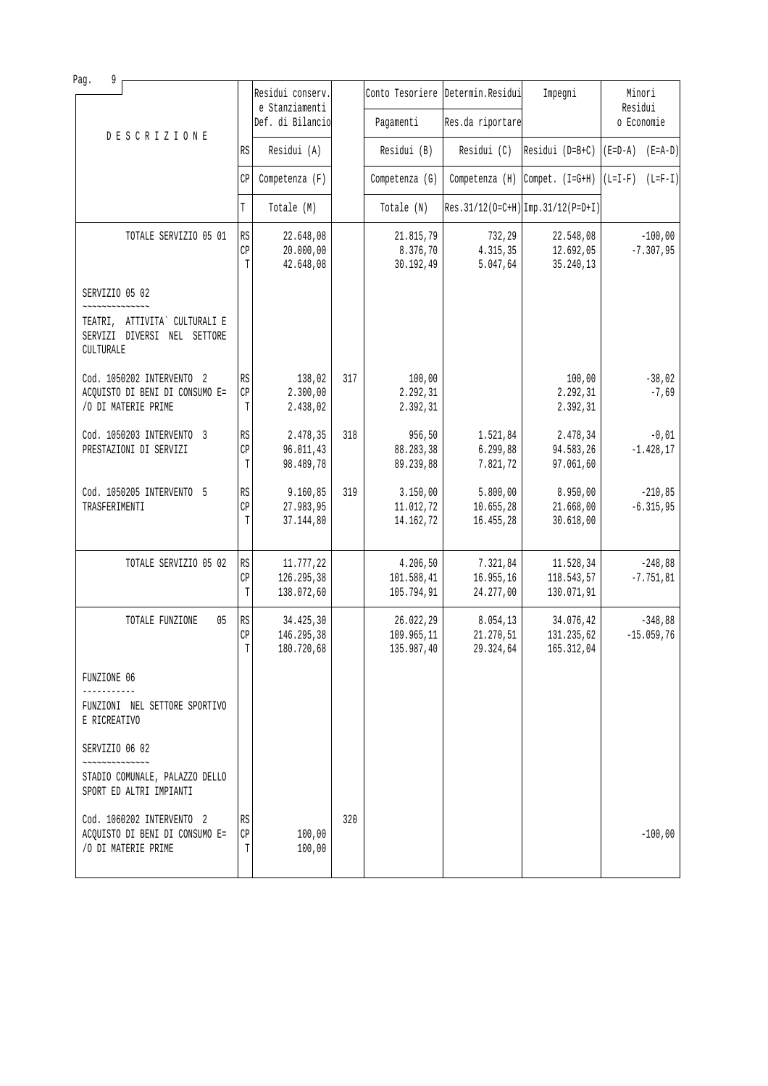| Pag.<br>9                                                                                     |                                   |                                       |     |                                       |                                     |                                       |                                                                                                   |
|-----------------------------------------------------------------------------------------------|-----------------------------------|---------------------------------------|-----|---------------------------------------|-------------------------------------|---------------------------------------|---------------------------------------------------------------------------------------------------|
|                                                                                               |                                   | Residui conserv.<br>e Stanziamenti    |     |                                       | Conto Tesoriere Determin. Residui   | Impegni                               | Minori<br>Residui                                                                                 |
|                                                                                               |                                   | Def. di Bilancio                      |     | Pagamenti                             | Res.da riportare                    |                                       | o Economie                                                                                        |
| <b>DESCRIZIONE</b>                                                                            | RS                                | Residui (A)                           |     | Residui (B)                           | Residui (C)                         |                                       | $\begin{bmatrix} \text{Residui} & \text{(D=B+C)} & \text{(E=D-A)} & \text{(E=A-D)} \end{bmatrix}$ |
|                                                                                               | $\mathbb{CP}$                     | Competenza (F)                        |     | Competenza (G)                        | Competenza (H)                      | Compet. $(I=G+H)$                     | $(L=I-F)$ $(L=F-I)$                                                                               |
|                                                                                               | T                                 | Totale (M)                            |     | Totale (N)                            |                                     | $Res.31/12(O=C+H)$ Imp. 31/12(P=D+I)  |                                                                                                   |
| TOTALE SERVIZIO 05 01                                                                         | RS                                | 22.648,08                             |     | 21.815,79                             | 732,29                              | 22.548,08                             | $-100,00$                                                                                         |
|                                                                                               | $\mathbb{CP}$<br>T                | 20.000,00<br>42.648,08                |     | 8.376,70<br>30.192,49                 | 4.315,35<br>5.047,64                | 12.692,05<br>35.240,13                | $-7.307,95$                                                                                       |
| SERVIZIO 05 02<br>~~~~~~~~~~~~~~                                                              |                                   |                                       |     |                                       |                                     |                                       |                                                                                                   |
| TEATRI, ATTIVITA` CULTURALI E<br>SERVIZI DIVERSI NEL SETTORE<br>CULTURALE                     |                                   |                                       |     |                                       |                                     |                                       |                                                                                                   |
| Cod. 1050202 INTERVENTO 2<br>ACQUISTO DI BENI DI CONSUMO E=<br>/O DI MATERIE PRIME            | RS<br>CP<br>T                     | 138,02<br>2.300,00<br>2.438,02        | 317 | 100,00<br>2.292,31<br>2.392,31        |                                     | 100,00<br>2.292,31<br>2.392,31        | $-38,02$<br>$-7,69$                                                                               |
| Cod. 1050203 INTERVENTO 3<br>PRESTAZIONI DI SERVIZI                                           | RS<br>CP<br>T                     | 2.478,35<br>96.011,43<br>98.489,78    | 318 | 956,50<br>88.283,38<br>89.239,88      | 1.521,84<br>6.299,88<br>7.821,72    | 2.478,34<br>94.583,26<br>97.061,60    | $-0,01$<br>$-1.428, 17$                                                                           |
| Cod. 1050205 INTERVENTO 5<br>TRASFERIMENTI                                                    | $\mathbb{R}\mathbb{S}$<br>CP<br>T | 9.160,85<br>27.983,95<br>37.144,80    | 319 | 3.150,00<br>11.012,72<br>14.162,72    | 5.800,00<br>10.655, 28<br>16.455,28 | 8.950,00<br>21.668,00<br>30.618,00    | $-210,85$<br>$-6.315,95$                                                                          |
| TOTALE SERVIZIO 05 02                                                                         | RS<br>$\mathbb{CP}$<br>T          | 11.777,22<br>126.295,38<br>138.072,60 |     | 4.206,50<br>101.588,41<br>105.794,91  | 7.321,84<br>16.955,16<br>24.277,00  | 11.528,34<br>118.543,57<br>130.071,91 | $-248,88$<br>$-7.751, 81$                                                                         |
| 05<br>TOTALE FUNZIONE                                                                         | RS<br>CP<br>$\mathbb T$           | 34.425,30<br>146.295,38<br>180.720,68 |     | 26.022,29<br>109.965,11<br>135.987,40 | 8.054,13<br>21.270,51<br>29.324,64  | 34.076,42<br>131.235,62<br>165.312,04 | $-348,88$<br>$-15.059,76$                                                                         |
| FUNZIONE 06                                                                                   |                                   |                                       |     |                                       |                                     |                                       |                                                                                                   |
| FUNZIONI NEL SETTORE SPORTIVO<br>E RICREATIVO                                                 |                                   |                                       |     |                                       |                                     |                                       |                                                                                                   |
| SERVIZIO 06 02<br>**************<br>STADIO COMUNALE, PALAZZO DELLO<br>SPORT ED ALTRI IMPIANTI |                                   |                                       |     |                                       |                                     |                                       |                                                                                                   |
| Cod. 1060202 INTERVENTO 2<br>ACQUISTO DI BENI DI CONSUMO E=<br>/O DI MATERIE PRIME            | RS<br>СP<br>Т                     | 100,00<br>100,00                      | 320 |                                       |                                     |                                       | $-100,00$                                                                                         |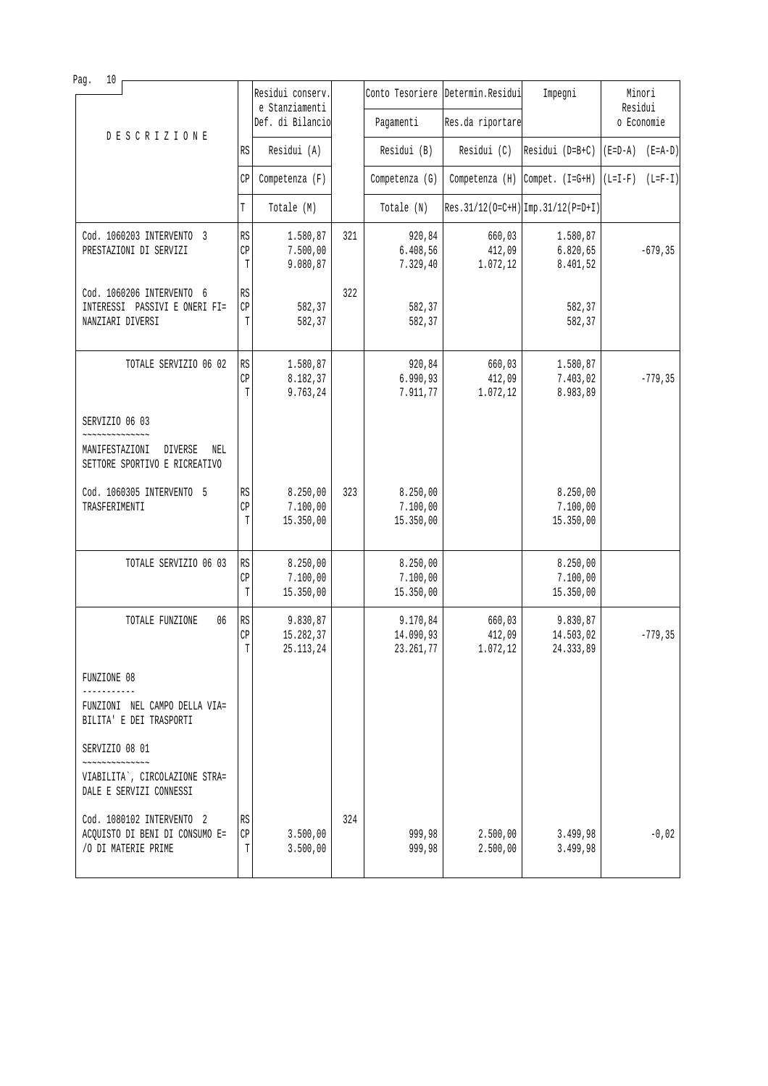| 10<br>Pag.                                                                         |               |                                    |     |                                    |                                   |                                                      |                     |            |
|------------------------------------------------------------------------------------|---------------|------------------------------------|-----|------------------------------------|-----------------------------------|------------------------------------------------------|---------------------|------------|
|                                                                                    |               | Residui conserv.<br>e Stanziamenti |     |                                    | Conto Tesoriere Determin. Residui | Impegni                                              | Residui             | Minori     |
| <b>DESCRIZIONE</b>                                                                 |               | Def. di Bilancio                   |     | Pagamenti                          | Res.da riportare                  |                                                      |                     | o Economie |
|                                                                                    | RS            | Residui (A)                        |     | Residui (B)                        | Residui (C)                       | Residui $(D=B+C)$                                    | $(E=D-A)$ $(E=A-D)$ |            |
|                                                                                    | CP            | Competenza (F)                     |     | Competenza (G)                     |                                   | Competenza (H) Compet. $(I=G+H)$ $(L=I-F)$ $(L=F-I)$ |                     |            |
|                                                                                    | T             | Totale (M)                         |     | Totale (N)                         |                                   | $Res.31/12(O=C+H)$ Imp. 31/12(P=D+I)                 |                     |            |
| Cod. 1060203 INTERVENTO 3<br>PRESTAZIONI DI SERVIZI                                | RS<br>CP<br>T | 1.580,87<br>7.500,00<br>9.080,87   | 321 | 920,84<br>6.408,56<br>7.329,40     | 660,03<br>412,09<br>1.072, 12     | 1.580,87<br>6.820, 65<br>8.401,52                    |                     | $-679, 35$ |
| Cod. 1060206 INTERVENTO 6<br>INTERESSI PASSIVI E ONERI FI=<br>NANZIARI DIVERSI     | RS<br>CP<br>T | 582,37<br>582,37                   | 322 | 582,37<br>582,37                   |                                   | 582,37<br>582,37                                     |                     |            |
| TOTALE SERVIZIO 06 02                                                              | RS<br>CP<br>T | 1.580,87<br>8.182,37<br>9.763,24   |     | 920,84<br>6.990, 93<br>7.911,77    | 660,03<br>412,09<br>1.072,12      | 1.580,87<br>7.403,02<br>8.983,89                     |                     | $-779, 35$ |
| SERVIZIO 06 03                                                                     |               |                                    |     |                                    |                                   |                                                      |                     |            |
| DIVERSE<br>MANIFESTAZIONI<br>NEL<br>SETTORE SPORTIVO E RICREATIVO                  |               |                                    |     |                                    |                                   |                                                      |                     |            |
| Cod. 1060305 INTERVENTO 5<br>TRASFERIMENTI                                         | RS<br>CP<br>T | 8.250,00<br>7.100,00<br>15.350,00  | 323 | 8.250,00<br>7.100,00<br>15.350,00  |                                   | 8.250,00<br>7.100,00<br>15.350,00                    |                     |            |
| TOTALE SERVIZIO 06 03                                                              | RS<br>CP<br>T | 8.250,00<br>7.100,00<br>15.350,00  |     | 8.250,00<br>7.100,00<br>15.350,00  |                                   | 8.250,00<br>7.100,00<br>15.350,00                    |                     |            |
| TOTALE FUNZIONE<br>06                                                              | RS<br>CP<br>T | 9.830,87<br>15.282,37<br>25.113,24 |     | 9.170,84<br>14.090,93<br>23.261,77 | 660,03<br>412,09<br>1.072,12      | 9.830,87<br>14.503,02<br>24.333,89                   |                     | $-779, 35$ |
| FUNZIONE 08                                                                        |               |                                    |     |                                    |                                   |                                                      |                     |            |
| FUNZIONI NEL CAMPO DELLA VIA=<br>BILITA' E DEI TRASPORTI                           |               |                                    |     |                                    |                                   |                                                      |                     |            |
| SERVIZIO 08 01<br>VIABILITA`, CIRCOLAZIONE STRA=<br>DALE E SERVIZI CONNESSI        |               |                                    |     |                                    |                                   |                                                      |                     |            |
| Cod. 1080102 INTERVENTO 2<br>ACQUISTO DI BENI DI CONSUMO E=<br>/O DI MATERIE PRIME | RS<br>CP<br>Т | 3.500,00<br>3.500,00               | 324 | 999,98<br>999,98                   | 2.500,00<br>2.500,00              | 3.499,98<br>3.499,98                                 |                     | $-0,02$    |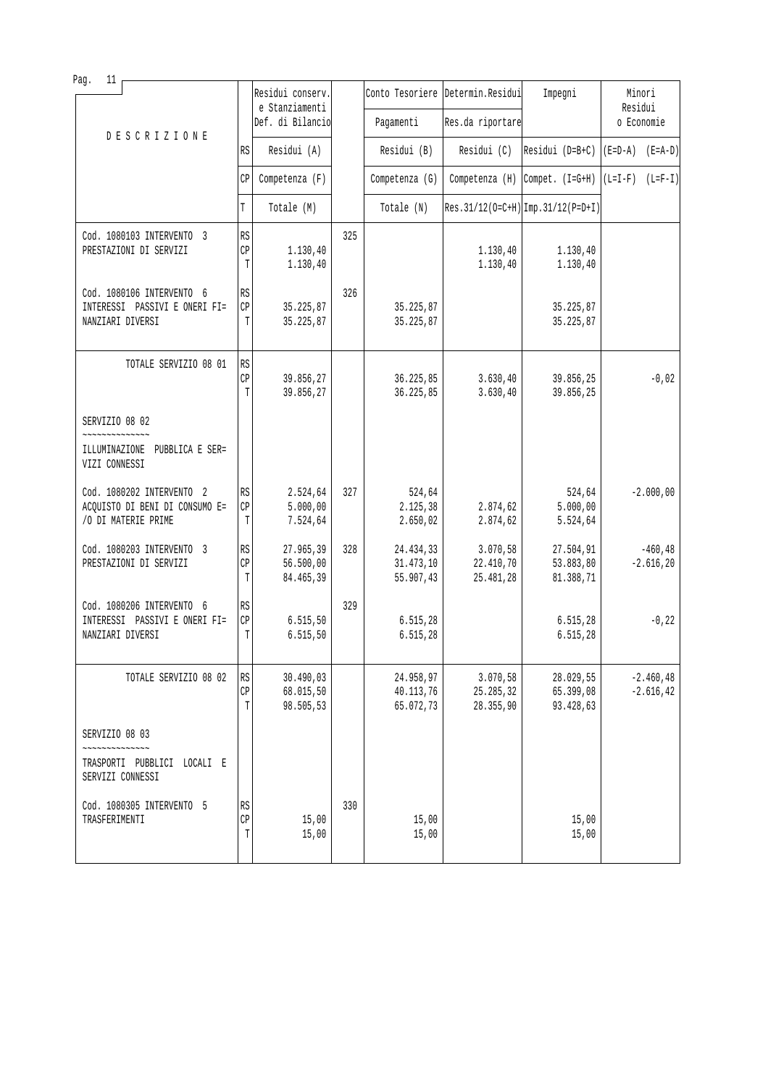| Pag.<br>11                                                                                                 |                          |                                     |     |                                     |                                    |                                     |                              |
|------------------------------------------------------------------------------------------------------------|--------------------------|-------------------------------------|-----|-------------------------------------|------------------------------------|-------------------------------------|------------------------------|
|                                                                                                            |                          | Residui conserv.<br>e Stanziamenti  |     |                                     | Conto Tesoriere Determin. Residui  | Impegni                             | Minori<br>Residui            |
| DESCRIZIONE                                                                                                |                          | Def. di Bilancio                    |     | Pagamenti                           | Res.da riportare                   |                                     | o Economie                   |
|                                                                                                            | RS                       | Residui (A)                         |     | Residui (B)                         | Residui (C)                        | Residui ( $D=B+C$ )                 | $(E=D-A)$ $(E=A-D)$          |
|                                                                                                            | СP                       | Competenza (F)                      |     | Competenza (G)                      | Competenza (H)                     | $\vert$ Compet. $(I = G + H)$       | $(L=I-F)$ $(L=F-I)$          |
|                                                                                                            | T                        | Totale (M)                          |     | Totale (N)                          |                                    | Res. 31/12(0=C+H) Imp. 31/12(P=D+I) |                              |
| Cod. 1080103 INTERVENTO 3<br>PRESTAZIONI DI SERVIZI                                                        | RS<br>CP<br>T            | 1.130,40<br>1.130,40                | 325 |                                     | 1.130, 40<br>1.130,40              | 1.130,40<br>1.130,40                |                              |
| Cod. 1080106 INTERVENTO 6<br>INTERESSI PASSIVI E ONERI FI=<br>NANZIARI DIVERSI                             | RS<br>CP<br>T            | 35.225,87<br>35.225,87              | 326 | 35.225,87<br>35.225,87              |                                    | 35.225,87<br>35.225,87              |                              |
| TOTALE SERVIZIO 08 01                                                                                      | RS<br>CP<br>T            | 39.856,27<br>39.856,27              |     | 36.225,85<br>36.225,85              | 3.630, 40<br>3.630, 40             | 39.856,25<br>39.856,25              | $-0,02$                      |
| SERVIZIO 08 02                                                                                             |                          |                                     |     |                                     |                                    |                                     |                              |
| ILLUMINAZIONE PUBBLICA E SER=<br>VIZI CONNESSI                                                             |                          |                                     |     |                                     |                                    |                                     |                              |
| Cod. 1080202 INTERVENTO 2<br>ACQUISTO DI BENI DI CONSUMO E=<br>/O DI MATERIE PRIME                         | <b>RS</b><br>CP<br>T     | 2.524,64<br>5.000,00<br>7.524,64    | 327 | 524,64<br>2.125,38<br>2.650,02      | 2.874,62<br>2.874,62               | 524,64<br>5.000,00<br>5.524,64      | $-2.000,00$                  |
| Cod. 1080203 INTERVENTO 3<br>PRESTAZIONI DI SERVIZI                                                        | RS<br>CP<br>T            | 27.965,39<br>56.500,00<br>84.465,39 | 328 | 24.434,33<br>31.473,10<br>55.907,43 | 3.070,58<br>22.410,70<br>25.481,28 | 27.504,91<br>53.883,80<br>81.388,71 | $-460, 48$<br>$-2.616, 20$   |
| Cod. 1080206 INTERVENTO 6<br>INTERESSI PASSIVI E ONERI FI=<br>NANZIARI DIVERSI                             | RS<br>CP<br>T            | 6.515, 50<br>6.515,50               | 329 | 6.515,28<br>6.515,28                |                                    | 6.515, 28<br>6.515,28               | $-0, 22$                     |
| TOTALE SERVIZIO 08 02                                                                                      | RS<br>$\mathbb{CP}$<br>T | 30.490,03<br>68.015,50<br>98.505,53 |     | 24.958,97<br>40.113,76<br>65.072,73 | 3.070,58<br>25.285,32<br>28.355,90 | 28.029,55<br>65.399,08<br>93.428,63 | $-2.460, 48$<br>$-2.616, 42$ |
| SERVIZIO 08 03                                                                                             |                          |                                     |     |                                     |                                    |                                     |                              |
| $\sim$ $\sim$ $\sim$ $\sim$ $\sim$ $\sim$ $\sim$ $\sim$<br>TRASPORTI PUBBLICI LOCALI E<br>SERVIZI CONNESSI |                          |                                     |     |                                     |                                    |                                     |                              |
| Cod. 1080305 INTERVENTO 5<br>TRASFERIMENTI                                                                 | RS<br>CP<br>T            | 15,00<br>15,00                      | 330 | 15,00<br>15,00                      |                                    | 15,00<br>15,00                      |                              |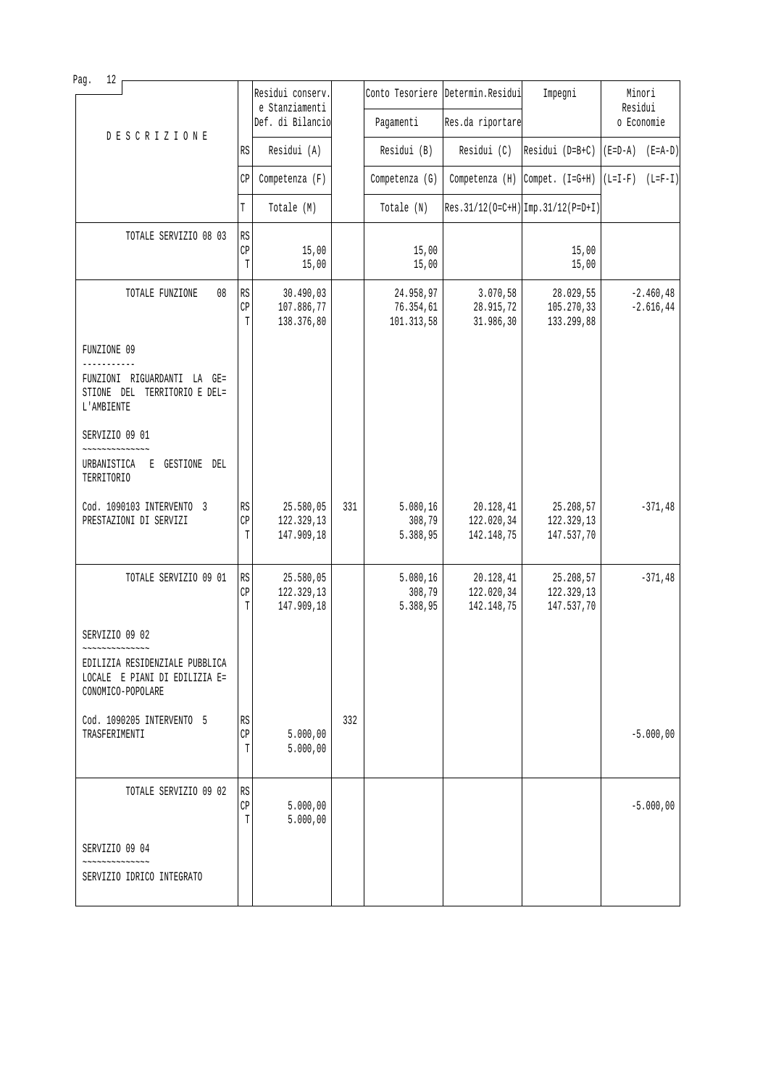| 12<br>Pag.                                                                                             |               |                                       |     |                                      |                                       |                                                      |                              |
|--------------------------------------------------------------------------------------------------------|---------------|---------------------------------------|-----|--------------------------------------|---------------------------------------|------------------------------------------------------|------------------------------|
|                                                                                                        |               | Residui conserv.<br>e Stanziamenti    |     |                                      | Conto Tesoriere Determin. Residui     | Impegni                                              | Minori<br>Residui            |
| <b>DESCRIZIONE</b>                                                                                     |               | Def. di Bilancio                      |     | Pagamenti                            | Res.da riportare                      |                                                      | o Economie                   |
|                                                                                                        | RS            | Residui (A)                           |     | Residui (B)                          | Residui (C)                           | Residui ( $D=B+C$ )                                  | $(E=D-A)$ $(E=A-D)$          |
|                                                                                                        | СP            | Competenza (F)                        |     | Competenza (G)                       |                                       | Competenza (H) Compet. $(I=G+H)$ $(L=I-F)$ $(L=F-I)$ |                              |
|                                                                                                        | T             | Totale (M)                            |     | Totale (N)                           |                                       | $Res.31/12(O=C+H)$ $Imp.31/12(P=D+I)$                |                              |
| TOTALE SERVIZIO 08 03                                                                                  | RS            |                                       |     |                                      |                                       |                                                      |                              |
|                                                                                                        | CP<br>T       | 15,00<br>15,00                        |     | 15,00<br>15,00                       |                                       | 15,00<br>15,00                                       |                              |
| TOTALE FUNZIONE<br>08                                                                                  | RS<br>CP<br>T | 30.490,03<br>107.886,77<br>138.376,80 |     | 24.958,97<br>76.354,61<br>101.313,58 | 3.070,58<br>28.915,72<br>31.986,30    | 28.029,55<br>105.270,33<br>133.299,88                | $-2.460, 48$<br>$-2.616, 44$ |
| FUNZIONE 09<br>-----------                                                                             |               |                                       |     |                                      |                                       |                                                      |                              |
| FUNZIONI RIGUARDANTI LA GE=<br>STIONE DEL TERRITORIO E DEL=<br>L'AMBIENTE                              |               |                                       |     |                                      |                                       |                                                      |                              |
| SERVIZIO 09 01                                                                                         |               |                                       |     |                                      |                                       |                                                      |                              |
| URBANISTICA E GESTIONE DEL<br>TERRITORIO                                                               |               |                                       |     |                                      |                                       |                                                      |                              |
| Cod. 1090103 INTERVENTO 3<br>PRESTAZIONI DI SERVIZI                                                    | RS<br>CP<br>T | 25.580,05<br>122.329,13<br>147.909,18 | 331 | 5.080, 16<br>308,79<br>5.388,95      | 20.128,41<br>122.020,34<br>142.148,75 | 25.208,57<br>122.329,13<br>147.537,70                | $-371,48$                    |
| TOTALE SERVIZIO 09 01                                                                                  | RS<br>CP<br>T | 25.580,05<br>122.329,13<br>147.909,18 |     | 5.080,16<br>308,79<br>5.388,95       | 20.128,41<br>122.020,34<br>142.148,75 | 25.208,57<br>122.329,13<br>147.537,70                | $-371, 48$                   |
| SERVIZIO 09 02                                                                                         |               |                                       |     |                                      |                                       |                                                      |                              |
| ~~~~~~~~~~~~~~<br>EDILIZIA RESIDENZIALE PUBBLICA<br>LOCALE E PIANI DI EDILIZIA E=<br>CONOMICO-POPOLARE |               |                                       |     |                                      |                                       |                                                      |                              |
| Cod. 1090205 INTERVENTO 5<br>TRASFERIMENTI                                                             | RS<br>CP<br>T | 5.000,00<br>5.000,00                  | 332 |                                      |                                       |                                                      | $-5.000,00$                  |
| TOTALE SERVIZIO 09 02                                                                                  | RS<br>CP<br>T | 5.000,00<br>5.000,00                  |     |                                      |                                       |                                                      | $-5.000,00$                  |
| SERVIZIO 09 04                                                                                         |               |                                       |     |                                      |                                       |                                                      |                              |
| SERVIZIO IDRICO INTEGRATO                                                                              |               |                                       |     |                                      |                                       |                                                      |                              |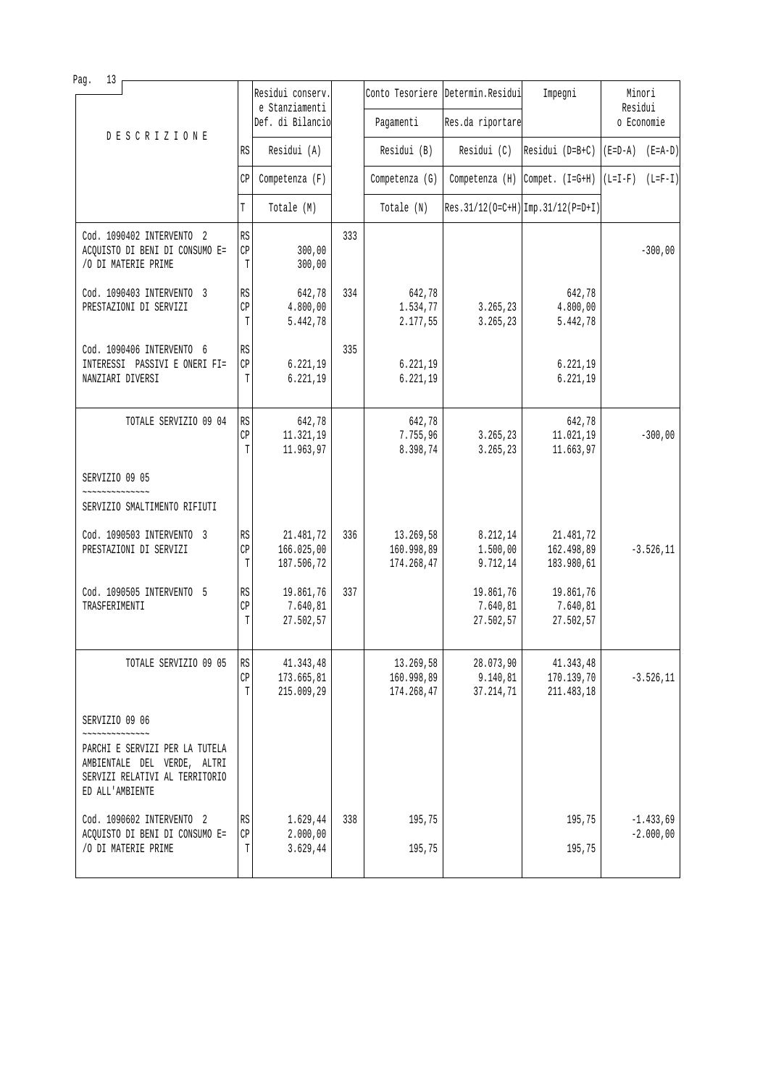| Pag.<br>13                                                                                                                          |                                   |                                       |     |                                       |                                    |                                       |                            |
|-------------------------------------------------------------------------------------------------------------------------------------|-----------------------------------|---------------------------------------|-----|---------------------------------------|------------------------------------|---------------------------------------|----------------------------|
|                                                                                                                                     |                                   | Residui conserv.<br>e Stanziamenti    |     |                                       | Conto Tesoriere Determin. Residui  | Impegni                               | Minori<br>Residui          |
| <b>DESCRIZIONE</b>                                                                                                                  |                                   | Def. di Bilancio                      |     | Pagamenti                             | Res.da riportare                   |                                       | o Economie                 |
|                                                                                                                                     | RS                                | Residui (A)                           |     | Residui (B)                           | Residui (C)                        | Residui ( $D=B+C$ )                   | $(E=D-A)$ $(E=A-D)$        |
|                                                                                                                                     | CP                                | Competenza (F)                        |     | Competenza (G)                        |                                    | Competenza $(H)$ Compet. $(I=G+H)$    | $(L=I-F)$ $(L=F-I)$        |
|                                                                                                                                     | T                                 | Totale (M)                            |     | Totale (N)                            |                                    | $Res.31/12(O=C+H)$ Imp. 31/12(P=D+I)  |                            |
| Cod. 1090402 INTERVENTO 2<br>ACQUISTO DI BENI DI CONSUMO E=<br>/O DI MATERIE PRIME                                                  | RS<br>$\mathbb{C}\mathbb{P}$<br>T | 300,00<br>300,00                      | 333 |                                       |                                    |                                       | $-300,00$                  |
| Cod. 1090403 INTERVENTO 3<br>PRESTAZIONI DI SERVIZI                                                                                 | RS<br>CP<br>T                     | 642,78<br>4.800,00<br>5.442,78        | 334 | 642,78<br>1.534,77<br>2.177,55        | 3.265, 23<br>3.265,23              | 642,78<br>4.800,00<br>5.442,78        |                            |
| Cod. 1090406 INTERVENTO 6<br>INTERESSI PASSIVI E ONERI FI=<br>NANZIARI DIVERSI                                                      | RS<br>CP<br>T                     | 6.221,19<br>6.221,19                  | 335 | 6.221,19<br>6.221,19                  |                                    | 6.221,19<br>6.221,19                  |                            |
| TOTALE SERVIZIO 09 04                                                                                                               | RS<br>$\mathbb{CP}$<br>T          | 642,78<br>11.321,19<br>11.963,97      |     | 642,78<br>7.755,96<br>8.398,74        | 3.265,23<br>3.265,23               | 642,78<br>11.021,19<br>11.663,97      | $-300,00$                  |
| SERVIZIO 09 05                                                                                                                      |                                   |                                       |     |                                       |                                    |                                       |                            |
| SERVIZIO SMALTIMENTO RIFIUTI                                                                                                        |                                   |                                       |     |                                       |                                    |                                       |                            |
| Cod. 1090503 INTERVENTO 3<br>PRESTAZIONI DI SERVIZI                                                                                 | $\mathbb{R}\mathbb{S}$<br>CP<br>T | 21.481,72<br>166.025,00<br>187.506,72 | 336 | 13.269,58<br>160.998,89<br>174.268,47 | 8.212,14<br>1.500,00<br>9.712,14   | 21.481,72<br>162.498,89<br>183.980,61 | $-3.526, 11$               |
| Cod. 1090505 INTERVENTO 5<br>TRASFERIMENTI                                                                                          | RS<br>CP<br>T                     | 19.861,76<br>7.640,81<br>27.502,57    | 337 |                                       | 19.861,76<br>7.640,81<br>27.502,57 | 19.861,76<br>7.640,81<br>27.502,57    |                            |
| TOTALE SERVIZIO 09 05                                                                                                               | RS<br>CP<br>T                     | 41.343,48<br>173.665,81<br>215.009,29 |     | 13.269,58<br>160.998,89<br>174.268,47 | 28.073,90<br>9.140,81<br>37.214,71 | 41.343,48<br>170.139,70<br>211.483,18 | $-3.526, 11$               |
| SERVIZIO 09 06<br>~~~~~~~~~~~~~~<br>PARCHI E SERVIZI PER LA TUTELA<br>AMBIENTALE DEL VERDE, ALTRI<br>SERVIZI RELATIVI AL TERRITORIO |                                   |                                       |     |                                       |                                    |                                       |                            |
| ED ALL'AMBIENTE                                                                                                                     |                                   |                                       |     |                                       |                                    |                                       |                            |
| Cod. 1090602 INTERVENTO 2<br>ACQUISTO DI BENI DI CONSUMO E=<br>/O DI MATERIE PRIME                                                  | RS<br>CP<br>Т                     | 1.629,44<br>2.000,00<br>3.629,44      | 338 | 195,75<br>195,75                      |                                    | 195,75<br>195,75                      | $-1.433,69$<br>$-2.000,00$ |
|                                                                                                                                     |                                   |                                       |     |                                       |                                    |                                       |                            |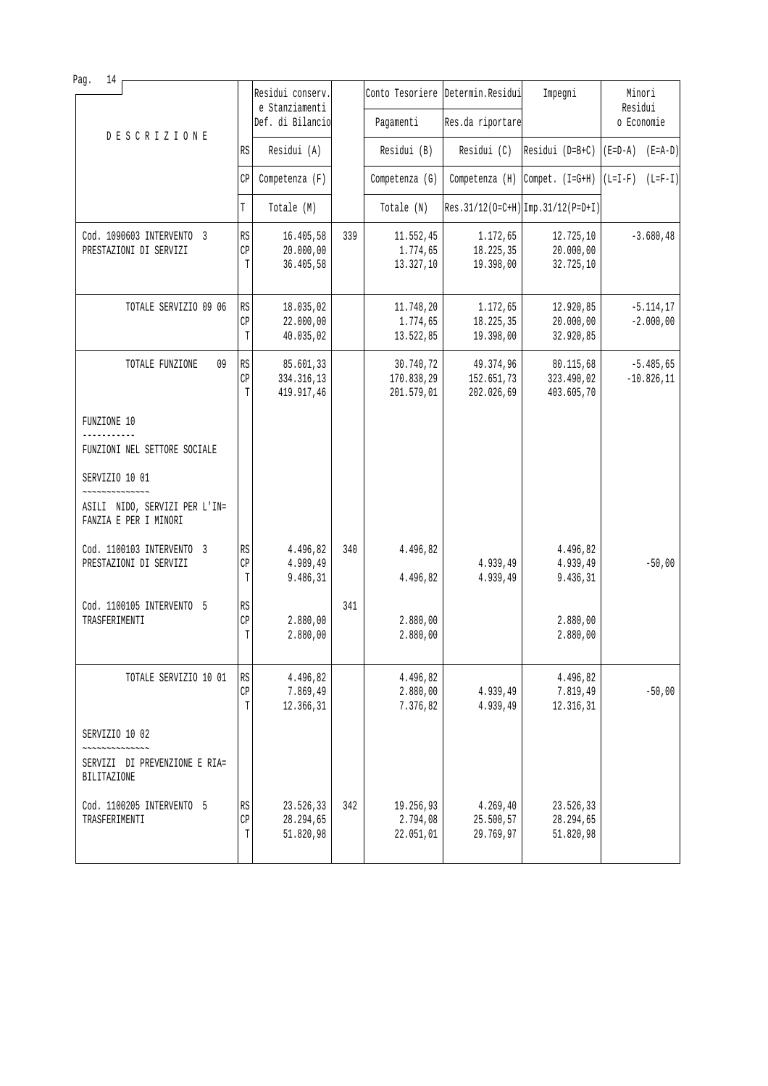| Pag.<br>14                                                                                              |                             |                                     |     |                                    |                                    |                                     |                             |
|---------------------------------------------------------------------------------------------------------|-----------------------------|-------------------------------------|-----|------------------------------------|------------------------------------|-------------------------------------|-----------------------------|
|                                                                                                         |                             | Residui conserv.<br>e Stanziamenti  |     |                                    | Conto Tesoriere Determin. Residui  | Impegni                             | Minori<br>Residui           |
| <b>DESCRIZIONE</b>                                                                                      |                             | Def. di Bilancio                    |     | Pagamenti                          | Res.da riportare                   |                                     | o Economie                  |
|                                                                                                         | RS                          | Residui (A)                         |     | Residui (B)                        | Residui (C)                        | Residui (D=B+C)                     | $(E=D-A)$ $(E=A-D)$         |
|                                                                                                         | СP                          | Competenza (F)                      |     | Competenza (G)                     |                                    | Competenza $(H)$ Compet. $(I=G+H)$  | $(L=I-F)$ $(L=F-I)$         |
|                                                                                                         | T                           | Totale (M)                          |     | Totale (N)                         |                                    | Res. 31/12(0=C+H) Imp. 31/12(P=D+I) |                             |
| Cod. 1090603 INTERVENTO 3                                                                               | RS                          | 16.405,58                           | 339 | 11.552,45                          | 1.172,65                           | 12.725,10                           | $-3.680, 48$                |
| PRESTAZIONI DI SERVIZI                                                                                  | $\mathbb{C}\mathbb{P}$<br>T | 20.000,00<br>36.405,58              |     | 1.774,65<br>13.327,10              | 18.225,35<br>19.398,00             | 20.000,00<br>32.725,10              |                             |
|                                                                                                         |                             |                                     |     |                                    |                                    |                                     |                             |
| TOTALE SERVIZIO 09 06                                                                                   | RS<br>СP                    | 18.035,02<br>22.000,00              |     | 11.748,20<br>1.774,65              | 1.172,65<br>18.225,35              | 12.920,85<br>20.000,00              | $-5.114, 17$<br>$-2.000,00$ |
|                                                                                                         | T                           | 40.035,02                           |     | 13.522,85                          | 19.398,00                          | 32.920,85                           |                             |
| TOTALE FUNZIONE<br>09                                                                                   | RS                          | 85.601,33                           |     | 30.740,72                          | 49.374,96                          | 80.115,68                           | $-5.485,65$                 |
|                                                                                                         | CP<br>T                     | 334.316,13<br>419.917,46            |     | 170.838,29<br>201.579,01           | 152.651,73<br>202.026,69           | 323.490,02<br>403.605,70            | $-10.826, 11$               |
| FUNZIONE 10                                                                                             |                             |                                     |     |                                    |                                    |                                     |                             |
| FUNZIONI NEL SETTORE SOCIALE                                                                            |                             |                                     |     |                                    |                                    |                                     |                             |
| SERVIZIO 10 01                                                                                          |                             |                                     |     |                                    |                                    |                                     |                             |
| ,,,,,,,,,,,,,,,,<br>ASILI NIDO, SERVIZI PER L'IN=<br>FANZIA E PER I MINORI                              |                             |                                     |     |                                    |                                    |                                     |                             |
| Cod. 1100103 INTERVENTO 3                                                                               | RS                          | 4.496,82                            | 340 | 4.496,82                           |                                    | 4.496,82                            |                             |
| PRESTAZIONI DI SERVIZI                                                                                  | CP<br>T                     | 4.989,49<br>9.486,31                |     | 4.496,82                           | 4.939,49<br>4.939,49               | 4.939,49<br>9.436,31                | $-50,00$                    |
| Cod. 1100105 INTERVENTO 5                                                                               | RS                          |                                     | 341 |                                    |                                    |                                     |                             |
| TRASFERIMENTI                                                                                           | CP<br>T                     | 2.880,00<br>2.880,00                |     | 2.880,00<br>2.880,00               |                                    | 2.880,00<br>2.880,00                |                             |
|                                                                                                         |                             |                                     |     |                                    |                                    |                                     |                             |
| TOTALE SERVIZIO 10 01                                                                                   | RS<br>СP                    | 4.496,82<br>7.869,49                |     | 4.496,82<br>2.880,00               | 4.939,49                           | 4.496,82<br>7.819,49                | $-50,00$                    |
|                                                                                                         | Т                           | 12.366,31                           |     | 7.376,82                           | 4.939,49                           | 12.316,31                           |                             |
| SERVIZIO 10 02                                                                                          |                             |                                     |     |                                    |                                    |                                     |                             |
| $\sim$ $\sim$ $\sim$ $\sim$ $\sim$ $\sim$ $\sim$ $\sim$<br>SERVIZI DI PREVENZIONE E RIA=<br>BILITAZIONE |                             |                                     |     |                                    |                                    |                                     |                             |
| Cod. 1100205 INTERVENTO 5<br>TRASFERIMENTI                                                              | RS<br>CP<br>T               | 23.526,33<br>28.294,65<br>51.820,98 | 342 | 19.256,93<br>2.794,08<br>22.051,01 | 4.269,40<br>25.500,57<br>29.769,97 | 23.526,33<br>28.294,65<br>51.820,98 |                             |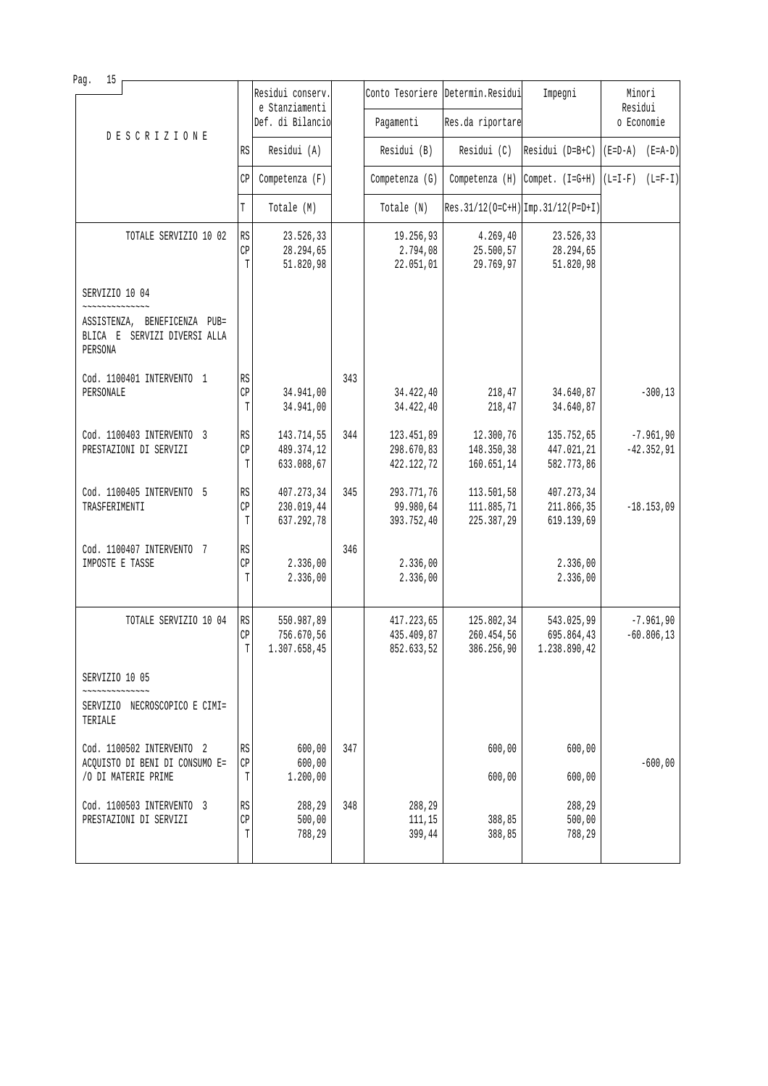| 15<br>Pag.                                                                                |                        |                                    |     |                          |                                   |                                                      |                     |
|-------------------------------------------------------------------------------------------|------------------------|------------------------------------|-----|--------------------------|-----------------------------------|------------------------------------------------------|---------------------|
|                                                                                           |                        | Residui conserv.<br>e Stanziamenti |     |                          | Conto Tesoriere Determin. Residui | Impegni                                              | Minori<br>Residui   |
| <b>DESCRIZIONE</b>                                                                        |                        | Def. di Bilancio                   |     | Pagamenti                | Res.da riportare                  |                                                      | o Economie          |
|                                                                                           | RS                     | Residui (A)                        |     | Residui (B)              | Residui (C)                       | $Residui (D=B+C)$                                    | $(E=D-A)$ $(E=A-D)$ |
|                                                                                           | CP                     | Competenza (F)                     |     | Competenza (G)           |                                   | Competenza (H) Compet. $(I=G+H)$ $(L=I-F)$ $(L=F-I)$ |                     |
|                                                                                           | T                      | Totale (M)                         |     | Totale (N)               |                                   | Res. 31/12(0=C+H) Imp. 31/12(P=D+I)                  |                     |
| TOTALE SERVIZIO 10 02                                                                     | RS                     | 23.526,33                          |     | 19.256,93                | 4.269,40                          | 23.526,33                                            |                     |
|                                                                                           | CP<br>T                | 28.294,65<br>51.820,98             |     | 2.794,08<br>22.051,01    | 25.500,57<br>29.769,97            | 28.294,65<br>51.820,98                               |                     |
| SERVIZIO 10 04                                                                            |                        |                                    |     |                          |                                   |                                                      |                     |
| ~~~~~~~~~~~~~~<br>ASSISTENZA, BENEFICENZA PUB=<br>BLICA E SERVIZI DIVERSI ALLA<br>PERSONA |                        |                                    |     |                          |                                   |                                                      |                     |
| Cod. 1100401 INTERVENTO 1                                                                 | RS                     |                                    | 343 |                          |                                   |                                                      |                     |
| PERSONALE                                                                                 | CP<br>$\mathbb T$      | 34.941,00<br>34.941,00             |     | 34.422,40<br>34.422,40   | 218,47<br>218,47                  | 34.640,87<br>34.640,87                               | $-300, 13$          |
| Cod. 1100403 INTERVENTO 3                                                                 | RS                     | 143.714,55                         | 344 | 123.451,89               | 12.300,76                         | 135.752,65                                           | $-7.961,90$         |
| PRESTAZIONI DI SERVIZI                                                                    | CP<br>T                | 489.374,12<br>633.088,67           |     | 298.670,83<br>422.122,72 | 148.350,38<br>160.651,14          | 447.021,21<br>582.773,86                             | $-42.352,91$        |
| Cod. 1100405 INTERVENTO 5                                                                 | RS                     | 407.273,34                         | 345 | 293.771,76               | 113.501,58                        | 407.273,34                                           |                     |
| TRASFERIMENTI                                                                             | CP<br>T                | 230.019,44<br>637.292,78           |     | 99.980,64<br>393.752,40  | 111.885,71<br>225.387,29          | 211.866,35<br>619.139,69                             | $-18.153,09$        |
| Cod. 1100407 INTERVENTO 7                                                                 | RS                     |                                    | 346 |                          |                                   |                                                      |                     |
| IMPOSTE E TASSE                                                                           | CP<br>T                | 2.336,00<br>2.336,00               |     | 2.336,00<br>2.336,00     |                                   | 2.336,00<br>2.336,00                                 |                     |
| TOTALE SERVIZIO 10 04                                                                     | $\mathbb{R}\mathbb{S}$ | 550.987,89                         |     | 417.223,65               | 125.802,34                        | 543.025,99                                           | $-7.961,90$         |
|                                                                                           | $\mathbb{CP}$<br>T     | 756.670,56<br>1.307.658,45         |     | 435.409,87<br>852.633,52 | 260.454,56<br>386.256,90          | 695.864,43<br>1.238.890,42                           | $-60.806, 13$       |
| SERVIZIO 10 05                                                                            |                        |                                    |     |                          |                                   |                                                      |                     |
| SERVIZIO NECROSCOPICO E CIMI=<br>TERIALE                                                  |                        |                                    |     |                          |                                   |                                                      |                     |
| Cod. 1100502 INTERVENTO 2                                                                 | RS                     | 600,00                             | 347 |                          | 600,00                            | 600,00                                               |                     |
| ACQUISTO DI BENI DI CONSUMO E=<br>/O DI MATERIE PRIME                                     | $\mathbb{CP}$<br>T     | 600,00<br>1.200,00                 |     |                          | 600,00                            | 600,00                                               | $-600,00$           |
| Cod. 1100503 INTERVENTO 3                                                                 | RS                     | 288,29                             | 348 | 288,29                   |                                   | 288,29                                               |                     |
| PRESTAZIONI DI SERVIZI                                                                    | CP<br>T                | 500,00<br>788,29                   |     | 111,15<br>399,44         | 388,85<br>388,85                  | 500,00<br>788,29                                     |                     |
|                                                                                           |                        |                                    |     |                          |                                   |                                                      |                     |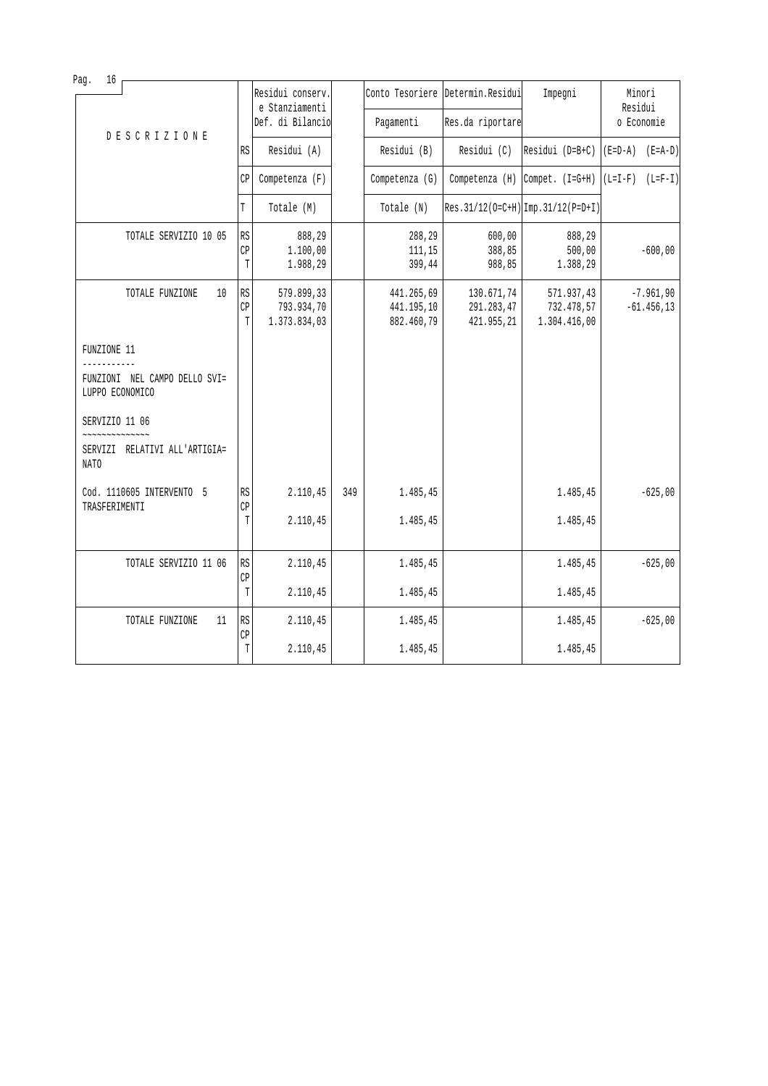| Pag.<br>16                                              |               | Residui conserv.<br>e Stanziamenti<br>Def. di Bilancio |     | Pagamenti                              | Conto Tesoriere Determin. Residui<br>Res.da riportare | Impegni                                      | Minori<br>Residui<br>o Economie |
|---------------------------------------------------------|---------------|--------------------------------------------------------|-----|----------------------------------------|-------------------------------------------------------|----------------------------------------------|---------------------------------|
| <b>DESCRIZIONE</b>                                      | RS            | Residui (A)                                            |     | Residui (B)                            | Residui (C)                                           | Residui (D=B+C)                              | $(E=D-A)$ $(E=A-D)$             |
|                                                         | СP            | Competenza (F)                                         |     | Competenza (G)                         | Competenza (H)                                        | $\text{Compet.} \left( \text{I=G+H} \right)$ | $(L=I-F)$<br>$(L=F-I)$          |
|                                                         | T             | Totale (M)                                             |     | Totale (N)                             |                                                       | $Res.31/12(O=C+H)$ Imp. 31/12(P=D+I)         |                                 |
| TOTALE SERVIZIO 10 05                                   | RS<br>CP<br>T | 888,29<br>1.100,00<br>1.988,29                         |     | 288,29<br>111,15<br>399,44             | 600,00<br>388,85<br>988,85                            | 888,29<br>500,00<br>1.388,29                 | $-600,00$                       |
| TOTALE FUNZIONE<br>10                                   | RS<br>CP<br>T | 579.899,33<br>793.934,70<br>1.373.834,03               |     | 441.265,69<br>441.195,10<br>882.460,79 | 130.671,74<br>291.283,47<br>421.955,21                | 571.937,43<br>732.478,57<br>1.304.416,00     | $-7.961,90$<br>$-61.456, 13$    |
| FUNZIONE 11                                             |               |                                                        |     |                                        |                                                       |                                              |                                 |
| FUNZIONI NEL CAMPO DELLO SVI=<br>LUPPO ECONOMICO        |               |                                                        |     |                                        |                                                       |                                              |                                 |
| SERVIZIO 11 06<br>SERVIZI RELATIVI ALL'ARTIGIA=<br>NATO |               |                                                        |     |                                        |                                                       |                                              |                                 |
| Cod. 1110605 INTERVENTO 5                               | <b>RS</b>     | 2.110,45                                               | 349 | 1.485,45                               |                                                       | 1.485,45                                     | $-625,00$                       |
| TRASFERIMENTI                                           | CP<br>T       | 2.110,45                                               |     | 1.485,45                               |                                                       | 1.485,45                                     |                                 |
| TOTALE SERVIZIO 11 06                                   | <b>RS</b>     | 2.110,45                                               |     | 1.485,45                               |                                                       | 1.485,45                                     | $-625,00$                       |
|                                                         | CP<br>T       | 2.110,45                                               |     | 1.485,45                               |                                                       | 1.485,45                                     |                                 |
| 11<br>TOTALE FUNZIONE                                   | RS<br>CP      | 2.110,45                                               |     | 1.485,45                               |                                                       | 1.485,45                                     | $-625,00$                       |
|                                                         | T             | 2.110,45                                               |     | 1.485,45                               |                                                       | 1.485,45                                     |                                 |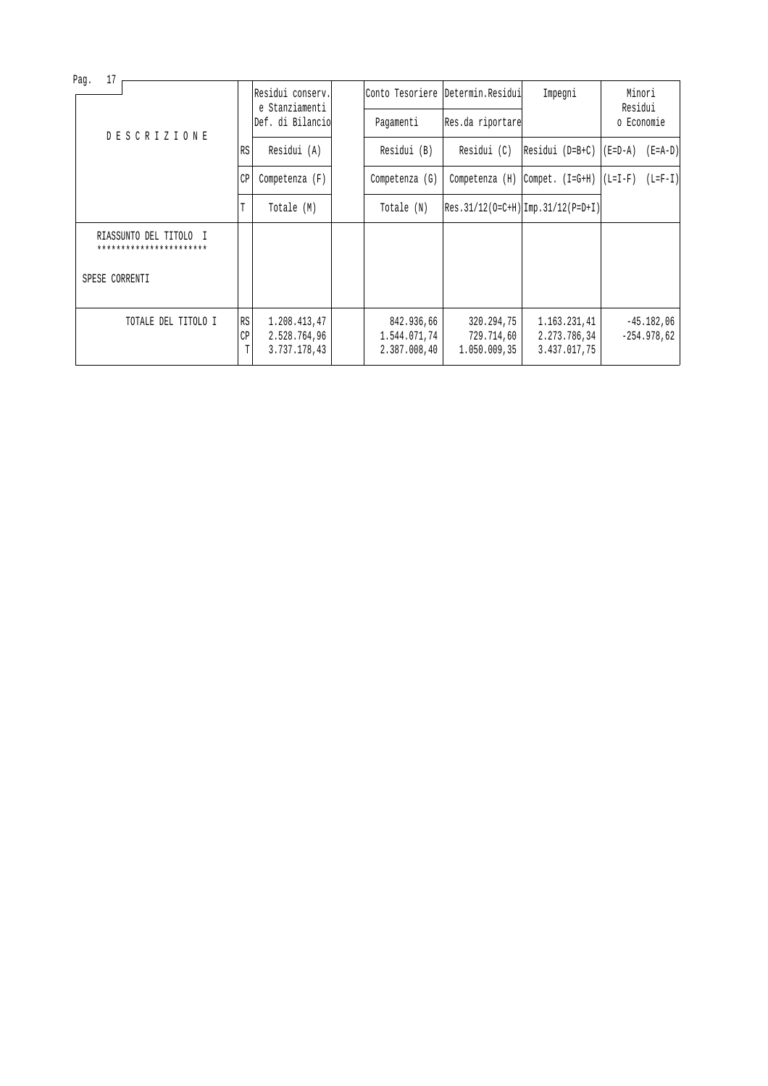|                     |                                                                                                 | Residui conserv.                             |                      |                                            |                                          | Impegni                                      | Minori                                                                      |                                                                       |
|---------------------|-------------------------------------------------------------------------------------------------|----------------------------------------------|----------------------|--------------------------------------------|------------------------------------------|----------------------------------------------|-----------------------------------------------------------------------------|-----------------------------------------------------------------------|
|                     |                                                                                                 |                                              |                      | Pagamenti                                  |                                          |                                              | o Economie                                                                  |                                                                       |
|                     | RS                                                                                              | Residui (A)                                  |                      | Residui (B)                                | Residui (C)                              |                                              | $(E=D-A)$ $(E=A-D)$                                                         |                                                                       |
|                     | СP                                                                                              | Competenza $(F)$                             |                      | $Competenza$ (G)                           | Competenza (H)                           |                                              | $(L=I-F)$                                                                   | $(L=F-I)$                                                             |
|                     | T                                                                                               | Totale (M)                                   |                      | Totale (N)                                 |                                          |                                              |                                                                             |                                                                       |
|                     |                                                                                                 |                                              |                      |                                            |                                          |                                              |                                                                             |                                                                       |
|                     |                                                                                                 |                                              |                      |                                            |                                          |                                              |                                                                             |                                                                       |
| TOTALE DEL TITOLO I | СP<br>T                                                                                         | 1.208.413,47<br>2.528.764,96<br>3.737.178,43 |                      | 842.936,66<br>1.544.071,74<br>2.387.008,40 | 320.294,75<br>729.714,60<br>1.050.009,35 | 1.163.231.41<br>2.273.786,34<br>3.437.017,75 |                                                                             | $-45.182,06$<br>$-254.978.62$                                         |
|                     | 17<br><b>DESCRIZIONE</b><br>RIASSUNTO DEL TITOLO I<br>***********************<br>SPESE CORRENTI |                                              | e Stanziamenti<br>RS | Def. di Bilancio                           |                                          |                                              | Conto Tesoriere   Determin. Residui <br>Res.da riportare<br>Compet. (I=G+H) | Residui<br>Residui (D=B+C)  <br>$ Res.31/12(0=C+H) Imp.31/12(P=D+I) $ |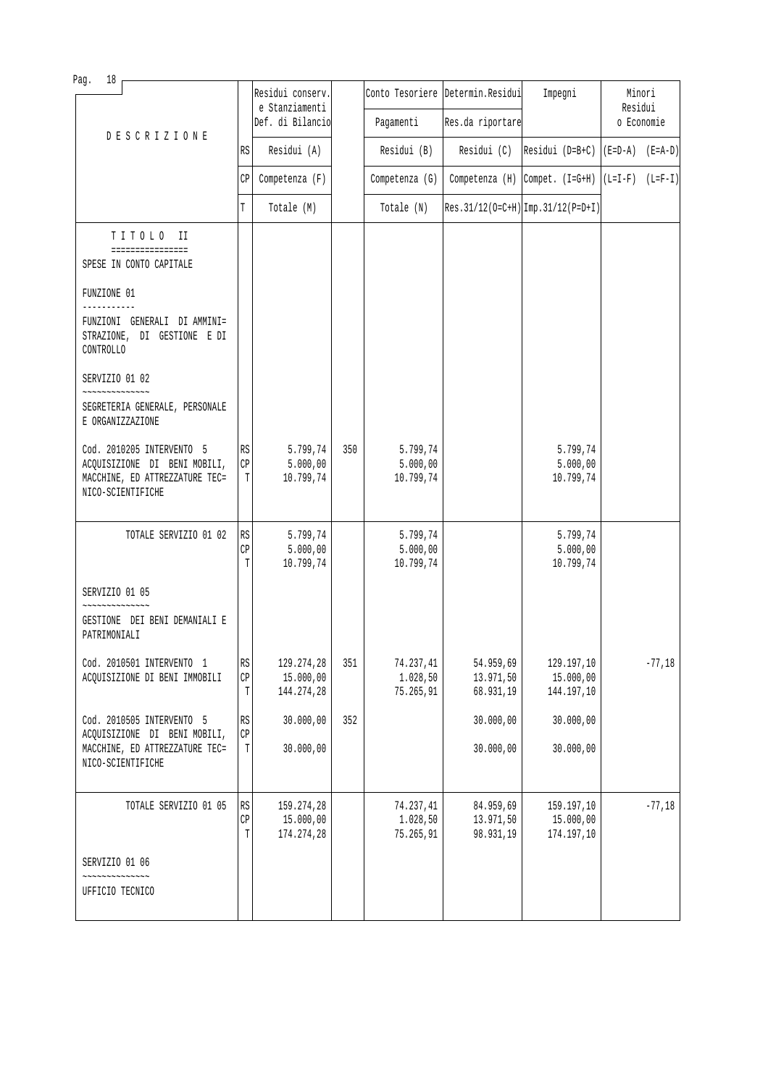| Pag.<br>18                                                                                                       |                                                       |                                       |     |                                    |                                     |                                                    |                   |          |
|------------------------------------------------------------------------------------------------------------------|-------------------------------------------------------|---------------------------------------|-----|------------------------------------|-------------------------------------|----------------------------------------------------|-------------------|----------|
|                                                                                                                  |                                                       | Residui conserv.<br>e Stanziamenti    |     |                                    | Conto Tesoriere Determin. Residui   | Impegni                                            | Minori<br>Residui |          |
| <b>DESCRIZIONE</b>                                                                                               |                                                       | Def. di Bilancio                      |     | Pagamenti                          | Res.da riportare                    |                                                    | o Economie        |          |
|                                                                                                                  | RS                                                    | Residui (A)                           |     | Residui (B)                        | Residui (C)                         | Residui (D=B+C) $ (E=D-A)$ (E=A-D)                 |                   |          |
|                                                                                                                  | СP                                                    | Competenza (F)                        |     | Competenza (G)                     |                                     | Competenza (H) Compet. $(I=G+H)   (L=I-F) (L=F-I)$ |                   |          |
|                                                                                                                  | T                                                     | Totale (M)                            |     | Totale (N)                         |                                     | $Res.31/12(O=C+H)$ Imp. 31/12(P=D+I)               |                   |          |
| TITOLO II                                                                                                        |                                                       |                                       |     |                                    |                                     |                                                    |                   |          |
| ================<br>SPESE IN CONTO CAPITALE                                                                      |                                                       |                                       |     |                                    |                                     |                                                    |                   |          |
| FUNZIONE 01                                                                                                      |                                                       |                                       |     |                                    |                                     |                                                    |                   |          |
| FUNZIONI GENERALI DI AMMINI=<br>STRAZIONE, DI GESTIONE E DI<br>CONTROLLO                                         |                                                       |                                       |     |                                    |                                     |                                                    |                   |          |
| SERVIZIO 01 02                                                                                                   |                                                       |                                       |     |                                    |                                     |                                                    |                   |          |
| SEGRETERIA GENERALE, PERSONALE<br>E ORGANIZZAZIONE                                                               |                                                       |                                       |     |                                    |                                     |                                                    |                   |          |
| Cod. 2010205 INTERVENTO 5<br>ACQUISIZIONE DI BENI MOBILI,<br>MACCHINE, ED ATTREZZATURE TEC=<br>NICO-SCIENTIFICHE | RS<br>CP<br>T                                         | 5.799,74<br>5.000,00<br>10.799,74     | 350 | 5.799,74<br>5.000,00<br>10.799,74  |                                     | 5.799,74<br>5.000,00<br>10.799,74                  |                   |          |
| TOTALE SERVIZIO 01 02                                                                                            | RS<br>CP<br>T                                         | 5.799,74<br>5.000,00<br>10.799,74     |     | 5.799,74<br>5.000,00<br>10.799,74  |                                     | 5.799,74<br>5.000,00<br>10.799,74                  |                   |          |
| SERVIZIO 01 05                                                                                                   |                                                       |                                       |     |                                    |                                     |                                                    |                   |          |
| GESTIONE DEI BENI DEMANIALI E<br>PATRIMONIALI                                                                    |                                                       |                                       |     |                                    |                                     |                                                    |                   |          |
| Cod. 2010501 INTERVENTO 1<br>ACQUISIZIONE DI BENI IMMOBILI                                                       | $\mathbb{R}\mathbb{S}$<br>$\mathbb{C}\mathbb{P}$<br>T | 129.274,28<br>15.000,00<br>144.274,28 | 351 | 74.237,41<br>1.028,50<br>75.265,91 | 54.959,69<br>13.971,50<br>68.931,19 | 129.197,10<br>15.000,00<br>144.197,10              |                   | $-77,18$ |
| Cod. 2010505 INTERVENTO 5<br>ACQUISIZIONE DI BENI MOBILI,                                                        | RS<br>CP                                              | 30.000,00                             | 352 |                                    | 30.000,00                           | 30.000,00                                          |                   |          |
| MACCHINE, ED ATTREZZATURE TEC=<br>NICO-SCIENTIFICHE                                                              | T                                                     | 30.000,00                             |     |                                    | 30.000,00                           | 30.000,00                                          |                   |          |
| TOTALE SERVIZIO 01 05                                                                                            | RS<br>CP<br>T                                         | 159.274,28<br>15.000,00<br>174.274,28 |     | 74.237,41<br>1.028,50<br>75.265,91 | 84.959,69<br>13.971,50<br>98.931,19 | 159.197,10<br>15.000,00<br>174.197,10              |                   | $-77,18$ |
| SERVIZIO 01 06                                                                                                   |                                                       |                                       |     |                                    |                                     |                                                    |                   |          |
| UFFICIO TECNICO                                                                                                  |                                                       |                                       |     |                                    |                                     |                                                    |                   |          |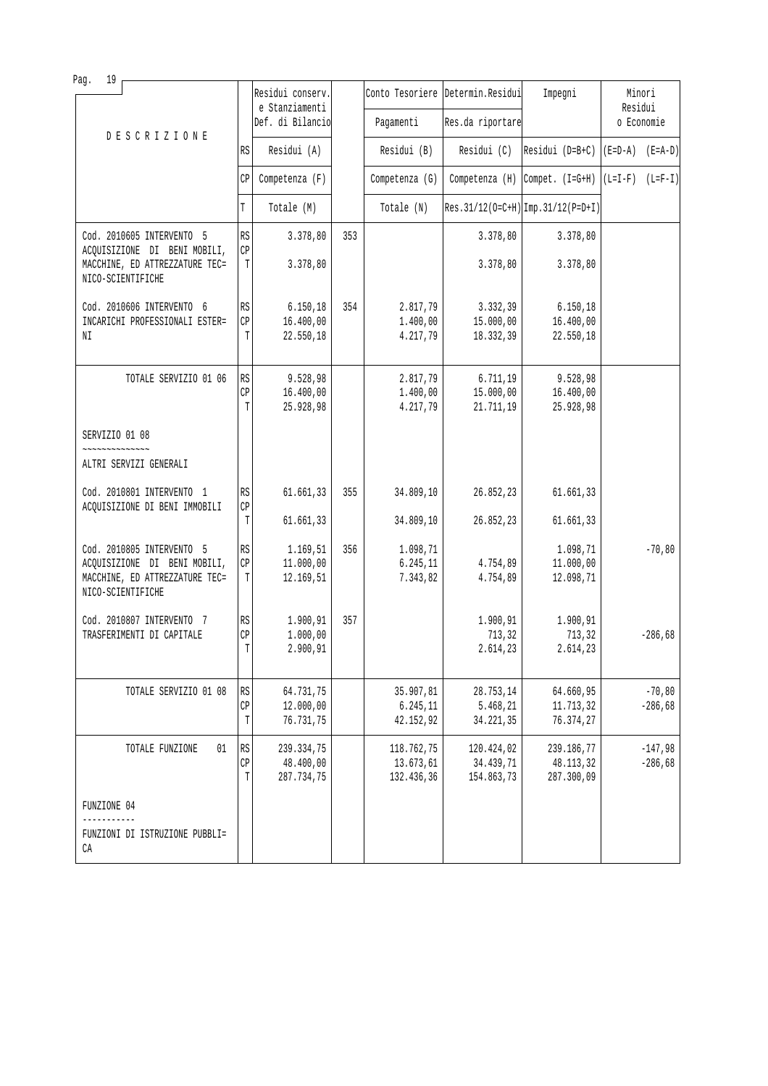| 19<br>Pag.                                                                          |                              |                                    |     |                         |                                   |                                      |                     |           |
|-------------------------------------------------------------------------------------|------------------------------|------------------------------------|-----|-------------------------|-----------------------------------|--------------------------------------|---------------------|-----------|
|                                                                                     |                              | Residui conserv.<br>e Stanziamenti |     |                         | Conto Tesoriere Determin. Residui | Impegni                              | Minori<br>Residui   |           |
| <b>DESCRIZIONE</b>                                                                  |                              | Def. di Bilancio                   |     | Pagamenti               | Res.da riportare                  |                                      | o Economie          |           |
|                                                                                     | RS                           | Residui (A)                        |     | Residui (B)             | Residui (C)                       | $[Residui (D=B+C) [(E=D-A) (E=A-D)]$ |                     |           |
|                                                                                     | СP                           | Competenza (F)                     |     | Competenza (G)          |                                   | Competenza $(H)$ Compet. $(I=G+H)$   | $(L=I-F)$ $(L=F-I)$ |           |
|                                                                                     | T                            | Totale (M)                         |     | Totale (N)              |                                   | $Res.31/12(O=C+H)$ Imp. 31/12(P=D+I) |                     |           |
| Cod. 2010605 INTERVENTO 5                                                           | RS                           | 3.378,80                           | 353 |                         | 3.378,80                          | 3.378,80                             |                     |           |
| ACQUISIZIONE DI BENI MOBILI,<br>MACCHINE, ED ATTREZZATURE TEC=<br>NICO-SCIENTIFICHE | $\mathbb{C}\mathbb{P}$<br>T  | 3.378,80                           |     |                         | 3.378,80                          | 3.378,80                             |                     |           |
| Cod. 2010606 INTERVENTO 6                                                           | <b>RS</b>                    | 6.150, 18                          | 354 | 2.817,79                | 3.332,39                          | 6.150, 18                            |                     |           |
| INCARICHI PROFESSIONALI ESTER=<br>ΝI                                                | CP<br>T                      | 16.400,00<br>22.550,18             |     | 1.400,00<br>4.217,79    | 15.000,00<br>18.332,39            | 16.400,00<br>22.550,18               |                     |           |
| TOTALE SERVIZIO 01 06                                                               | RS<br>CP                     | 9.528,98                           |     | 2.817,79                | 6.711,19                          | 9.528,98                             |                     |           |
|                                                                                     | T                            | 16.400,00<br>25.928,98             |     | 1.400,00<br>4.217,79    | 15.000,00<br>21.711,19            | 16.400,00<br>25.928,98               |                     |           |
| SERVIZIO 01 08<br>~~~~~~~~~~~~~~                                                    |                              |                                    |     |                         |                                   |                                      |                     |           |
| ALTRI SERVIZI GENERALI                                                              |                              |                                    |     |                         |                                   |                                      |                     |           |
| Cod. 2010801 INTERVENTO 1<br>ACQUISIZIONE DI BENI IMMOBILI                          | RS<br>CP                     | 61.661,33                          | 355 | 34.809,10               | 26.852,23                         | 61.661,33                            |                     |           |
|                                                                                     | T                            | 61.661,33                          |     | 34.809,10               | 26.852,23                         | 61.661,33                            |                     |           |
| Cod. 2010805 INTERVENTO 5                                                           | RS<br>CP                     | 1.169,51                           | 356 | 1.098,71                |                                   | 1.098,71                             |                     | $-70, 80$ |
| ACQUISIZIONE DI BENI MOBILI,<br>MACCHINE, ED ATTREZZATURE TEC=<br>NICO-SCIENTIFICHE | Т                            | 11.000,00<br>12.169,51             |     | 6.245,11<br>7.343,82    | 4.754,89<br>4.754,89              | 11.000,00<br>12.098,71               |                     |           |
| Cod. 2010807 INTERVENTO 7<br>TRASFERIMENTI DI CAPITALE                              | $\mathbb{R}\mathbb{S}$       | 1.900,91                           | 357 |                         | 1.900,91                          | 1.900,91                             |                     |           |
|                                                                                     | CP<br>T                      | 1.000,00<br>2.900,91               |     |                         | 713,32<br>2.614,23                | 713,32<br>2.614,23                   |                     | $-286,68$ |
| TOTALE SERVIZIO 01 08                                                               | RS                           | 64.731,75                          |     | 35.907,81               | 28.753,14                         | 64.660,95                            |                     | $-70, 80$ |
|                                                                                     | СP<br>T                      | 12.000,00<br>76.731,75             |     | 6.245,11<br>42.152,92   | 5.468,21<br>34.221,35             | 11.713,32<br>76.374,27               |                     | $-286,68$ |
| TOTALE FUNZIONE<br>01                                                               | $\mathbb{R}\mathbb{S}$<br>CP | 239.334,75                         |     | 118.762,75<br>13.673,61 | 120.424,02                        | 239.186,77                           |                     | $-147,98$ |
|                                                                                     | T                            | 48.400,00<br>287.734,75            |     | 132.436,36              | 34.439,71<br>154.863,73           | 48.113,32<br>287.300,09              |                     | $-286,68$ |
| FUNZIONE 04                                                                         |                              |                                    |     |                         |                                   |                                      |                     |           |
| ------<br>FUNZIONI DI ISTRUZIONE PUBBLI=<br>СA                                      |                              |                                    |     |                         |                                   |                                      |                     |           |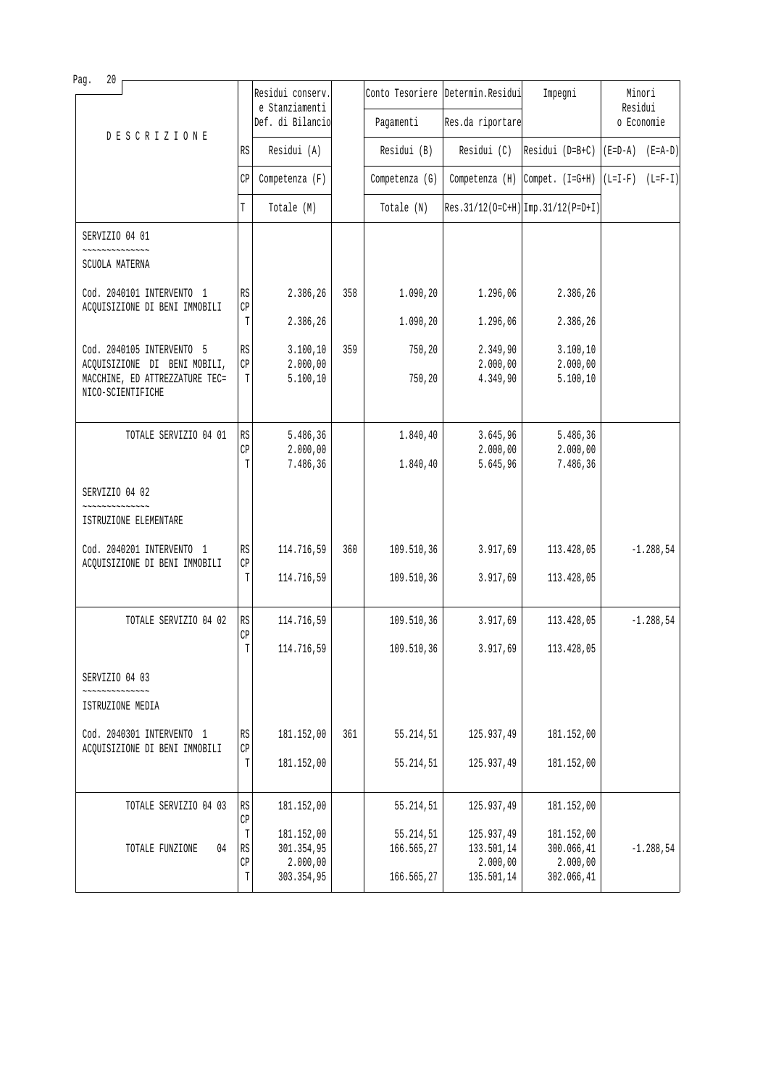| Pag.<br>20                                                                          |                              | Residui conserv.                 |     |                         | Conto Tesoriere Determin. Residui |                                         | Minori              |
|-------------------------------------------------------------------------------------|------------------------------|----------------------------------|-----|-------------------------|-----------------------------------|-----------------------------------------|---------------------|
|                                                                                     |                              | e Stanziamenti                   |     |                         |                                   | Impegni                                 | Residui             |
| <b>DESCRIZIONE</b>                                                                  |                              | Def. di Bilancio                 |     | Pagamenti               | Res.da riportare                  |                                         | o Economie          |
|                                                                                     | RS                           | Residui (A)                      |     | Residui (B)             | Residui (C)                       | Residui (D=B+C)                         | $(E=D-A)$ $(E=A-D)$ |
|                                                                                     | CP                           | Competenza (F)                   |     | Competenza (G)          |                                   | Competenza $(H)$ Compet. $(I=G+H)$      | $(L=I-F)$ $(L=F-I)$ |
|                                                                                     | T                            | Totale (M)                       |     | Totale (N)              |                                   | $Res. 31/12(O=C+H)$ Imp. $31/12(P=D+I)$ |                     |
| SERVIZIO 04 01                                                                      |                              |                                  |     |                         |                                   |                                         |                     |
| ~~~~~~~~~~~~~~<br>SCUOLA MATERNA                                                    |                              |                                  |     |                         |                                   |                                         |                     |
| Cod. 2040101 INTERVENTO 1<br>ACQUISIZIONE DI BENI IMMOBILI                          | RS<br>CP                     | 2.386,26                         | 358 | 1.090,20                | 1.296,06                          | 2.386,26                                |                     |
|                                                                                     | T                            | 2.386,26                         |     | 1.090,20                | 1.296,06                          | 2.386,26                                |                     |
| Cod. 2040105 INTERVENTO 5                                                           | RS                           | 3.100, 10                        | 359 | 750,20                  | 2.349,90                          | 3.100, 10                               |                     |
| ACQUISIZIONE DI BENI MOBILI,<br>MACCHINE, ED ATTREZZATURE TEC=<br>NICO-SCIENTIFICHE | $\mathbb{C}\mathbb{P}$<br>T  | 2.000,00<br>5.100, 10            |     | 750,20                  | 2.000,00<br>4.349,90              | 2.000,00<br>5.100, 10                   |                     |
| TOTALE SERVIZIO 04 01                                                               | RS<br>CP<br>T                | 5.486,36<br>2.000,00<br>7.486,36 |     | 1.840,40<br>1.840,40    | 3.645,96<br>2.000,00<br>5.645,96  | 5.486,36<br>2.000,00<br>7.486,36        |                     |
| SERVIZIO 04 02                                                                      |                              |                                  |     |                         |                                   |                                         |                     |
| ISTRUZIONE ELEMENTARE                                                               |                              |                                  |     |                         |                                   |                                         |                     |
| Cod. 2040201 INTERVENTO 1<br>ACQUISIZIONE DI BENI IMMOBILI                          | RS<br>CP                     | 114.716,59                       | 360 | 109.510,36              | 3.917,69                          | 113.428,05                              | $-1.288,54$         |
|                                                                                     | T                            | 114.716,59                       |     | 109.510,36              | 3.917,69                          | 113.428,05                              |                     |
| TOTALE SERVIZIO 04 02                                                               | RS<br>$\mathbb{C}\mathbb{P}$ | 114.716,59                       |     | 109.510,36              | 3.917,69                          | 113.428,05                              | $-1.288,54$         |
|                                                                                     | T                            | 114.716,59                       |     | 109.510,36              | 3.917,69                          | 113.428,05                              |                     |
| SERVIZIO 04 03                                                                      |                              |                                  |     |                         |                                   |                                         |                     |
| ISTRUZIONE MEDIA                                                                    |                              |                                  |     |                         |                                   |                                         |                     |
| Cod. 2040301 INTERVENTO 1<br>ACQUISIZIONE DI BENI IMMOBILI                          | RS<br>$\mathbb{CP}$          | 181.152,00                       | 361 | 55.214,51               | 125.937,49                        | 181.152,00                              |                     |
|                                                                                     | T                            | 181.152,00                       |     | 55.214,51               | 125.937,49                        | 181.152,00                              |                     |
| TOTALE SERVIZIO 04 03                                                               | $\mathbb{R}\mathbb{S}$<br>CP | 181.152,00                       |     | 55.214,51               | 125.937,49                        | 181.152,00                              |                     |
| 04<br>TOTALE FUNZIONE                                                               | T<br>RS                      | 181.152,00<br>301.354,95         |     | 55.214,51<br>166.565,27 | 125.937,49<br>133.501,14          | 181.152,00<br>300.066,41                | $-1.288,54$         |
|                                                                                     | $\mathbb{CP}$<br>T           | 2.000,00<br>303.354,95           |     | 166.565,27              | 2.000,00<br>135.501,14            | 2.000,00<br>302.066,41                  |                     |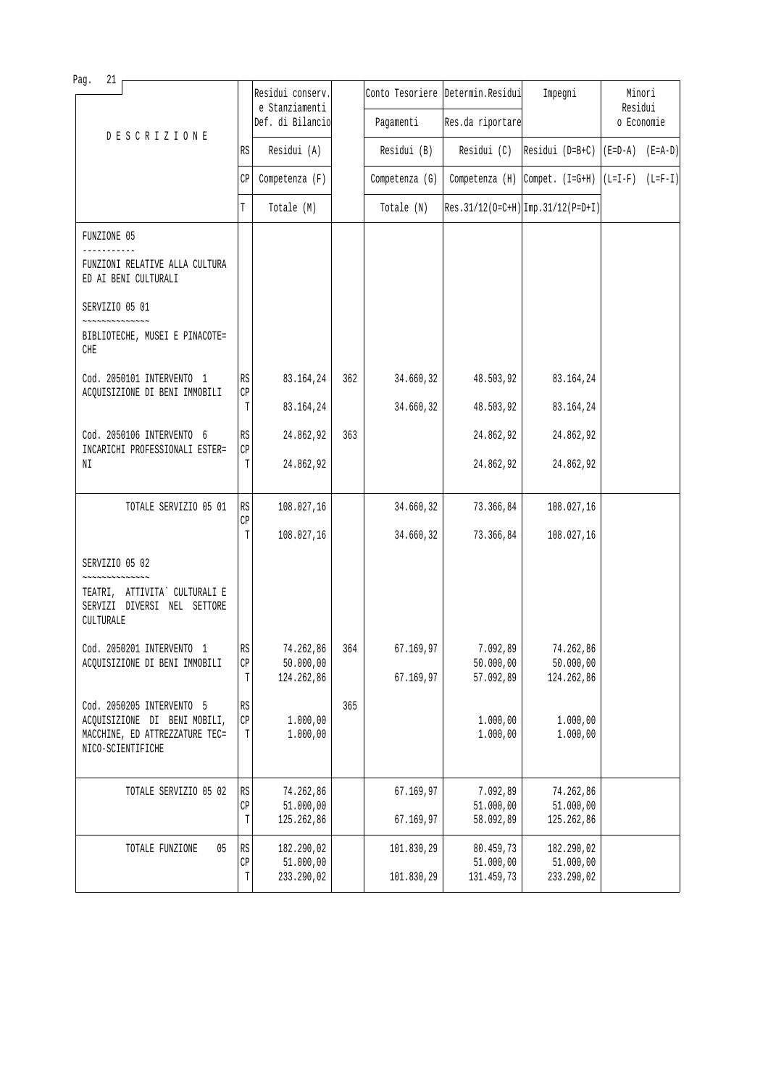| Pag.<br>21                                                                          |                             |                                    |     |                |                                   |                                                                                                   |                   |  |
|-------------------------------------------------------------------------------------|-----------------------------|------------------------------------|-----|----------------|-----------------------------------|---------------------------------------------------------------------------------------------------|-------------------|--|
|                                                                                     |                             | Residui conserv.<br>e Stanziamenti |     |                | Conto Tesoriere Determin. Residui | Impegni                                                                                           | Minori<br>Residui |  |
| <b>DESCRIZIONE</b>                                                                  |                             | Def. di Bilancio                   |     | Pagamenti      | Res.da riportare                  |                                                                                                   | o Economie        |  |
|                                                                                     | RS                          | Residui (A)                        |     | Residui (B)    | Residui (C)                       | $\begin{bmatrix} \text{Residui} & \text{(D=B+C)} & \text{(E=D-A)} & \text{(E=A-D)} \end{bmatrix}$ |                   |  |
|                                                                                     | СP                          | Competenza (F)                     |     | Competenza (G) |                                   | Competenza (H) Compet. $(I=G+H)   (L=I-F) (L=F-I)$                                                |                   |  |
|                                                                                     | T                           | Totale (M)                         |     | Totale (N)     |                                   | $Res. 31/12(O=C+H)$ Imp. $31/12(P=D+I)$                                                           |                   |  |
| FUNZIONE 05                                                                         |                             |                                    |     |                |                                   |                                                                                                   |                   |  |
| FUNZIONI RELATIVE ALLA CULTURA<br>ED AI BENI CULTURALI                              |                             |                                    |     |                |                                   |                                                                                                   |                   |  |
| SERVIZIO 05 01                                                                      |                             |                                    |     |                |                                   |                                                                                                   |                   |  |
| **************<br>BIBLIOTECHE, MUSEI E PINACOTE=<br>CHE                             |                             |                                    |     |                |                                   |                                                                                                   |                   |  |
| Cod. 2050101 INTERVENTO 1                                                           | RS                          | 83.164,24                          | 362 | 34.660,32      | 48.503,92                         | 83.164,24                                                                                         |                   |  |
| ACQUISIZIONE DI BENI IMMOBILI                                                       | $\mathbb{CP}$<br>T          | 83.164,24                          |     | 34.660,32      | 48.503,92                         | 83.164,24                                                                                         |                   |  |
| Cod. 2050106 INTERVENTO 6                                                           | RS                          | 24.862,92                          | 363 |                | 24.862,92                         | 24.862,92                                                                                         |                   |  |
| INCARICHI PROFESSIONALI ESTER=<br>ΝI                                                | CP<br>T                     | 24.862,92                          |     |                | 24.862,92                         | 24.862,92                                                                                         |                   |  |
| TOTALE SERVIZIO 05 01                                                               | RS                          | 108.027,16                         |     | 34.660,32      | 73.366,84                         | 108.027,16                                                                                        |                   |  |
|                                                                                     | CP<br>T                     | 108.027,16                         |     | 34.660,32      | 73.366,84                         | 108.027,16                                                                                        |                   |  |
| SERVIZIO 05 02                                                                      |                             |                                    |     |                |                                   |                                                                                                   |                   |  |
| TEATRI, ATTIVITA` CULTURALI E<br>SERVIZI DIVERSI NEL SETTORE<br>CULTURALE           |                             |                                    |     |                |                                   |                                                                                                   |                   |  |
| Cod. 2050201 INTERVENTO 1                                                           | RS                          | 74.262,86                          | 364 | 67.169,97      | 7.092,89                          | 74.262,86                                                                                         |                   |  |
| ACQUISIZIONE DI BENI IMMOBILI                                                       | $\mathbb{C}\mathbb{P}$<br>T | 50.000,00<br>124.262,86            |     | 67.169,97      | 50.000,00<br>57.092,89            | 50.000,00<br>124.262,86                                                                           |                   |  |
| Cod. 2050205 INTERVENTO 5                                                           | $\mathbb{R}\mathbb{S}$      |                                    | 365 |                |                                   |                                                                                                   |                   |  |
| ACQUISIZIONE DI BENI MOBILI,<br>MACCHINE, ED ATTREZZATURE TEC=<br>NICO-SCIENTIFICHE | $\mathbb{C}\mathbb{P}$<br>T | 1.000,00<br>1.000,00               |     |                | 1.000,00<br>1.000,00              | 1.000,00<br>1.000,00                                                                              |                   |  |
| TOTALE SERVIZIO 05 02                                                               | $\mathbb{R}\mathbb{S}$      | 74.262,86                          |     | 67.169,97      | 7.092,89                          | 74.262,86                                                                                         |                   |  |
|                                                                                     | $\mathbb{C}\mathbb{P}$<br>T | 51.000,00<br>125.262,86            |     | 67.169,97      | 51.000,00<br>58.092,89            | 51.000,00<br>125.262,86                                                                           |                   |  |
| TOTALE FUNZIONE<br>$05\,$                                                           | $\mathbb{R}\mathbb{S}$      | 182.290,02                         |     | 101.830,29     | 80.459,73                         | 182.290,02                                                                                        |                   |  |
|                                                                                     | $\mathbb{C}\mathbb{P}$<br>Т | 51.000,00<br>233.290,02            |     | 101.830,29     | 51.000,00<br>131.459,73           | 51.000,00<br>233.290,02                                                                           |                   |  |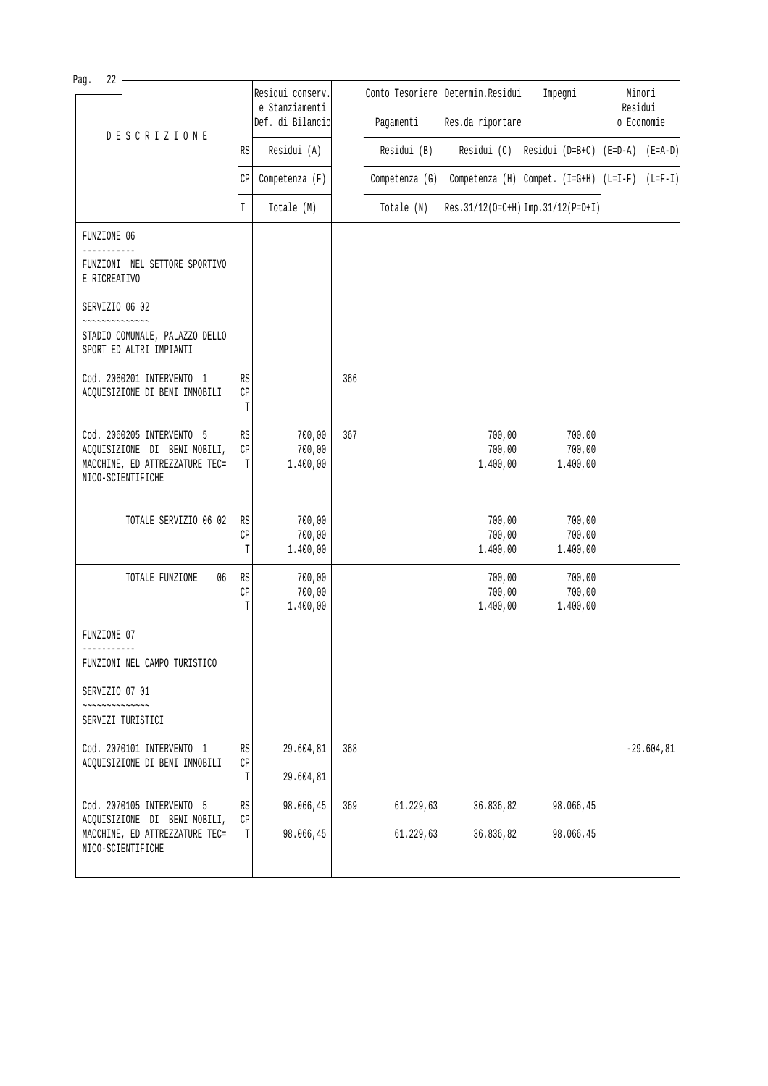| Pag.<br>22        |                                                                                             |                                   |                                    |     |                |                                   |                                                                                                   |                   |               |
|-------------------|---------------------------------------------------------------------------------------------|-----------------------------------|------------------------------------|-----|----------------|-----------------------------------|---------------------------------------------------------------------------------------------------|-------------------|---------------|
|                   |                                                                                             |                                   | Residui conserv.<br>e Stanziamenti |     |                | Conto Tesoriere Determin. Residui | Impegni                                                                                           | Minori<br>Residui |               |
|                   | <b>DESCRIZIONE</b>                                                                          |                                   | Def. di Bilancio                   |     | Pagamenti      | Res.da riportare                  |                                                                                                   |                   | o Economie    |
|                   |                                                                                             | RS                                | Residui (A)                        |     | Residui (B)    | Residui (C)                       | $\begin{bmatrix} \text{Residui} & \text{(D=B+C)} & \text{(E=D-A)} & \text{(E=A-D)} \end{bmatrix}$ |                   |               |
|                   |                                                                                             | CP                                | Competenza (F)                     |     | Competenza (G) |                                   | Competenza (H) $\lceil$ Compet. (I=G+H) $\lceil$ (L=I-F) (L=F-I)                                  |                   |               |
|                   |                                                                                             | T                                 | Totale (M)                         |     | Totale (N)     |                                   | $Res.31/12(O=C+H)$ Imp. 31/12(P=D+I)                                                              |                   |               |
| FUNZIONE 06       |                                                                                             |                                   |                                    |     |                |                                   |                                                                                                   |                   |               |
| E RICREATIVO      | FUNZIONI NEL SETTORE SPORTIVO                                                               |                                   |                                    |     |                |                                   |                                                                                                   |                   |               |
| SERVIZIO 06 02    |                                                                                             |                                   |                                    |     |                |                                   |                                                                                                   |                   |               |
|                   | STADIO COMUNALE, PALAZZO DELLO<br>SPORT ED ALTRI IMPIANTI                                   |                                   |                                    |     |                |                                   |                                                                                                   |                   |               |
|                   | Cod. 2060201 INTERVENTO 1<br>ACQUISIZIONE DI BENI IMMOBILI                                  | RS<br>$\mathbb{CP}$<br>T          |                                    | 366 |                |                                   |                                                                                                   |                   |               |
| NICO-SCIENTIFICHE | Cod. 2060205 INTERVENTO 5<br>ACQUISIZIONE DI BENI MOBILI,<br>MACCHINE, ED ATTREZZATURE TEC= | RS<br>$\mathbb{C}\mathbb{P}$<br>T | 700,00<br>700,00<br>1.400,00       | 367 |                | 700,00<br>700,00<br>1.400,00      | 700,00<br>700,00<br>1.400,00                                                                      |                   |               |
|                   | TOTALE SERVIZIO 06 02                                                                       | RS<br>CP<br>T                     | 700,00<br>700,00<br>1.400,00       |     |                | 700,00<br>700,00<br>1.400,00      | 700,00<br>700,00<br>1.400,00                                                                      |                   |               |
|                   | TOTALE FUNZIONE<br>06                                                                       | RS<br>$\mathbb{CP}$<br>T          | 700,00<br>700,00<br>1.400,00       |     |                | 700,00<br>700,00<br>1.400,00      | 700,00<br>700,00<br>1.400,00                                                                      |                   |               |
| FUNZIONE 07       |                                                                                             |                                   |                                    |     |                |                                   |                                                                                                   |                   |               |
|                   | FUNZIONI NEL CAMPO TURISTICO                                                                |                                   |                                    |     |                |                                   |                                                                                                   |                   |               |
| SERVIZIO 07 01    |                                                                                             |                                   |                                    |     |                |                                   |                                                                                                   |                   |               |
| SERVIZI TURISTICI |                                                                                             |                                   |                                    |     |                |                                   |                                                                                                   |                   |               |
|                   | Cod. 2070101 INTERVENTO 1<br>ACQUISIZIONE DI BENI IMMOBILI                                  | RS<br>$\mathbb{CP}$<br>T          | 29.604,81<br>29.604,81             | 368 |                |                                   |                                                                                                   |                   | $-29.604, 81$ |
|                   | Cod. 2070105 INTERVENTO 5                                                                   | $\mathbb{R}\mathbb{S}$            | 98.066,45                          | 369 | 61.229,63      | 36.836,82                         | 98.066,45                                                                                         |                   |               |
| NICO-SCIENTIFICHE | ACQUISIZIONE DI BENI MOBILI,<br>MACCHINE, ED ATTREZZATURE TEC=                              | $\mathbb{CP}$<br>T                | 98.066,45                          |     | 61.229,63      | 36.836,82                         | 98.066,45                                                                                         |                   |               |
|                   |                                                                                             |                                   |                                    |     |                |                                   |                                                                                                   |                   |               |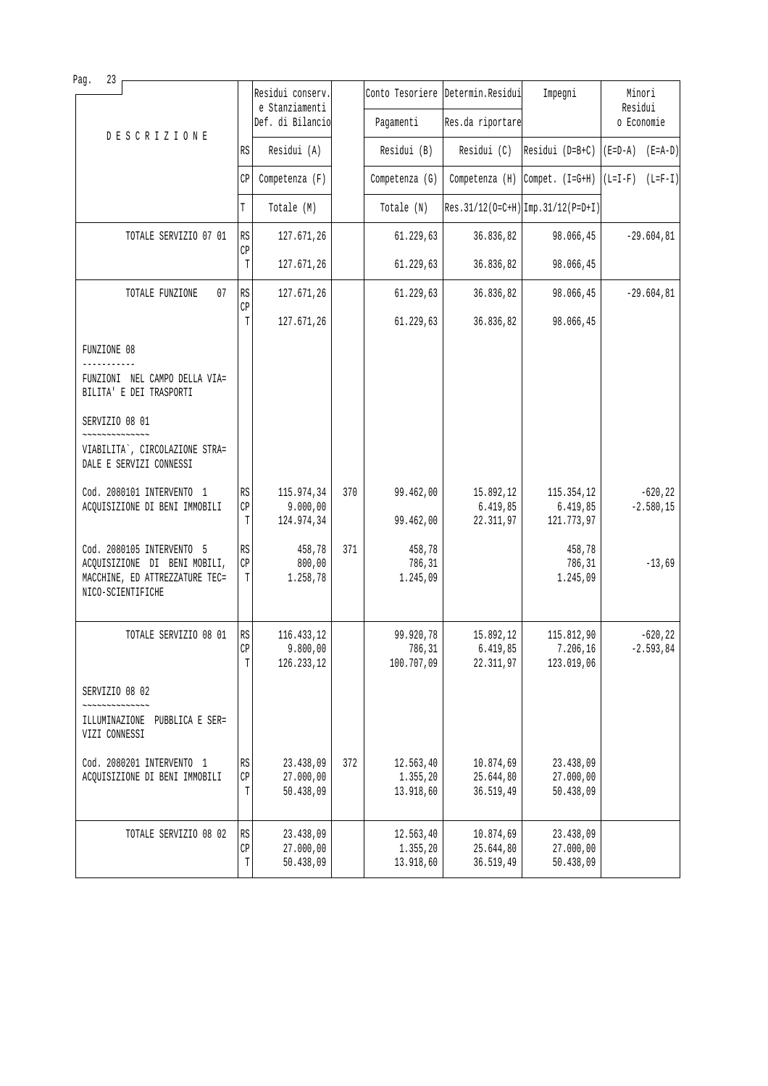| 23<br>Pag.                                                                          |                     |                                    |     |                       |                                   |                                                      |                   |
|-------------------------------------------------------------------------------------|---------------------|------------------------------------|-----|-----------------------|-----------------------------------|------------------------------------------------------|-------------------|
|                                                                                     |                     | Residui conserv.<br>e Stanziamenti |     |                       | Conto Tesoriere Determin. Residui | Impegni                                              | Minori<br>Residui |
| <b>DESCRIZIONE</b>                                                                  |                     | Def. di Bilancio                   |     | Pagamenti             | Res.da riportare                  |                                                      | o Economie        |
|                                                                                     | RS                  | Residui (A)                        |     | Residui (B)           | Residui (C)                       | Residui (D=B+C) $  (E=D-A) (E=A-D)$                  |                   |
|                                                                                     | CP                  | Competenza (F)                     |     | Competenza (G)        |                                   | Competenza (H) Compet. $(I=G+H)$ $(L=I-F)$ $(L=F-I)$ |                   |
|                                                                                     | T                   | Totale (M)                         |     | Totale (N)            |                                   | Res. 31/12(0=C+H) Imp. 31/12(P=D+I)                  |                   |
| TOTALE SERVIZIO 07 01                                                               | RS                  | 127.671,26                         |     | 61.229,63             | 36.836,82                         | 98.066,45                                            | $-29.604, 81$     |
|                                                                                     | CP<br>T             | 127.671,26                         |     | 61.229,63             | 36.836,82                         | 98.066,45                                            |                   |
| TOTALE FUNZIONE<br>07                                                               | RS                  | 127.671,26                         |     | 61.229,63             | 36.836,82                         | 98.066,45                                            | $-29.604, 81$     |
|                                                                                     | CP<br>T             | 127.671,26                         |     | 61.229,63             | 36.836,82                         | 98.066,45                                            |                   |
| FUNZIONE 08                                                                         |                     |                                    |     |                       |                                   |                                                      |                   |
| FUNZIONI NEL CAMPO DELLA VIA=<br>BILITA' E DEI TRASPORTI                            |                     |                                    |     |                       |                                   |                                                      |                   |
| SERVIZIO 08 01<br>~~~~~~~~~~~~~~                                                    |                     |                                    |     |                       |                                   |                                                      |                   |
| VIABILITA`, CIRCOLAZIONE STRA=<br>DALE E SERVIZI CONNESSI                           |                     |                                    |     |                       |                                   |                                                      |                   |
| Cod. 2080101 INTERVENTO 1                                                           | RS                  | 115.974,34                         | 370 | 99.462,00             | 15.892,12                         | 115.354,12                                           | $-620, 22$        |
| ACQUISIZIONE DI BENI IMMOBILI                                                       | CP<br>T             | 9.000,00<br>124.974,34             |     | 99.462,00             | 6.419,85<br>22.311,97             | 6.419,85<br>121.773,97                               | $-2.580, 15$      |
| Cod. 2080105 INTERVENTO 5                                                           | RS                  | 458,78                             | 371 | 458,78                |                                   | 458,78                                               |                   |
| ACQUISIZIONE DI BENI MOBILI,<br>MACCHINE, ED ATTREZZATURE TEC=<br>NICO-SCIENTIFICHE | CP<br>T             | 800,00<br>1.258,78                 |     | 786,31<br>1.245,09    |                                   | 786,31<br>1.245,09                                   | $-13,69$          |
| TOTALE SERVIZIO 08 01                                                               | RS                  | 116.433,12                         |     | 99.920,78             | 15.892,12                         | 115.812,90                                           | $-620, 22$        |
|                                                                                     | C <sub>D</sub><br>T | 9.800.00<br>126.233,12             |     | 786,31<br>100.707,09  | 6.419.85<br>22.311,97             | 7.206,16<br>123.019,06                               | $-2.593, 84$      |
| SERVIZIO 08 02                                                                      |                     |                                    |     |                       |                                   |                                                      |                   |
| ILLUMINAZIONE PUBBLICA E SER=<br>VIZI CONNESSI                                      |                     |                                    |     |                       |                                   |                                                      |                   |
| Cod. 2080201 INTERVENTO 1                                                           | RS<br>CP            | 23.438,09                          | 372 | 12.563,40<br>1.355,20 | 10.874,69                         | 23.438,09                                            |                   |
| ACQUISIZIONE DI BENI IMMOBILI                                                       | T                   | 27.000,00<br>50.438,09             |     | 13.918,60             | 25.644,80<br>36.519,49            | 27.000,00<br>50.438,09                               |                   |
| TOTALE SERVIZIO 08 02                                                               | RS                  | 23.438,09                          |     | 12.563,40             | 10.874,69                         | 23.438,09                                            |                   |
|                                                                                     | СP<br>T             | 27.000,00<br>50.438,09             |     | 1.355,20<br>13.918,60 | 25.644,80<br>36.519,49            | 27.000,00<br>50.438,09                               |                   |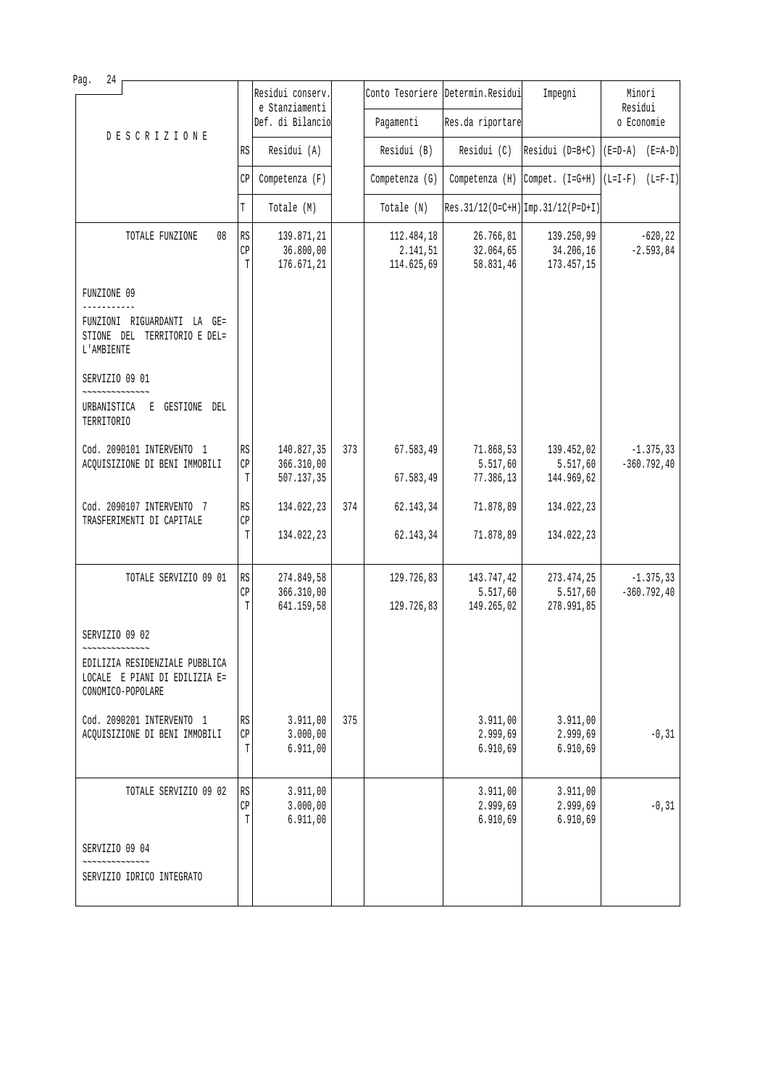| Pag.<br>24                                                                                            |                                         |                                    |     |                        |                                   |                                      |                                |
|-------------------------------------------------------------------------------------------------------|-----------------------------------------|------------------------------------|-----|------------------------|-----------------------------------|--------------------------------------|--------------------------------|
|                                                                                                       |                                         | Residui conserv.<br>e Stanziamenti |     |                        | Conto Tesoriere Determin. Residui | Impegni                              | Minori<br>Residui              |
| <b>DESCRIZIONE</b>                                                                                    |                                         | Def. di Bilancio                   |     | Pagamenti              | Res.da riportare                  |                                      | o Economie                     |
|                                                                                                       | RS                                      | Residui (A)                        |     | Residui (B)            | Residui (C)                       | Residui ( $D=B+C$ )                  | $(E=D-A)$ $(E=A-D)$            |
|                                                                                                       | CP                                      | Competenza (F)                     |     | Competenza (G)         |                                   | Competenza $(H)$ Compet. $(I=G+H)$   | $(L=I-F)$ $(L=F-I)$            |
|                                                                                                       | T                                       | Totale (M)                         |     | Totale (N)             |                                   | $Res.31/12(0=C+H)$ Imp. 31/12(P=D+I) |                                |
| TOTALE FUNZIONE<br>08                                                                                 | RS                                      | 139.871,21                         |     | 112.484,18             | 26.766,81                         | 139.250,99                           | $-620, 22$                     |
|                                                                                                       | CP<br>T                                 | 36.800,00<br>176.671,21            |     | 2.141,51<br>114.625,69 | 32.064,65<br>58.831,46            | 34.206,16<br>173.457,15              | $-2.593, 84$                   |
| FUNZIONE 09                                                                                           |                                         |                                    |     |                        |                                   |                                      |                                |
| FUNZIONI RIGUARDANTI LA GE=<br>STIONE DEL TERRITORIO E DEL=<br>L'AMBIENTE                             |                                         |                                    |     |                        |                                   |                                      |                                |
| SERVIZIO 09 01                                                                                        |                                         |                                    |     |                        |                                   |                                      |                                |
| URBANISTICA E GESTIONE DEL<br>TERRITORIO                                                              |                                         |                                    |     |                        |                                   |                                      |                                |
| Cod. 2090101 INTERVENTO 1                                                                             | RS                                      | 140.827,35                         | 373 | 67.583,49              | 71.868,53                         | 139.452,02                           | $-1.375, 33$                   |
| ACQUISIZIONE DI BENI IMMOBILI                                                                         | CP<br>T                                 | 366.310,00<br>507.137,35           |     | 67.583,49              | 5.517,60<br>77.386,13             | 5.517,60<br>144.969,62               | $-360.792, 40$                 |
| Cod. 2090107 INTERVENTO 7<br>TRASFERIMENTI DI CAPITALE                                                | RS<br>CP                                | 134.022,23                         | 374 | 62.143,34              | 71.878,89                         | 134.022,23                           |                                |
|                                                                                                       | T                                       | 134.022,23                         |     | 62.143,34              | 71.878,89                         | 134.022,23                           |                                |
| TOTALE SERVIZIO 09 01                                                                                 | $\mathbb{R}\mathbb{S}$<br>$\mathbb{CP}$ | 274.849,58<br>366.310,00           |     | 129.726,83             | 143.747,42<br>5.517,60            | 273.474,25<br>5.517,60               | $-1.375, 33$<br>$-360.792, 40$ |
|                                                                                                       | T                                       | 641.159,58                         |     | 129.726,83             | 149.265,02                        | 278.991,85                           |                                |
| SERVIZIO 09 02                                                                                        |                                         |                                    |     |                        |                                   |                                      |                                |
| ~~~~~~~~~~~~~<br>EDILIZIA RESIDENZIALE PUBBLICA<br>LOCALE E PIANI DI EDILIZIA E=<br>CONOMICO-POPOLARE |                                         |                                    |     |                        |                                   |                                      |                                |
| Cod. 2090201 INTERVENTO 1<br>ACQUISIZIONE DI BENI IMMOBILI                                            | $\mathbb{R}\mathbb{S}$<br>CP            | 3.911,00<br>3.000,00               | 375 |                        | 3.911,00<br>2.999,69              | 3.911,00<br>2.999,69                 | $-0, 31$                       |
|                                                                                                       | T                                       | 6.911,00                           |     |                        | 6.910,69                          | 6.910,69                             |                                |
| TOTALE SERVIZIO 09 02                                                                                 | RS                                      | 3.911,00                           |     |                        | 3.911,00                          | 3.911,00                             |                                |
|                                                                                                       | CP<br>T                                 | 3.000,00<br>6.911,00               |     |                        | 2.999,69<br>6.910,69              | 2.999,69<br>6.910,69                 | $-0, 31$                       |
| SERVIZIO 09 04                                                                                        |                                         |                                    |     |                        |                                   |                                      |                                |
| SERVIZIO IDRICO INTEGRATO                                                                             |                                         |                                    |     |                        |                                   |                                      |                                |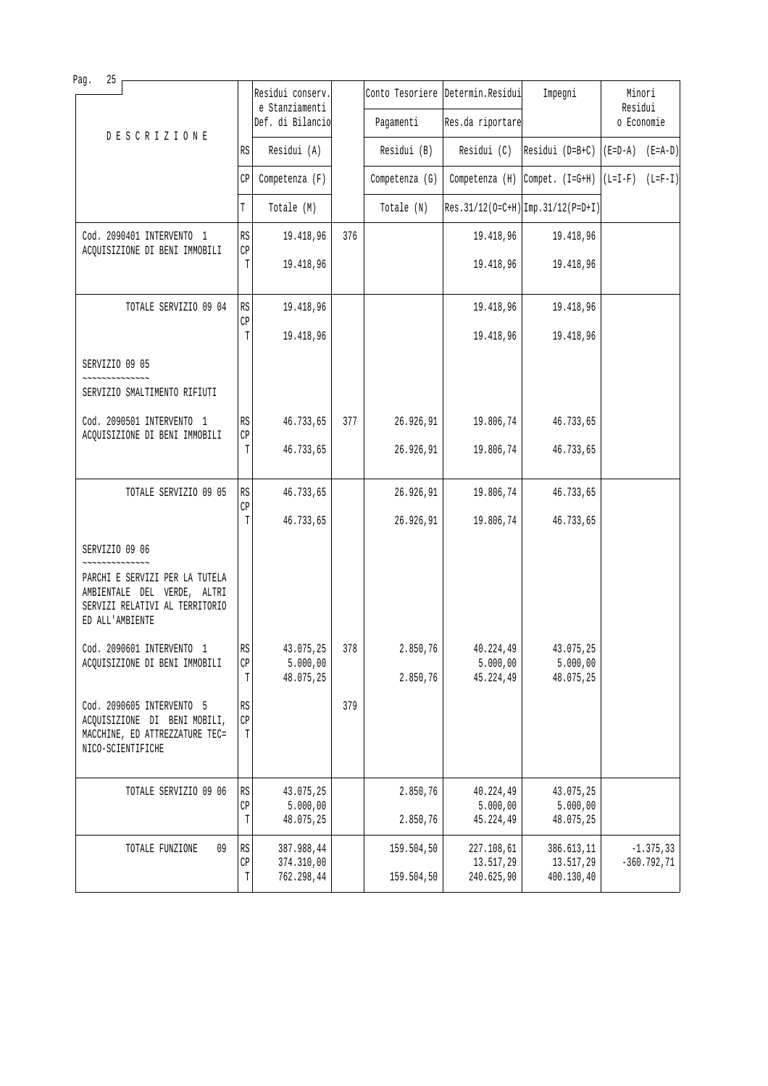| Pag.<br>25                                                                                                         |                                                       |                                    |     |                |                                   |                                                                                                   |                   |  |
|--------------------------------------------------------------------------------------------------------------------|-------------------------------------------------------|------------------------------------|-----|----------------|-----------------------------------|---------------------------------------------------------------------------------------------------|-------------------|--|
|                                                                                                                    |                                                       | Residui conserv.<br>e Stanziamenti |     |                | Conto Tesoriere Determin. Residui | Impegni                                                                                           | Minori<br>Residui |  |
| <b>DESCRIZIONE</b>                                                                                                 |                                                       | Def. di Bilancio                   |     | Pagamenti      | Res.da riportare                  |                                                                                                   | o Economie        |  |
|                                                                                                                    | RS                                                    | Residui (A)                        |     | Residui (B)    | Residui (C)                       | $\begin{bmatrix} \text{Residui} & \text{(D=B+C)} & \text{(E=D-A)} & \text{(E=A-D)} \end{bmatrix}$ |                   |  |
|                                                                                                                    | CP                                                    | Competenza (F)                     |     | Competenza (G) |                                   | Competenza (H) Compet. $(I=G+H)   (L=I-F) (L=F-I)$                                                |                   |  |
|                                                                                                                    | T                                                     | Totale (M)                         |     | Totale (N)     |                                   | $Res.31/12(O=C+H)$ Imp. 31/12(P=D+I)                                                              |                   |  |
| Cod. 2090401 INTERVENTO 1<br>ACQUISIZIONE DI BENI IMMOBILI                                                         | RS<br>$\mathbb{CP}$                                   | 19.418,96                          | 376 |                | 19.418,96                         | 19.418,96                                                                                         |                   |  |
|                                                                                                                    | T                                                     | 19.418,96                          |     |                | 19.418,96                         | 19.418,96                                                                                         |                   |  |
| TOTALE SERVIZIO 09 04                                                                                              | RS<br>CP                                              | 19.418,96                          |     |                | 19.418,96                         | 19.418,96                                                                                         |                   |  |
|                                                                                                                    | T                                                     | 19.418,96                          |     |                | 19.418,96                         | 19.418,96                                                                                         |                   |  |
| SERVIZIO 09 05                                                                                                     |                                                       |                                    |     |                |                                   |                                                                                                   |                   |  |
| SERVIZIO SMALTIMENTO RIFIUTI                                                                                       |                                                       |                                    |     |                |                                   |                                                                                                   |                   |  |
| Cod. 2090501 INTERVENTO 1<br>ACQUISIZIONE DI BENI IMMOBILI                                                         | RS<br>$\mathbb{CP}$                                   | 46.733,65                          | 377 | 26.926,91      | 19.806,74                         | 46.733,65                                                                                         |                   |  |
|                                                                                                                    | T                                                     | 46.733,65                          |     | 26.926,91      | 19.806,74                         | 46.733,65                                                                                         |                   |  |
| TOTALE SERVIZIO 09 05                                                                                              | RS<br>CP                                              | 46.733,65                          |     | 26.926,91      | 19.806,74                         | 46.733,65                                                                                         |                   |  |
|                                                                                                                    | T                                                     | 46.733,65                          |     | 26.926,91      | 19.806,74                         | 46.733,65                                                                                         |                   |  |
| SERVIZIO 09 06<br>~~~~~~~~~                                                                                        |                                                       |                                    |     |                |                                   |                                                                                                   |                   |  |
| PARCHI E SERVIZI PER LA TUTELA<br>AMBIENTALE DEL VERDE, ALTRI<br>SERVIZI RELATIVI AL TERRITORIO<br>ED ALL'AMBIENTE |                                                       |                                    |     |                |                                   |                                                                                                   |                   |  |
| Cod. 2090601 INTERVENTO 1                                                                                          | RS                                                    | 43.075,25                          | 378 | 2.850,76       | 40.224,49                         | 43.075,25                                                                                         |                   |  |
| ACQUISIZIONE DI BENI IMMOBILI                                                                                      | $\mathbb{C}\mathbb{P}$<br>T                           | 5.000,00<br>48.075,25              |     | 2.850,76       | 5.000,00<br>45.224,49             | 5.000,00<br>48.075,25                                                                             |                   |  |
| Cod. 2090605 INTERVENTO 5<br>ACQUISIZIONE DI BENI MOBILI,<br>MACCHINE, ED ATTREZZATURE TEC=<br>NICO-SCIENTIFICHE   | $\mathbb{R}\mathbb{S}$<br>$\mathbb{C}\mathbb{P}$<br>T |                                    | 379 |                |                                   |                                                                                                   |                   |  |
| TOTALE SERVIZIO 09 06                                                                                              | RS                                                    | 43.075,25                          |     | 2.850,76       | 40.224,49                         | 43.075,25                                                                                         |                   |  |
|                                                                                                                    | CP<br>T                                               | 5.000,00<br>48.075,25              |     | 2.850,76       | 5.000,00<br>45.224,49             | 5.000,00<br>48.075,25                                                                             |                   |  |
| 09<br>TOTALE FUNZIONE                                                                                              | RS                                                    | 387.988,44                         |     | 159.504,50     | 227.108,61<br>13.517,29           | 386.613,11                                                                                        | $-1.375, 33$      |  |
|                                                                                                                    | $\mathbb{C}\mathbb{P}$<br>Т                           | 374.310,00<br>762.298,44           |     | 159.504,50     | 240.625,90                        | 13.517,29<br>400.130,40                                                                           | $-360.792, 71$    |  |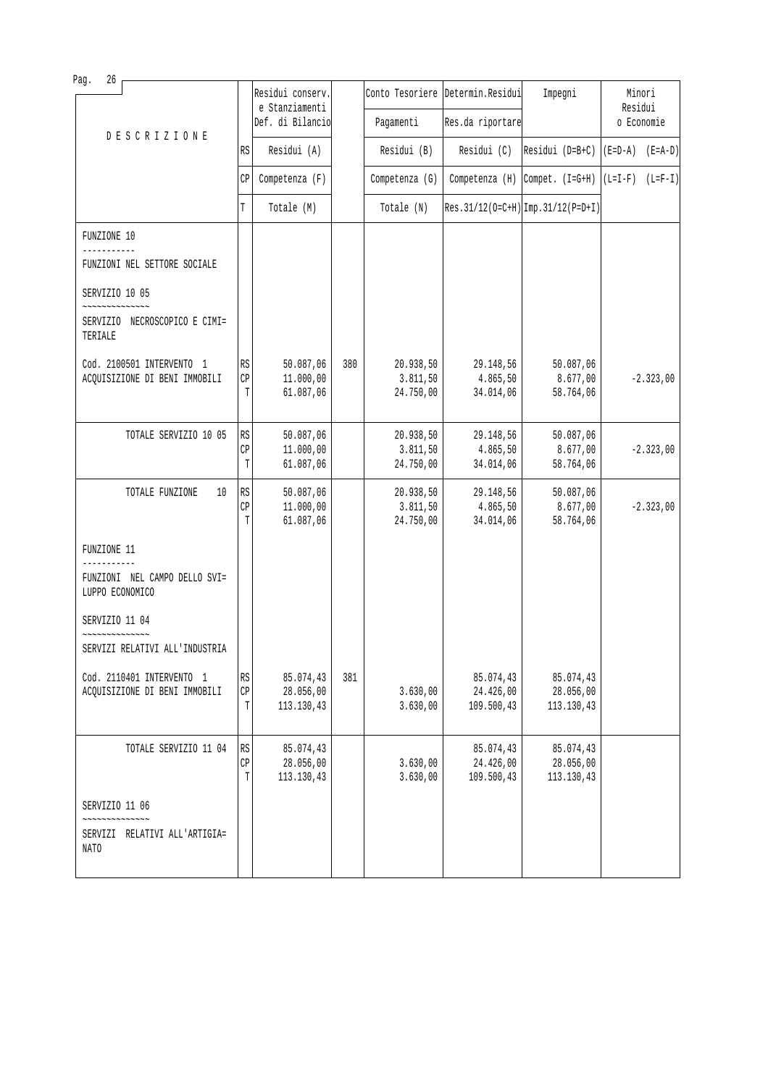| Pag.<br>26                                                                                   |                                   |                                      |     |                                     |                                      |                                      |                     |  |
|----------------------------------------------------------------------------------------------|-----------------------------------|--------------------------------------|-----|-------------------------------------|--------------------------------------|--------------------------------------|---------------------|--|
|                                                                                              |                                   | Residui conserv.<br>e Stanziamenti   |     |                                     | Conto Tesoriere Determin. Residui    | Impegni                              | Minori<br>Residui   |  |
| <b>DESCRIZIONE</b>                                                                           |                                   | Def. di Bilancio                     |     | Pagamenti                           | Res.da riportare                     |                                      | o Economie          |  |
|                                                                                              | RS                                | Residui (A)                          |     | Residui (B)                         | Residui (C)                          | Residui (D=B+C)                      | $(E=D-A)$ $(E=A-D)$ |  |
|                                                                                              | СP                                | Competenza (F)                       |     | Competenza (G)                      |                                      | Competenza $(H)$ Compet. $(I=G+H)$   | $(L=I-F)$ $(L=F-I)$ |  |
|                                                                                              | T                                 | Totale (M)                           |     | Totale (N)                          |                                      | $Res.31/12(O=C+H)$ Imp. 31/12(P=D+I) |                     |  |
| FUNZIONE 10                                                                                  |                                   |                                      |     |                                     |                                      |                                      |                     |  |
| FUNZIONI NEL SETTORE SOCIALE                                                                 |                                   |                                      |     |                                     |                                      |                                      |                     |  |
| SERVIZIO 10 05                                                                               |                                   |                                      |     |                                     |                                      |                                      |                     |  |
| $\sim$ $\sim$ $\sim$ $\sim$ $\sim$ $\sim$ $\sim$<br>SERVIZIO NECROSCOPICO E CIMI=<br>TERIALE |                                   |                                      |     |                                     |                                      |                                      |                     |  |
| Cod. 2100501 INTERVENTO 1<br>ACQUISIZIONE DI BENI IMMOBILI                                   | RS<br>$\mathbb{C}\mathbb{P}$<br>T | 50.087,06<br>11.000,00<br>61.087,06  | 380 | 20.938,50<br>3.811, 50<br>24.750,00 | 29.148,56<br>4.865,50<br>34.014,06   | 50.087,06<br>8.677,00<br>58.764,06   | $-2.323,00$         |  |
| TOTALE SERVIZIO 10 05                                                                        | RS<br>СP<br>T                     | 50.087,06<br>11.000,00<br>61.087,06  |     | 20.938,50<br>3.811,50<br>24.750,00  | 29.148,56<br>4.865,50<br>34.014,06   | 50.087,06<br>8.677,00<br>58.764,06   | $-2.323,00$         |  |
| TOTALE FUNZIONE<br>10                                                                        | RS<br>CP<br>T                     | 50.087,06<br>11.000,00<br>61.087,06  |     | 20.938,50<br>3.811,50<br>24.750,00  | 29.148,56<br>4.865,50<br>34.014,06   | 50.087,06<br>8.677,00<br>58.764,06   | $-2.323,00$         |  |
| FUNZIONE 11                                                                                  |                                   |                                      |     |                                     |                                      |                                      |                     |  |
| ------<br>FUNZIONI NEL CAMPO DELLO SVI=<br>LUPPO ECONOMICO                                   |                                   |                                      |     |                                     |                                      |                                      |                     |  |
| SERVIZIO 11 04                                                                               |                                   |                                      |     |                                     |                                      |                                      |                     |  |
| SERVIZI RELATIVI ALL'INDUSTRIA                                                               |                                   |                                      |     |                                     |                                      |                                      |                     |  |
| Cod. 2110401 INTERVENTO 1<br>ACQUISIZIONE DI BENI IMMOBILI                                   | RS<br>CP<br>Т                     | 85.074,43<br>28.056,00<br>113.130,43 | 381 | 3.630,00<br>3.630,00                | 85.074,43<br>24.426,00<br>109.500,43 | 85.074,43<br>28.056,00<br>113.130,43 |                     |  |
| TOTALE SERVIZIO 11 04                                                                        | RS<br>CP<br>T                     | 85.074,43<br>28.056,00<br>113.130,43 |     | 3.630,00<br>3.630,00                | 85.074,43<br>24.426,00<br>109.500,43 | 85.074,43<br>28.056,00<br>113.130,43 |                     |  |
| SERVIZIO 11 06                                                                               |                                   |                                      |     |                                     |                                      |                                      |                     |  |
| SERVIZI RELATIVI ALL'ARTIGIA=<br>NATO                                                        |                                   |                                      |     |                                     |                                      |                                      |                     |  |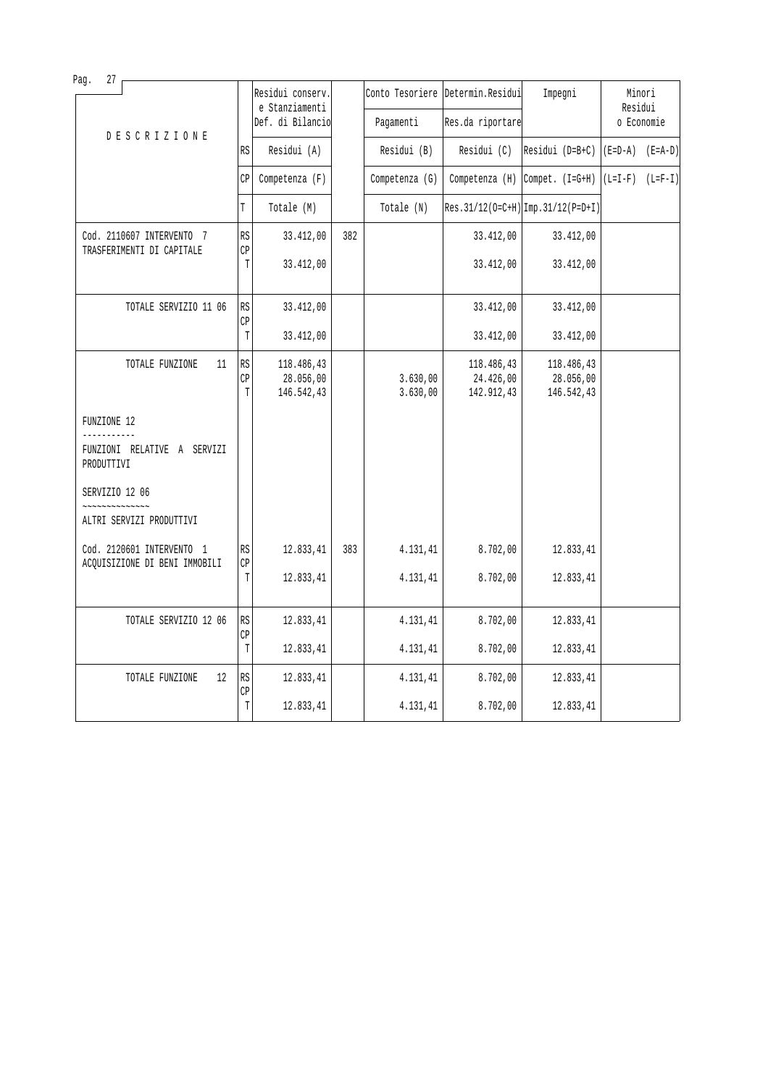| 27<br>Pag.                                             |                 | Residui conserv.<br>e Stanziamenti    |     |                      | Conto Tesoriere Determin.Residui      | Impegni                                                                                                                                        | Minori<br>Residui   |            |
|--------------------------------------------------------|-----------------|---------------------------------------|-----|----------------------|---------------------------------------|------------------------------------------------------------------------------------------------------------------------------------------------|---------------------|------------|
| <b>DESCRIZIONE</b>                                     |                 | Def. di Bilancio                      |     | Pagamenti            | Res.da riportare                      |                                                                                                                                                |                     | o Economie |
|                                                        | <b>RS</b>       | Residui (A)                           |     | Residui (B)          | Residui (C)                           | Residui (D=B+C)                                                                                                                                | $(E=D-A)$ $(E=A-D)$ |            |
|                                                        | CP              | Competenza (F)                        |     | Competenza (G)       | $Competenza$ $(H)$                    | $\text{Compet.} \left( \text{I}=\text{G}+\text{H} \right) \left( \text{L}=\text{I}-\text{F} \right) \left( \text{L}=\text{F}-\text{I} \right)$ |                     |            |
|                                                        | T               | Totale (M)                            |     | Totale (N)           |                                       | Res. 31/12(0=C+H) Imp. 31/12(P=D+I)                                                                                                            |                     |            |
| Cod. 2110607 INTERVENTO 7<br>TRASFERIMENTI DI CAPITALE | <b>RS</b><br>CP | 33.412,00                             | 382 |                      | 33.412,00                             | 33.412,00                                                                                                                                      |                     |            |
|                                                        | T               | 33.412,00                             |     |                      | 33.412,00                             | 33.412,00                                                                                                                                      |                     |            |
| TOTALE SERVIZIO 11 06                                  | RS              | 33.412,00                             |     |                      | 33.412,00                             | 33.412,00                                                                                                                                      |                     |            |
|                                                        | CP<br>T         | 33.412,00                             |     |                      | 33.412,00                             | 33.412,00                                                                                                                                      |                     |            |
| TOTALE FUNZIONE<br>11                                  | RS<br>CP<br>T   | 118.486,43<br>28.056,00<br>146.542,43 |     | 3.630,00<br>3.630,00 | 118.486,43<br>24.426,00<br>142.912,43 | 118.486,43<br>28.056,00<br>146.542,43                                                                                                          |                     |            |
| FUNZIONE 12                                            |                 |                                       |     |                      |                                       |                                                                                                                                                |                     |            |
| FUNZIONI RELATIVE A SERVIZI<br>PRODUTTIVI              |                 |                                       |     |                      |                                       |                                                                                                                                                |                     |            |
| SERVIZIO 12 06                                         |                 |                                       |     |                      |                                       |                                                                                                                                                |                     |            |
| ~~~~~~~~~~<br>ALTRI SERVIZI PRODUTTIVI                 |                 |                                       |     |                      |                                       |                                                                                                                                                |                     |            |
| Cod. 2120601 INTERVENTO 1                              | RS              | 12.833,41                             | 383 | 4.131,41             | 8.702,00                              | 12.833,41                                                                                                                                      |                     |            |
| ACQUISIZIONE DI BENI IMMOBILI                          | CP<br>T         | 12.833,41                             |     | 4.131,41             | 8.702,00                              | 12.833,41                                                                                                                                      |                     |            |
| TOTALE SERVIZIO 12 06                                  | <b>RS</b>       | 12.833,41                             |     | 4.131,41             | 8.702,00                              | 12.833,41                                                                                                                                      |                     |            |
|                                                        | CP<br>T         | 12.833,41                             |     | 4.131,41             | 8.702,00                              | 12.833,41                                                                                                                                      |                     |            |
| TOTALE FUNZIONE<br>12                                  | RS<br>CP        | 12.833,41                             |     | 4.131,41             | 8.702,00                              | 12.833,41                                                                                                                                      |                     |            |
|                                                        | $\mathbb T$     | 12.833,41                             |     | 4.131,41             | 8.702,00                              | 12.833,41                                                                                                                                      |                     |            |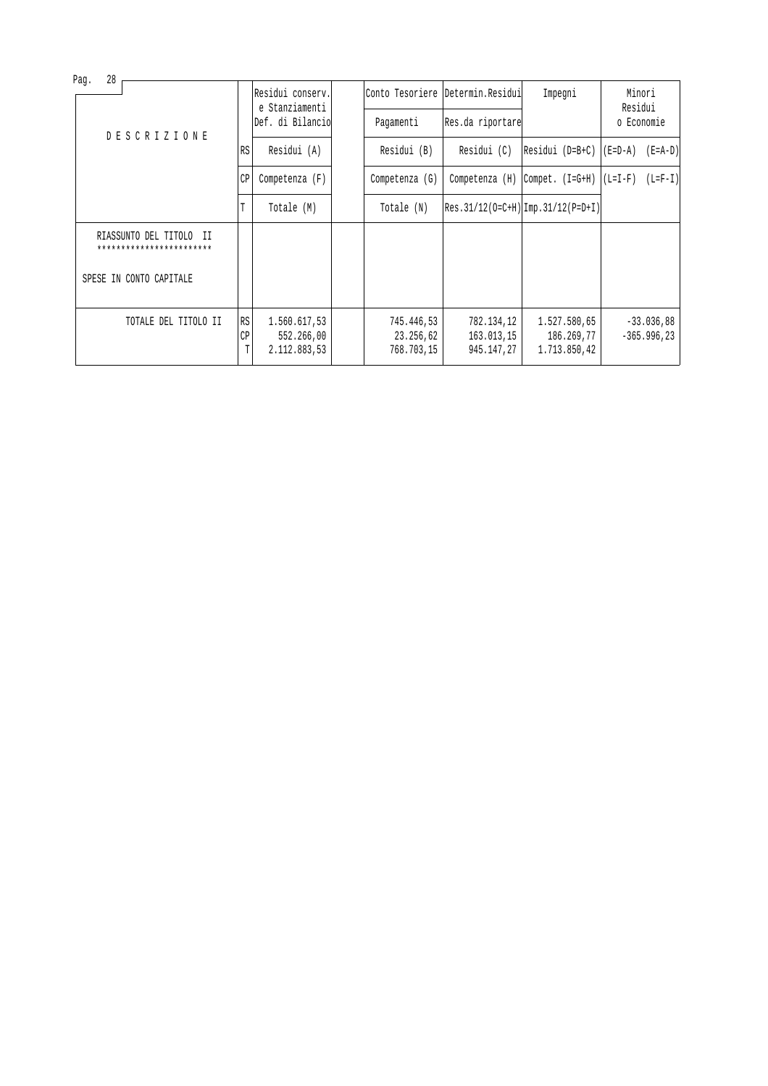| Pag.               | 28 |                                                          |                  |                                            |                                       |                                        |                                            |                   |                                |
|--------------------|----|----------------------------------------------------------|------------------|--------------------------------------------|---------------------------------------|----------------------------------------|--------------------------------------------|-------------------|--------------------------------|
|                    |    |                                                          |                  | Residui conserv.<br>e Stanziamenti         |                                       | Conto Tesoriere Determin. Residui      | Impegni                                    | Minori<br>Residui |                                |
| <b>DESCRIZIONE</b> |    | Def. di Bilancio                                         | Pagamenti        | Res.da riportare                           |                                       | o Economie                             |                                            |                   |                                |
|                    |    | RS                                                       | Residui (A)      | Residui (B)                                | Residui (C)                           | Residui (D=B+C)                        | (E=D-A)                                    | $(E = A - D)$     |                                |
|                    |    | CP                                                       | Competenza $(F)$ | Competenza (G)                             | Competenza (H)                        | Compet. (I=G+H)                        | $(L=I-F)$                                  | $(L=F-I)$         |                                |
|                    |    |                                                          | T                | Totale (M)                                 | Totale (N)                            |                                        | $ Res.31/12(0=C+H) Imp.31/12(P=D+I) $      |                   |                                |
|                    |    | RIASSUNTO DEL TITOLO<br>- II<br>************************ |                  |                                            |                                       |                                        |                                            |                   |                                |
|                    |    | SPESE IN CONTO CAPITALE                                  |                  |                                            |                                       |                                        |                                            |                   |                                |
|                    |    | TOTALE DEL TITOLO II                                     | RS<br>СP<br>T    | 1.560.617,53<br>552.266,00<br>2.112.883,53 | 745.446,53<br>23.256,62<br>768.703,15 | 782.134,12<br>163.013,15<br>945.147,27 | 1.527.580,65<br>186.269,77<br>1.713.850,42 |                   | $-33.036,88$<br>$-365.996, 23$ |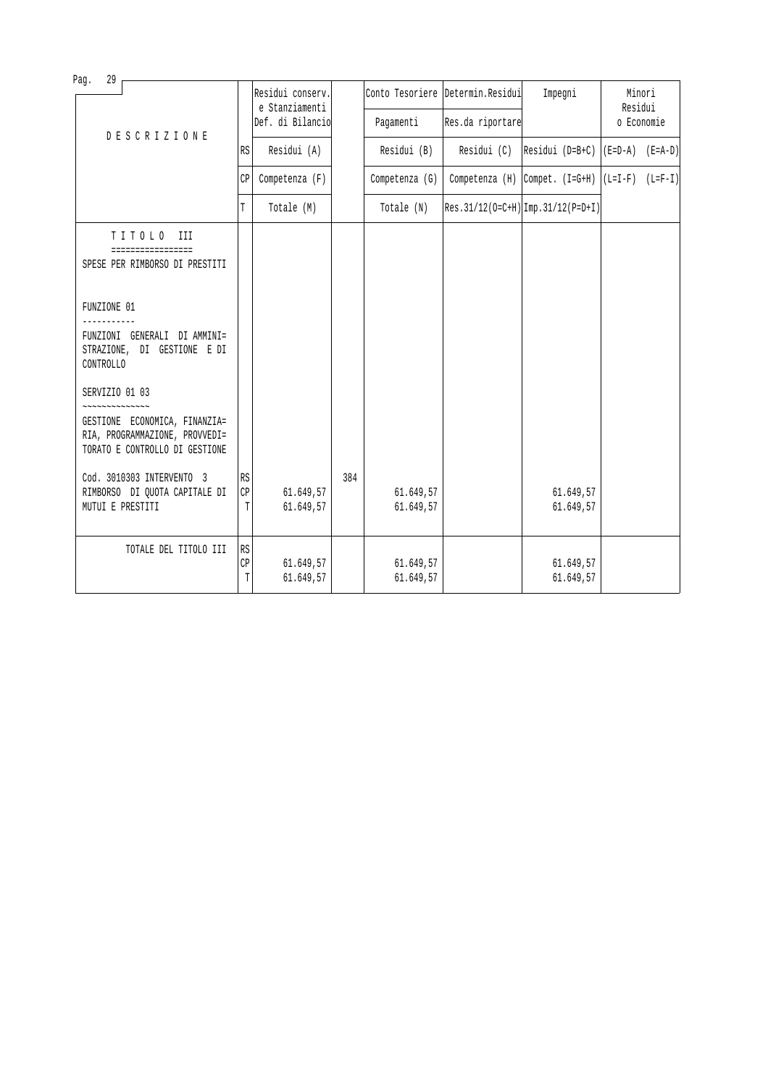| Paq.<br>29<br><b>DESCRIZIONE</b> |                                                                                                   | Residui conserv.<br>e Stanziamenti |                        |             | Conto Tesoriere Determin. Residui | Impegni                              | Minori<br>Residui                                    |  |  |
|----------------------------------|---------------------------------------------------------------------------------------------------|------------------------------------|------------------------|-------------|-----------------------------------|--------------------------------------|------------------------------------------------------|--|--|
|                                  |                                                                                                   | Def. di Bilancio                   |                        | Pagamenti   | Res.da riportare                  |                                      | o Economie                                           |  |  |
|                                  | <b>RS</b>                                                                                         | Residui (A)                        |                        | Residui (B) | Residui (C)                       | $ Residui (D=B+C)   (E=D-A) (E=A-D)$ |                                                      |  |  |
|                                  |                                                                                                   | CP                                 | Competenza (F)         |             | Competenza (G)                    |                                      | Competenza (H) Compet. $(I=G+H)$ $(L=I-F)$ $(L=F-I)$ |  |  |
|                                  |                                                                                                   | T                                  | Totale (M)             |             | Totale (N)                        |                                      | $Res.31/12(O=C+H)$ Imp. 31/12(P=D+I)                 |  |  |
|                                  | TITOLO<br>III<br>=================<br>SPESE PER RIMBORSO DI PRESTITI                              |                                    |                        |             |                                   |                                      |                                                      |  |  |
| FUNZIONE 01<br>CONTROLLO         | FUNZIONI GENERALI DI AMMINI=<br>STRAZIONE, DI GESTIONE E DI                                       |                                    |                        |             |                                   |                                      |                                                      |  |  |
| SERVIZIO 01 03<br>~~~~~~~~~~~~~~ | GESTIONE ECONOMICA, FINANZIA=<br>RIA, PROGRAMMAZIONE, PROVVEDI=<br>TORATO E CONTROLLO DI GESTIONE |                                    |                        |             |                                   |                                      |                                                      |  |  |
| MUTUI E PRESTITI                 | Cod. 3010303 INTERVENTO 3<br>RIMBORSO DI OUOTA CAPITALE DI                                        | RS<br>CP<br>T                      | 61.649,57<br>61.649,57 | 384         | 61.649,57<br>61.649,57            |                                      | 61.649,57<br>61.649,57                               |  |  |
|                                  | TOTALE DEL TITOLO III                                                                             | l R.S<br>CP<br>T                   | 61.649,57<br>61.649,57 |             | 61.649,57<br>61.649,57            |                                      | 61.649,57<br>61.649,57                               |  |  |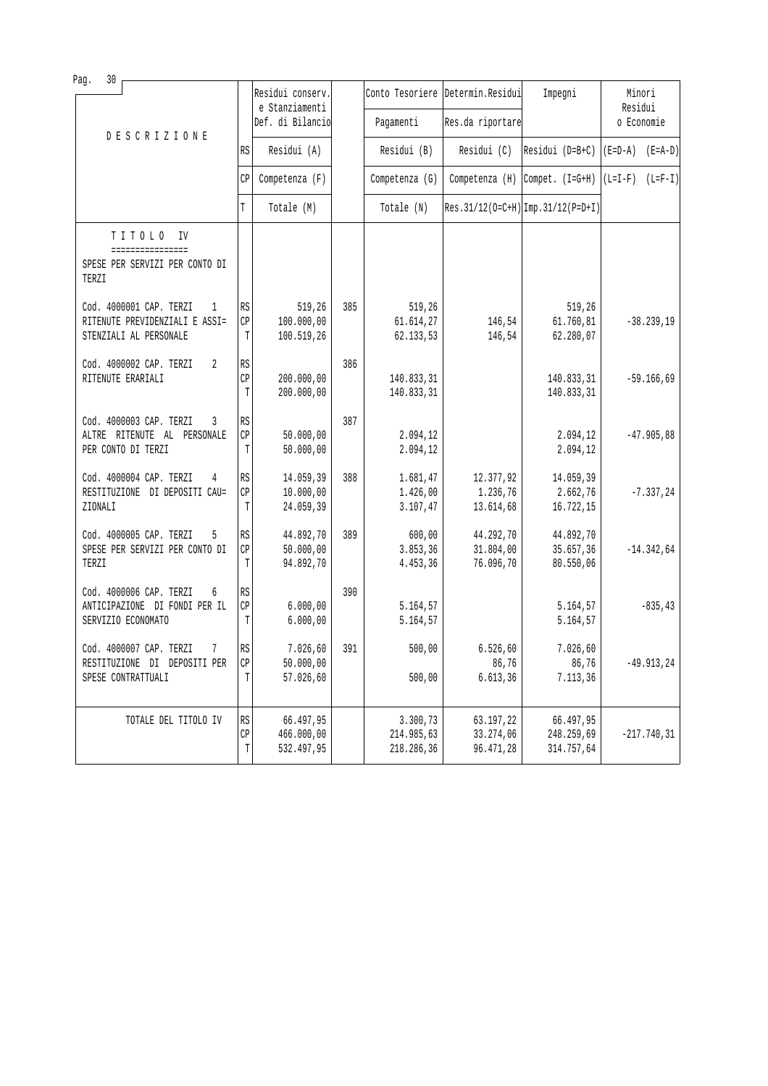| 30<br>Pag.                                                                               |                                   | Residui conserv.                      |     |                                      | Conto Tesoriere Determin. Residui   | Impegni                               | Minori                              |
|------------------------------------------------------------------------------------------|-----------------------------------|---------------------------------------|-----|--------------------------------------|-------------------------------------|---------------------------------------|-------------------------------------|
|                                                                                          |                                   | e Stanziamenti<br>Def. di Bilancio    |     | Pagamenti                            | Res.da riportare                    |                                       | Residui<br>o Economie               |
| <b>DESCRIZIONE</b>                                                                       | RS                                | Residui (A)                           |     | Residui (B)                          | Residui (C)                         | Residui (D=B+C)                       | $(E=D-A)$ $(E=A-D)$                 |
|                                                                                          | CP                                | Competenza (F)                        |     | Competenza (G)                       | Competenza $(H)$                    |                                       | Compet. $(I=G+H)   (L=I-F) (L=F-I)$ |
|                                                                                          | T                                 | Totale (M)                            |     | Totale (N)                           |                                     | $Res.31/12(O=C+H)$ Imp. 31/12(P=D+I)  |                                     |
| TITOLO<br>IV<br>================                                                         |                                   |                                       |     |                                      |                                     |                                       |                                     |
| SPESE PER SERVIZI PER CONTO DI<br>TERZI                                                  |                                   |                                       |     |                                      |                                     |                                       |                                     |
| Cod. 4000001 CAP. TERZI<br>1<br>RITENUTE PREVIDENZIALI E ASSI=<br>STENZIALI AL PERSONALE | RS<br>CP<br>T                     | 519,26<br>100.000,00<br>100.519,26    | 385 | 519,26<br>61.614,27<br>62.133,53     | 146,54<br>146,54                    | 519,26<br>61.760, 81<br>62.280,07     | $-38.239,19$                        |
| Cod. 4000002 CAP. TERZI<br>2<br>RITENUTE ERARIALI                                        | RS<br>CP<br>T                     | 200.000,00<br>200.000,00              | 386 | 140.833,31<br>140.833,31             |                                     | 140.833,31<br>140.833,31              | $-59.166,69$                        |
| Cod. 4000003 CAP. TERZI<br>3<br>ALTRE RITENUTE AL PERSONALE<br>PER CONTO DI TERZI        | RS<br>CP<br>T                     | 50.000,00<br>50.000,00                | 387 | 2.094,12<br>2.094,12                 |                                     | 2.094,12<br>2.094,12                  | $-47.905,88$                        |
| Cod. 4000004 CAP. TERZI<br>4<br>RESTITUZIONE DI DEPOSITI CAU=<br>ZIONALI                 | <b>RS</b><br>CP<br>T              | 14.059,39<br>10.000,00<br>24.059,39   | 388 | 1.681,47<br>1.426,00<br>3.107,47     | 12.377,92<br>1.236,76<br>13.614,68  | 14.059,39<br>2.662,76<br>16.722,15    | $-7.337,24$                         |
| Cod. 4000005 CAP. TERZI<br>5<br>SPESE PER SERVIZI PER CONTO DI<br>TERZI                  | RS<br>CP<br>T                     | 44.892,70<br>50.000,00<br>94.892,70   | 389 | 600,00<br>3.853,36<br>4.453,36       | 44.292,70<br>31.804,00<br>76.096,70 | 44.892,70<br>35.657,36<br>80.550,06   | $-14.342,64$                        |
| Cod. 4000006 CAP. TERZI<br>6<br>ANTICIPAZIONE DI FONDI PER IL<br>SERVIZIO ECONOMATO      | RS<br>CP<br>T                     | 6.000,00<br>6.000,00                  | 390 | 5.164,57<br>5.164,57                 |                                     | 5.164,57<br>5.164,57                  | $-835, 43$                          |
| Cod. 4000007 CAP. TERZI<br>7<br>RESTITUZIONE DI DEPOSITI PER<br>SPESE CONTRATTUALI       | $\mathbb{R}\mathbb{S}$<br>СP<br>Т | 7.026, 60<br>50.000,00<br>57.026,60   | 391 | 500,00<br>500,00                     | 6.526, 60<br>86,76<br>6.613, 36     | 7.026,60<br>86,76<br>7.113,36         | $-49.913, 24$                       |
| TOTALE DEL TITOLO IV                                                                     | RS<br>CP<br>Т                     | 66.497,95<br>466.000,00<br>532.497,95 |     | 3.300,73<br>214.985,63<br>218.286,36 | 63.197,22<br>33.274,06<br>96.471,28 | 66.497,95<br>248.259,69<br>314.757,64 | $-217.740, 31$                      |